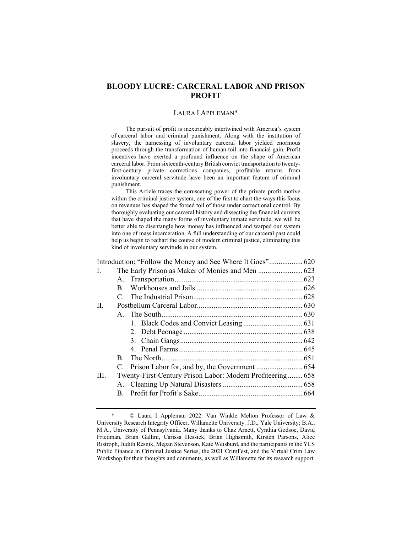# **BLOODY LUCRE: CARCERAL LABOR AND PRISON PROFIT**

#### LAURA I APPLEMAN\*

The pursuit of profit is inextricably intertwined with America's system of carceral labor and criminal punishment. Along with the institution of slavery, the harnessing of involuntary carceral labor yielded enormous proceeds through the transformation of human toil into financial gain. Profit incentives have exerted a profound influence on the shape of American carceral labor. From sixteenth-century British convict transportation to twentyfirst-century private corrections companies, profitable returns from involuntary carceral servitude have been an important feature of criminal punishment.

This Article traces the coruscating power of the private profit motive within the criminal justice system, one of the first to chart the ways this focus on revenues has shaped the forced toil of those under correctional control. By thoroughly evaluating our carceral history and dissecting the financial currents that have shaped the many forms of involuntary inmate servitude, we will be better able to disentangle how money has influenced and warped our system into one of mass incarceration. A full understanding of our carceral past could help us begin to rechart the course of modern criminal justice, eliminating this kind of involuntary servitude in our system.

| L.   |    |                                                            |  |
|------|----|------------------------------------------------------------|--|
|      |    |                                                            |  |
|      |    |                                                            |  |
|      |    |                                                            |  |
| II.  |    |                                                            |  |
|      |    |                                                            |  |
|      |    |                                                            |  |
|      |    |                                                            |  |
|      |    |                                                            |  |
|      |    |                                                            |  |
|      | B. |                                                            |  |
|      |    |                                                            |  |
| III. |    | Twenty-First-Century Prison Labor: Modern Profiteering 658 |  |
|      |    |                                                            |  |
|      |    |                                                            |  |
|      |    |                                                            |  |

<sup>\* ©</sup> Laura I Appleman 2022. Van Winkle Melton Professor of Law & University Research Integrity Officer, Willamette University. J.D., Yale University; B.A., M.A., University of Pennsylvania. Many thanks to Chaz Arnett, Cynthia Godsoe, David Friedman, Brian Gallini, Carissa Hessick, Brian Highsmith, Kirsten Parsons, Alice Ristroph, Judith Resnik, Megan Stevenson, Kate Weisburd, and the participants in the YLS Public Finance in Criminal Justice Series, the 2021 CrimFest, and the Virtual Crim Law Workshop for their thoughts and comments, as well as Willamette for its research support.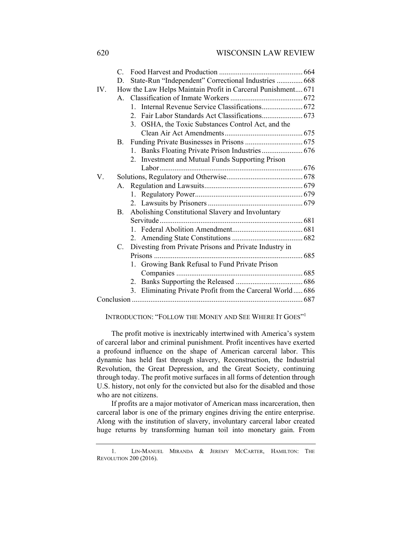| State-Run "Independent" Correctional Industries  668<br>D.            |  |
|-----------------------------------------------------------------------|--|
| How the Law Helps Maintain Profit in Carceral Punishment 671<br>IV.   |  |
|                                                                       |  |
| $1_{-}$                                                               |  |
| 2. Fair Labor Standards Act Classifications 673                       |  |
| 3. OSHA, the Toxic Substances Control Act, and the                    |  |
|                                                                       |  |
| B.                                                                    |  |
| Banks Floating Private Prison Industries 676<br>1.                    |  |
| 2. Investment and Mutual Funds Supporting Prison                      |  |
|                                                                       |  |
| V.                                                                    |  |
| А.                                                                    |  |
|                                                                       |  |
|                                                                       |  |
| Abolishing Constitutional Slavery and Involuntary<br><b>B.</b>        |  |
|                                                                       |  |
|                                                                       |  |
|                                                                       |  |
| Divesting from Private Prisons and Private Industry in<br>$C_{\cdot}$ |  |
|                                                                       |  |
| 1. Growing Bank Refusal to Fund Private Prison                        |  |
|                                                                       |  |
|                                                                       |  |
| 3. Eliminating Private Profit from the Carceral World 686             |  |
|                                                                       |  |

INTRODUCTION: "FOLLOW THE MONEY AND SEE WHERE IT GOES"<sup>1</sup>

The profit motive is inextricably intertwined with America's system of carceral labor and criminal punishment. Profit incentives have exerted a profound influence on the shape of American carceral labor. This dynamic has held fast through slavery, Reconstruction, the Industrial Revolution, the Great Depression, and the Great Society, continuing through today. The profit motive surfaces in all forms of detention through U.S. history, not only for the convicted but also for the disabled and those who are not citizens.

If profits are a major motivator of American mass incarceration, then carceral labor is one of the primary engines driving the entire enterprise. Along with the institution of slavery, involuntary carceral labor created huge returns by transforming human toil into monetary gain. From

<sup>1.</sup> LIN-MANUEL MIRANDA & JEREMY MCCARTER, HAMILTON: THE REVOLUTION 200 (2016).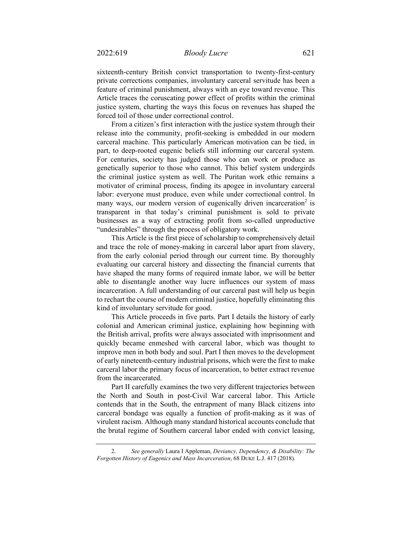sixteenth-century British convict transportation to twenty-first-century private corrections companies, involuntary carceral servitude has been a feature of criminal punishment, always with an eye toward revenue. This Article traces the coruscating power effect of profits within the criminal justice system, charting the ways this focus on revenues has shaped the forced toil of those under correctional control.

From a citizen's first interaction with the justice system through their release into the community, profit-seeking is embedded in our modern carceral machine. This particularly American motivation can be tied, in part, to deep-rooted eugenic beliefs still informing our carceral system. For centuries, society has judged those who can work or produce as genetically superior to those who cannot. This belief system undergirds the criminal justice system as well. The Puritan work ethic remains a motivator of criminal process, finding its apogee in involuntary carceral labor: everyone must produce, even while under correctional control. In many ways, our modern version of eugenically driven incarceration<sup>2</sup> is transparent in that today's criminal punishment is sold to private businesses as a way of extracting profit from so-called unproductive "undesirables" through the process of obligatory work.

This Article is the first piece of scholarship to comprehensively detail and trace the role of money-making in carceral labor apart from slavery, from the early colonial period through our current time. By thoroughly evaluating our carceral history and dissecting the financial currents that have shaped the many forms of required inmate labor, we will be better able to disentangle another way lucre influences our system of mass incarceration. A full understanding of our carceral past will help us begin to rechart the course of modern criminal justice, hopefully eliminating this kind of involuntary servitude for good.

This Article proceeds in five parts. Part I details the history of early colonial and American criminal justice, explaining how beginning with the British arrival, profits were always associated with imprisonment and quickly became enmeshed with carceral labor, which was thought to improve men in both body and soul. Part I then moves to the development of early nineteenth-century industrial prisons, which were the first to make carceral labor the primary focus of incarceration, to better extract revenue from the incarcerated.

Part II carefully examines the two very different trajectories between the North and South in post-Civil War carceral labor. This Article contends that in the South, the entrapment of many Black citizens into carceral bondage was equally a function of profit-making as it was of virulent racism. Although many standard historical accounts conclude that the brutal regime of Southern carceral labor ended with convict leasing,

<sup>2.</sup> *See generally* Laura I Appleman, *Deviancy, Dependency, & Disability: The Forgotten History of Eugenics and Mass Incarceration*, 68 DUKE L.J. 417 (2018).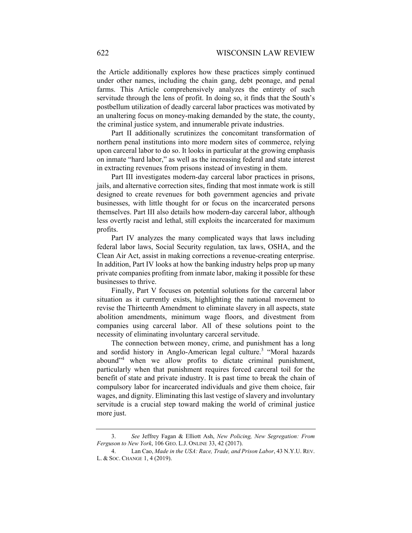the Article additionally explores how these practices simply continued under other names, including the chain gang, debt peonage, and penal farms. This Article comprehensively analyzes the entirety of such servitude through the lens of profit. In doing so, it finds that the South's postbellum utilization of deadly carceral labor practices was motivated by an unaltering focus on money-making demanded by the state, the county, the criminal justice system, and innumerable private industries.

Part II additionally scrutinizes the concomitant transformation of northern penal institutions into more modern sites of commerce, relying upon carceral labor to do so. It looks in particular at the growing emphasis on inmate "hard labor," as well as the increasing federal and state interest in extracting revenues from prisons instead of investing in them.

Part III investigates modern-day carceral labor practices in prisons, jails, and alternative correction sites, finding that most inmate work is still designed to create revenues for both government agencies and private businesses, with little thought for or focus on the incarcerated persons themselves. Part III also details how modern-day carceral labor, although less overtly racist and lethal, still exploits the incarcerated for maximum profits.

Part IV analyzes the many complicated ways that laws including federal labor laws, Social Security regulation, tax laws, OSHA, and the Clean Air Act, assist in making corrections a revenue-creating enterprise. In addition, Part IV looks at how the banking industry helps prop up many private companies profiting from inmate labor, making it possible for these businesses to thrive.

Finally, Part V focuses on potential solutions for the carceral labor situation as it currently exists, highlighting the national movement to revise the Thirteenth Amendment to eliminate slavery in all aspects, state abolition amendments, minimum wage floors, and divestment from companies using carceral labor. All of these solutions point to the necessity of eliminating involuntary carceral servitude.

The connection between money, crime, and punishment has a long and sordid history in Anglo-American legal culture.<sup>3</sup> "Moral hazards abound"<sup>4</sup> when we allow profits to dictate criminal punishment, particularly when that punishment requires forced carceral toil for the benefit of state and private industry. It is past time to break the chain of compulsory labor for incarcerated individuals and give them choice, fair wages, and dignity. Eliminating this last vestige of slavery and involuntary servitude is a crucial step toward making the world of criminal justice more just.

<sup>3.</sup> *See* Jeffrey Fagan & Elliott Ash, *New Policing, New Segregation: From Ferguson to New York*, 106 GEO. L.J. ONLINE 33, 42 (2017).

<sup>4.</sup> Lan Cao, *Made in the USA: Race, Trade, and Prison Labor*, 43 N.Y.U. REV. L. & SOC. CHANGE 1, 4 (2019).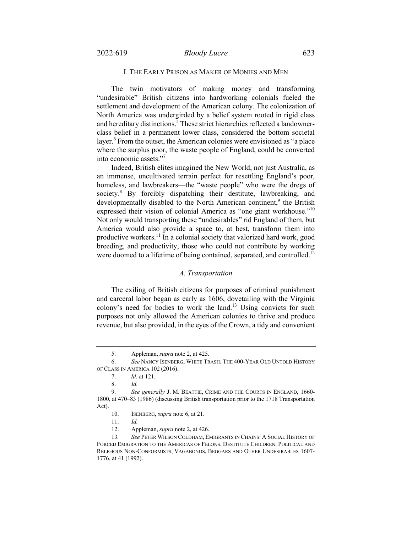# I. THE EARLY PRISON AS MAKER OF MONIES AND MEN

The twin motivators of making money and transforming "undesirable" British citizens into hardworking colonials fueled the settlement and development of the American colony. The colonization of North America was undergirded by a belief system rooted in rigid class and hereditary distinctions.<sup>5</sup> These strict hierarchies reflected a landownerclass belief in a permanent lower class, considered the bottom societal layer.<sup>6</sup> From the outset, the American colonies were envisioned as "a place" where the surplus poor, the waste people of England, could be converted into economic assets."<sup>7</sup>

Indeed, British elites imagined the New World, not just Australia, as an immense, uncultivated terrain perfect for resettling England's poor, homeless, and lawbreakers—the "waste people" who were the dregs of society.8 By forcibly dispatching their destitute, lawbreaking, and developmentally disabled to the North American continent,<sup>9</sup> the British expressed their vision of colonial America as "one giant workhouse."10 Not only would transporting these "undesirables" rid England of them, but America would also provide a space to, at best, transform them into productive workers.<sup>11</sup> In a colonial society that valorized hard work, good breeding, and productivity, those who could not contribute by working were doomed to a lifetime of being contained, separated, and controlled.<sup>12</sup>

## *A. Transportation*

The exiling of British citizens for purposes of criminal punishment and carceral labor began as early as 1606, dovetailing with the Virginia colony's need for bodies to work the land.<sup>13</sup> Using convicts for such purposes not only allowed the American colonies to thrive and produce revenue, but also provided, in the eyes of the Crown, a tidy and convenient

<sup>5.</sup> Appleman, *supra* note 2, at 425.

<sup>6.</sup> *See* NANCY ISENBERG, WHITE TRASH: THE 400-YEAR OLD UNTOLD HISTORY OF CLASS IN AMERICA 102 (2016).

<sup>7.</sup> *Id.* at 121.

<sup>8.</sup> *Id.*

<sup>9.</sup> *See generally* J. M. BEATTIE, CRIME AND THE COURTS IN ENGLAND, 1660- 1800, at 470–83 (1986) (discussing British transportation prior to the 1718 Transportation Act).

<sup>10.</sup> ISENBERG, *supra* note 6, at 21.

<sup>11.</sup> *Id.*

<sup>12.</sup> Appleman, *supra* note 2, at 426.

<sup>13</sup>*. See* PETER WILSON COLDHAM, EMIGRANTS IN CHAINS: A SOCIAL HISTORY OF FORCED EMIGRATION TO THE AMERICAS OF FELONS, DESTITUTE CHILDREN, POLITICAL AND RELIGIOUS NON-CONFORMISTS, VAGABONDS, BEGGARS AND OTHER UNDESIRABLES 1607- 1776, at 41 (1992).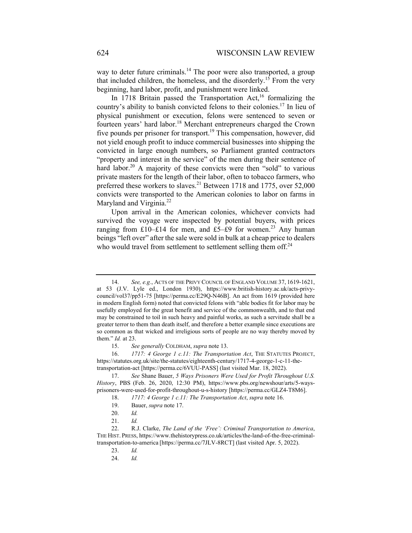way to deter future criminals.<sup>14</sup> The poor were also transported, a group that included children, the homeless, and the disorderly.<sup>15</sup> From the very beginning, hard labor, profit, and punishment were linked.

In  $1718$  Britain passed the Transportation Act,<sup>16</sup> formalizing the country's ability to banish convicted felons to their colonies.17 In lieu of physical punishment or execution, felons were sentenced to seven or fourteen years' hard labor.<sup>18</sup> Merchant entrepreneurs charged the Crown five pounds per prisoner for transport.<sup>19</sup> This compensation, however, did not yield enough profit to induce commercial businesses into shipping the convicted in large enough numbers, so Parliament granted contractors "property and interest in the service" of the men during their sentence of hard labor.<sup>20</sup> A majority of these convicts were then "sold" to various private masters for the length of their labor, often to tobacco farmers, who preferred these workers to slaves.<sup>21</sup> Between 1718 and 1775, over 52,000 convicts were transported to the American colonies to labor on farms in Maryland and Virginia.<sup>22</sup>

Upon arrival in the American colonies, whichever convicts had survived the voyage were inspected by potential buyers, with prices ranging from £10–£14 for men, and £5–£9 for women.<sup>23</sup> Any human beings "left over" after the sale were sold in bulk at a cheap price to dealers who would travel from settlement to settlement selling them off. $24$ 

<sup>14.</sup> *See, e.g.*, ACTS OF THE PRIVY COUNCIL OF ENGLAND VOLUME 37, 1619-1621, at 53 (J.V. Lyle ed., London 1930), https://www.british-history.ac.uk/acts-privycouncil/vol37/pp51-75 [https://perma.cc/E29Q-N46B]. An act from 1619 (provided here in modern English form) noted that convicted felons with "able bodies fit for labor may be usefully employed for the great benefit and service of the commonwealth, and to that end may be constrained to toil in such heavy and painful works, as such a servitude shall be a greater terror to them than death itself, and therefore a better example since executions are so common as that wicked and irreligious sorts of people are no way thereby moved by them." *Id.* at 23.

<sup>15.</sup> *See generally* COLDHAM, *supra* note 13.

<sup>16.</sup> *1717: 4 George 1 c.11: The Transportation Act*, THE STATUTES PROJECT, https://statutes.org.uk/site/the-statutes/eighteenth-century/1717-4-george-1-c-11-thetransportation-act [https://perma.cc/6VUU-PASS] (last visited Mar. 18, 2022).

<sup>17.</sup> *See* Shane Bauer, *5 Ways Prisoners Were Used for Profit Throughout U.S. History*, PBS (Feb. 26, 2020, 12:30 PM), https://www.pbs.org/newshour/arts/5-waysprisoners-were-used-for-profit-throughout-u-s-history [https://perma.cc/GLZ4-T8M6].

<sup>18.</sup> *1717: 4 George 1 c.11: The Transportation Act*, *supra* note 16.

<sup>19.</sup> Bauer, *supra* note 17.

<sup>20.</sup> *Id.* 

<sup>21.</sup> *Id.*

<sup>22.</sup> R.J. Clarke, *The Land of the 'Free': Criminal Transportation to America*, THE HIST. PRESS, https://www.thehistorypress.co.uk/articles/the-land-of-the-free-criminaltransportation-to-america [https://perma.cc/7JLV-8RCT] (last visited Apr. 5, 2022).

<sup>23.</sup> *Id.* 

<sup>24.</sup> *Id.*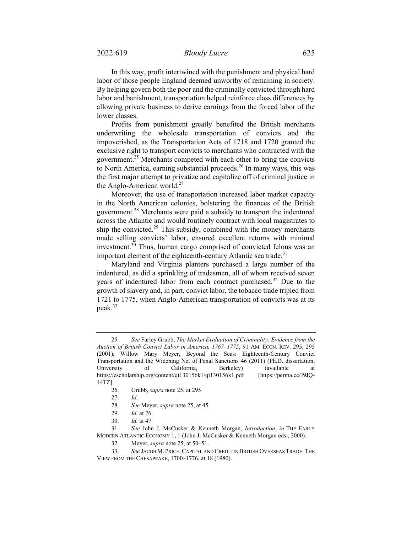In this way, profit intertwined with the punishment and physical hard labor of those people England deemed unworthy of remaining in society. By helping govern both the poor and the criminally convicted through hard labor and banishment, transportation helped reinforce class differences by allowing private business to derive earnings from the forced labor of the lower classes.

Profits from punishment greatly benefited the British merchants underwriting the wholesale transportation of convicts and the impoverished, as the Transportation Acts of 1718 and 1720 granted the exclusive right to transport convicts to merchants who contracted with the government.25 Merchants competed with each other to bring the convicts to North America, earning substantial proceeds.<sup>26</sup> In many ways, this was the first major attempt to privatize and capitalize off of criminal justice in the Anglo-American world. $27$ 

Moreover, the use of transportation increased labor market capacity in the North American colonies, bolstering the finances of the British government.28 Merchants were paid a subsidy to transport the indentured across the Atlantic and would routinely contract with local magistrates to ship the convicted.<sup>29</sup> This subsidy, combined with the money merchants made selling convicts' labor, ensured excellent returns with minimal investment.<sup>30</sup> Thus, human cargo comprised of convicted felons was an important element of the eighteenth-century Atlantic sea trade. $31$ 

Maryland and Virginia planters purchased a large number of the indentured, as did a sprinkling of tradesmen, all of whom received seven years of indentured labor from each contract purchased.<sup>32</sup> Due to the growth of slavery and, in part, convict labor, the tobacco trade tripled from 1721 to 1775, when Anglo-American transportation of convicts was at its peak.<sup>33</sup>

<sup>25.</sup> *See* Farley Grubb, *The Market Evaluation of Criminality: Evidence from the Auction of British Convict Labor in America, 1767–1775*, 91 AM. ECON. REV. 295, 295 (2001); Willow Mary Meyer, Beyond the Seas: Eighteenth-Century Convict Transportation and the Widening Net of Penal Sanctions 46 (2011) (Ph.D. dissertation, University of California, Berkeley) (available at https://escholarship.org/content/qt130156k1/qt130156k1.pdf [https://perma.cc/J9JQ-44TZ].

<sup>26.</sup> Grubb, *supra* note 25, at 295.

<sup>27.</sup> *Id.*

<sup>28.</sup> *See* Meyer, *supra* note 25, at 45.

<sup>29.</sup> *Id.* at 76.

<sup>30.</sup> *Id.* at 47.

<sup>31.</sup> *See* John J. McCusker & Kenneth Morgan, *Introduction*, *in* THE EARLY MODERN ATLANTIC ECONOMY 1, 1 (John J. McCusker & Kenneth Morgan eds., 2000).

<sup>32.</sup> Meyer, *supra* note 25, at 50–51.

<sup>33.</sup> *See* JACOB M. PRICE, CAPITAL AND CREDIT IN BRITISH OVERSEAS TRADE: THE VIEW FROM THE CHESAPEAKE, 1700–1776, at 18 (1980).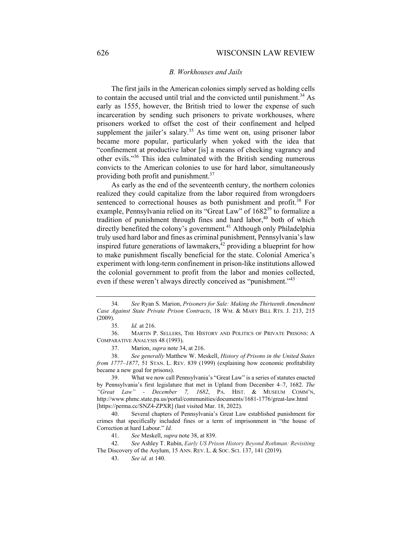## *B. Workhouses and Jails*

The first jails in the American colonies simply served as holding cells to contain the accused until trial and the convicted until punishment.<sup>34</sup> As early as 1555, however, the British tried to lower the expense of such incarceration by sending such prisoners to private workhouses, where prisoners worked to offset the cost of their confinement and helped supplement the jailer's salary.<sup>35</sup> As time went on, using prisoner labor became more popular, particularly when yoked with the idea that "confinement at productive labor [is] a means of checking vagrancy and other evils."36 This idea culminated with the British sending numerous convicts to the American colonies to use for hard labor, simultaneously providing both profit and punishment.37

As early as the end of the seventeenth century, the northern colonies realized they could capitalize from the labor required from wrongdoers sentenced to correctional houses as both punishment and profit.<sup>38</sup> For example, Pennsylvania relied on its "Great Law" of 1682<sup>39</sup> to formalize a tradition of punishment through fines and hard labor, $40$  both of which directly benefited the colony's government.<sup>41</sup> Although only Philadelphia truly used hard labor and fines as criminal punishment, Pennsylvania's law inspired future generations of lawmakers,<sup>42</sup> providing a blueprint for how to make punishment fiscally beneficial for the state. Colonial America's experiment with long-term confinement in prison-like institutions allowed the colonial government to profit from the labor and monies collected, even if these weren't always directly conceived as "punishment."<sup>43</sup>

<sup>34.</sup> *See* Ryan S. Marion, *Prisoners for Sale: Making the Thirteenth Amendment Case Against State Private Prison Contracts*, 18 WM. & MARY BILL RTS. J. 213, 215 (2009).

<sup>35.</sup> *Id.* at 216.

<sup>36.</sup> MARTIN P. SELLERS, THE HISTORY AND POLITICS OF PRIVATE PRISONS: A COMPARATIVE ANALYSIS 48 (1993).

<sup>37.</sup> Marion, *supra* note 34, at 216.

<sup>38.</sup> *See generally* Matthew W. Meskell, *History of Prisons in the United States from 1777–1877*, 51 STAN. L. REV. 839 (1999) (explaining how economic profitability became a new goal for prisons).

<sup>39.</sup> What we now call Pennsylvania's "Great Law" is a series of statutes enacted by Pennsylvania's first legislature that met in Upland from December 4–7, 1682. *The "Great Law" - December 7, 1682*, PA. HIST. & MUSEUM COMM'N, http://www.phmc.state.pa.us/portal/communities/documents/1681-1776/great-law.html [https://perma.cc/SNZ4-ZPXR] (last visited Mar. 18, 2022).

<sup>40.</sup> Several chapters of Pennsylvania's Great Law established punishment for crimes that specifically included fines or a term of imprisonment in "the house of Correction at hard Labour." *Id.* 

<sup>41.</sup> *See* Meskell, *supra* note 38, at 839.

<sup>42.</sup> *See* Ashley T. Rubin, *Early US Prison History Beyond Rothman: Revisiting* The Discovery of the Asylum, 15 ANN. REV. L. & SOC. SCI. 137, 141 (2019).

<sup>43.</sup> *See id.* at 140.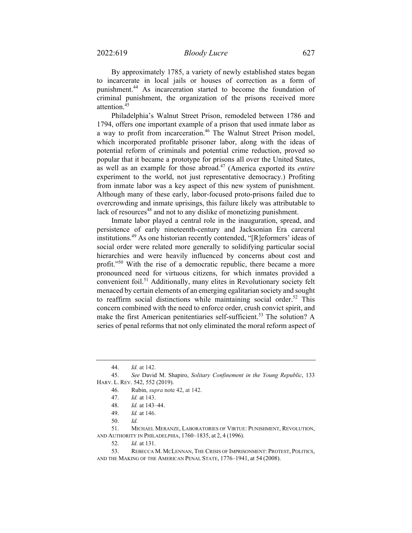By approximately 1785, a variety of newly established states began to incarcerate in local jails or houses of correction as a form of punishment.<sup>44</sup> As incarceration started to become the foundation of criminal punishment, the organization of the prisons received more attention.45

Philadelphia's Walnut Street Prison, remodeled between 1786 and 1794, offers one important example of a prison that used inmate labor as a way to profit from incarceration.<sup>46</sup> The Walnut Street Prison model, which incorporated profitable prisoner labor, along with the ideas of potential reform of criminals and potential crime reduction, proved so popular that it became a prototype for prisons all over the United States, as well as an example for those abroad.47 (America exported its *entire* experiment to the world, not just representative democracy.) Profiting from inmate labor was a key aspect of this new system of punishment. Although many of these early, labor-focused proto-prisons failed due to overcrowding and inmate uprisings, this failure likely was attributable to lack of resources<sup>48</sup> and not to any dislike of monetizing punishment.

Inmate labor played a central role in the inauguration, spread, and persistence of early nineteenth-century and Jacksonian Era carceral institutions.49 As one historian recently contended, "[R]eformers' ideas of social order were related more generally to solidifying particular social hierarchies and were heavily influenced by concerns about cost and profit."<sup>50</sup> With the rise of a democratic republic, there became a more pronounced need for virtuous citizens, for which inmates provided a convenient foil.<sup>51</sup> Additionally, many elites in Revolutionary society felt menaced by certain elements of an emerging egalitarian society and sought to reaffirm social distinctions while maintaining social order.<sup>52</sup> This concern combined with the need to enforce order, crush convict spirit, and make the first American penitentiaries self-sufficient.<sup>53</sup> The solution? A series of penal reforms that not only eliminated the moral reform aspect of

<sup>44.</sup> *Id.* at 142.

<sup>45.</sup> *See* David M. Shapiro, *Solitary Confinement in the Young Republic*, 133 HARV. L. REV. 542, 552 (2019).

<sup>46.</sup> Rubin, *supra* note 42, at 142.

<sup>47.</sup> *Id.* at 143.

<sup>48.</sup> *Id.* at 143–44.

<sup>49.</sup> *Id.* at 146.

<sup>50.</sup> *Id.*

<sup>51.</sup> MICHAEL MERANZE, LABORATORIES OF VIRTUE: PUNISHMENT, REVOLUTION, AND AUTHORITY IN PHILADELPHIA, 1760–1835, at 2, 4 (1996).

<sup>52.</sup> *Id.* at 131.

 <sup>53.</sup> REBECCA M. MCLENNAN, THE CRISIS OF IMPRISONMENT: PROTEST, POLITICS, AND THE MAKING OF THE AMERICAN PENAL STATE, 1776–1941, at 54 (2008).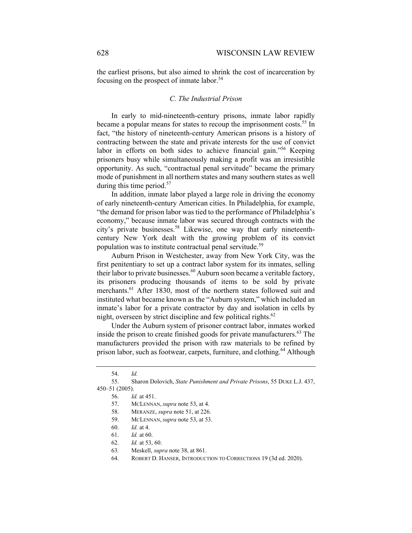the earliest prisons, but also aimed to shrink the cost of incarceration by focusing on the prospect of inmate labor.<sup>54</sup>

## *C. The Industrial Prison*

In early to mid-nineteenth-century prisons, inmate labor rapidly became a popular means for states to recoup the imprisonment costs.<sup>55</sup> In fact, "the history of nineteenth-century American prisons is a history of contracting between the state and private interests for the use of convict labor in efforts on both sides to achieve financial gain."<sup>56</sup> Keeping prisoners busy while simultaneously making a profit was an irresistible opportunity. As such, "contractual penal servitude" became the primary mode of punishment in all northern states and many southern states as well during this time period. $57$ 

In addition, inmate labor played a large role in driving the economy of early nineteenth-century American cities. In Philadelphia, for example, "the demand for prison labor was tied to the performance of Philadelphia's economy," because inmate labor was secured through contracts with the city's private businesses.58 Likewise, one way that early nineteenthcentury New York dealt with the growing problem of its convict population was to institute contractual penal servitude.<sup>59</sup>

Auburn Prison in Westchester, away from New York City, was the first penitentiary to set up a contract labor system for its inmates, selling their labor to private businesses.<sup>60</sup> Auburn soon became a veritable factory, its prisoners producing thousands of items to be sold by private merchants.<sup>61</sup> After 1830, most of the northern states followed suit and instituted what became known as the "Auburn system," which included an inmate's labor for a private contractor by day and isolation in cells by night, overseen by strict discipline and few political rights. $62$ 

Under the Auburn system of prisoner contract labor, inmates worked inside the prison to create finished goods for private manufacturers.<sup>63</sup> The manufacturers provided the prison with raw materials to be refined by prison labor, such as footwear, carpets, furniture, and clothing.<sup>64</sup> Although

<sup>54.</sup> *Id.*

<sup>55.</sup> Sharon Dolovich, *State Punishment and Private Prisons*, 55 DUKE L.J. 437, 450–51 (2005).

<sup>56.</sup> *Id.* at 451.

<sup>57.</sup> MCLENNAN, *supra* note 53, at 4.

<sup>58.</sup> MERANZE, *supra* note 51, at 226.

<sup>59.</sup> MCLENNAN, *supra* note 53, at 53.

<sup>60.</sup> *Id.* at 4.

<sup>61.</sup> *Id.* at 60.

<sup>62.</sup> *Id.* at 53, 60.

<sup>63</sup>*.* Meskell, *supra* note 38, at 861.

<sup>64.</sup> ROBERT D. HANSER, INTRODUCTION TO CORRECTIONS 19 (3d ed. 2020).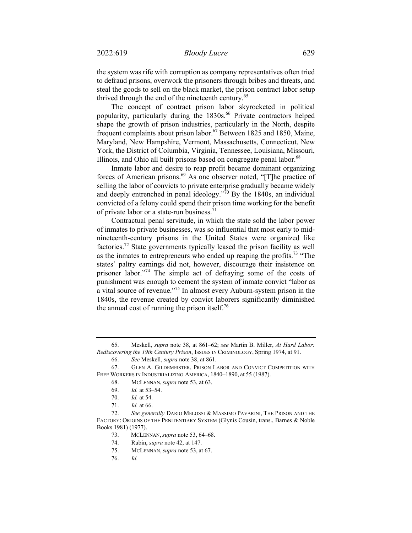the system was rife with corruption as company representatives often tried to defraud prisons, overwork the prisoners through bribes and threats, and steal the goods to sell on the black market, the prison contract labor setup thrived through the end of the nineteenth century.<sup>65</sup>

The concept of contract prison labor skyrocketed in political popularity, particularly during the 1830s.<sup>66</sup> Private contractors helped shape the growth of prison industries, particularly in the North, despite frequent complaints about prison labor.<sup>67</sup> Between 1825 and 1850, Maine, Maryland, New Hampshire, Vermont, Massachusetts, Connecticut, New York, the District of Columbia, Virginia, Tennessee, Louisiana, Missouri, Illinois, and Ohio all built prisons based on congregate penal labor.<sup>68</sup>

Inmate labor and desire to reap profit became dominant organizing forces of American prisons.<sup>69</sup> As one observer noted, "[T]he practice of selling the labor of convicts to private enterprise gradually became widely and deeply entrenched in penal ideology."70 By the 1840s, an individual convicted of a felony could spend their prison time working for the benefit of private labor or a state-run business.<sup>71</sup>

Contractual penal servitude, in which the state sold the labor power of inmates to private businesses, was so influential that most early to midnineteenth-century prisons in the United States were organized like factories.72 State governments typically leased the prison facility as well as the inmates to entrepreneurs who ended up reaping the profits.73 "The states' paltry earnings did not, however, discourage their insistence on prisoner labor."74 The simple act of defraying some of the costs of punishment was enough to cement the system of inmate convict "labor as a vital source of revenue."75 In almost every Auburn-system prison in the 1840s, the revenue created by convict laborers significantly diminished the annual cost of running the prison itself.<sup>76</sup>

<sup>65.</sup> Meskell, *supra* note 38, at 861–62; *see* Martin B. Miller, *At Hard Labor: Rediscovering the 19th Century Prison*, ISSUES IN CRIMINOLOGY, Spring 1974, at 91.

<sup>66.</sup> *See* Meskell, *supra* note 38, at 861.

<sup>67.</sup> GLEN A. GILDEMEISTER, PRISON LABOR AND CONVICT COMPETITION WITH FREE WORKERS IN INDUSTRIALIZING AMERICA, 1840–1890, at 55 (1987).

<sup>68.</sup> MCLENNAN, *supra* note 53, at 63.

<sup>69.</sup> *Id.* at 53–54.

<sup>70.</sup> *Id.* at 54.

<sup>71.</sup> *Id.* at 66.

<sup>72.</sup> *See generally* DARIO MELOSSI & MASSIMO PAVARINI, THE PRISON AND THE FACTORY: ORIGINS OF THE PENITENTIARY SYSTEM (Glynis Cousin, trans., Barnes & Noble Books 1981) (1977).

<sup>73.</sup> MCLENNAN, *supra* note 53, 64–68.

<sup>74.</sup> Rubin, *supra* note 42, at 147.

<sup>75.</sup> MCLENNAN, *supra* note 53, at 67.

<sup>76.</sup> *Id.*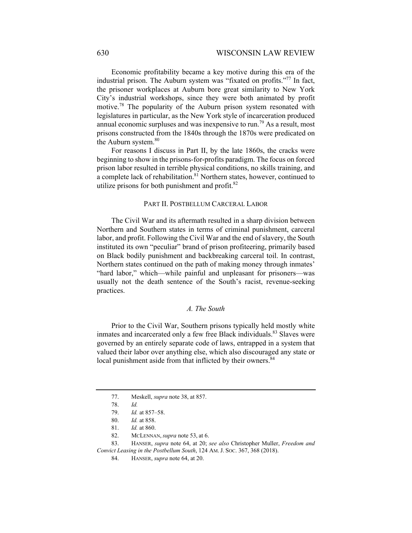Economic profitability became a key motive during this era of the industrial prison. The Auburn system was "fixated on profits."<sup>77</sup> In fact, the prisoner workplaces at Auburn bore great similarity to New York City's industrial workshops, since they were both animated by profit motive.78 The popularity of the Auburn prison system resonated with legislatures in particular, as the New York style of incarceration produced annual economic surpluses and was inexpensive to run.<sup>79</sup> As a result, most prisons constructed from the 1840s through the 1870s were predicated on the Auburn system.<sup>80</sup>

For reasons I discuss in Part II, by the late 1860s, the cracks were beginning to show in the prisons-for-profits paradigm. The focus on forced prison labor resulted in terrible physical conditions, no skills training, and a complete lack of rehabilitation.<sup>81</sup> Northern states, however, continued to utilize prisons for both punishment and profit.<sup>82</sup>

#### PART II. POSTBELLUM CARCERAL LABOR

The Civil War and its aftermath resulted in a sharp division between Northern and Southern states in terms of criminal punishment, carceral labor, and profit. Following the Civil War and the end of slavery, the South instituted its own "peculiar" brand of prison profiteering, primarily based on Black bodily punishment and backbreaking carceral toil. In contrast, Northern states continued on the path of making money through inmates' "hard labor," which—while painful and unpleasant for prisoners—was usually not the death sentence of the South's racist, revenue-seeking practices.

#### *A. The South*

Prior to the Civil War, Southern prisons typically held mostly white inmates and incarcerated only a few free Black individuals.<sup>83</sup> Slaves were governed by an entirely separate code of laws, entrapped in a system that valued their labor over anything else, which also discouraged any state or local punishment aside from that inflicted by their owners.<sup>84</sup>

<sup>77.</sup> Meskell, *supra* note 38, at 857.

<sup>78.</sup> *Id.* 

<sup>79.</sup> *Id.* at 857–58.

<sup>80.</sup> *Id.* at 858.

<sup>81.</sup> *Id.* at 860.

 <sup>82.</sup> MCLENNAN, *supra* note 53, at 6.

<sup>83.</sup> HANSER, *supra* note 64, at 20; *see also* Christopher Muller, *Freedom and Convict Leasing in the Postbellum South*, 124 AM. J. SOC. 367, 368 (2018).

<sup>84.</sup> HANSER, *supra* note 64, at 20.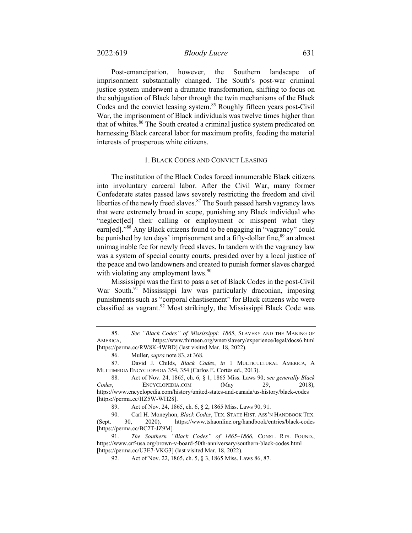Post-emancipation, however, the Southern landscape of imprisonment substantially changed. The South's post-war criminal justice system underwent a dramatic transformation, shifting to focus on the subjugation of Black labor through the twin mechanisms of the Black Codes and the convict leasing system.<sup>85</sup> Roughly fifteen years post-Civil War, the imprisonment of Black individuals was twelve times higher than that of whites.<sup>86</sup> The South created a criminal justice system predicated on harnessing Black carceral labor for maximum profits, feeding the material interests of prosperous white citizens.

#### 1. BLACK CODES AND CONVICT LEASING

The institution of the Black Codes forced innumerable Black citizens into involuntary carceral labor. After the Civil War, many former Confederate states passed laws severely restricting the freedom and civil liberties of the newly freed slaves. $87$  The South passed harsh vagrancy laws that were extremely broad in scope, punishing any Black individual who "neglect[ed] their calling or employment or misspent what they earn[ed]."<sup>88</sup> Any Black citizens found to be engaging in "vagrancy" could be punished by ten days' imprisonment and a fifty-dollar fine,<sup>89</sup> an almost unimaginable fee for newly freed slaves. In tandem with the vagrancy law was a system of special county courts, presided over by a local justice of the peace and two landowners and created to punish former slaves charged with violating any employment laws.<sup>90</sup>

Mississippi was the first to pass a set of Black Codes in the post-Civil War South.<sup>91</sup> Mississippi law was particularly draconian, imposing punishments such as "corporal chastisement" for Black citizens who were classified as vagrant.92 Most strikingly, the Mississippi Black Code was

<sup>85.</sup> *See "Black Codes" of Mississippi: 1865*, SLAVERY AND THE MAKING OF AMERICA, https://www.thirteen.org/wnet/slavery/experience/legal/docs6.html [https://perma.cc/RW8K-4WBD] (last visited Mar. 18, 2022).

<sup>86.</sup> Muller, *supra* note 83, at 368*.* 

<sup>87.</sup> David J. Childs, *Black Codes*, *in* 1 MULTICULTURAL AMERICA, A MULTIMEDIA ENCYCLOPEDIA 354, 354 (Carlos E. Cortés ed., 2013).

<sup>88.</sup> Act of Nov. 24, 1865, ch. 6, § 1, 1865 Miss. Laws 90; *see generally Black Codes*, ENCYCLOPEDIA.COM (May 29, 2018), https://www.encyclopedia.com/history/united-states-and-canada/us-history/black-codes [https://perma.cc/HZ5W-WH28].

<sup>89.</sup> Act of Nov. 24, 1865, ch. 6, § 2, 1865 Miss. Laws 90, 91.

<sup>90.</sup> Carl H. Moneyhon, *Black Codes*, TEX. STATE HIST. ASS'N HANDBOOK TEX. (Sept. 30, 2020), https://www.tshaonline.org/handbook/entries/black-codes [https://perma.cc/BC2T-JZ9M]*.* 

<sup>91.</sup> *The Southern "Black Codes" of 1865–1866*, CONST. RTS. FOUND., https://www.crf-usa.org/brown-v-board-50th-anniversary/southern-black-codes.html [https://perma.cc/U3E7-VKG3] (last visited Mar. 18, 2022).

<sup>92.</sup> Act of Nov. 22, 1865, ch. 5, § 3, 1865 Miss. Laws 86, 87.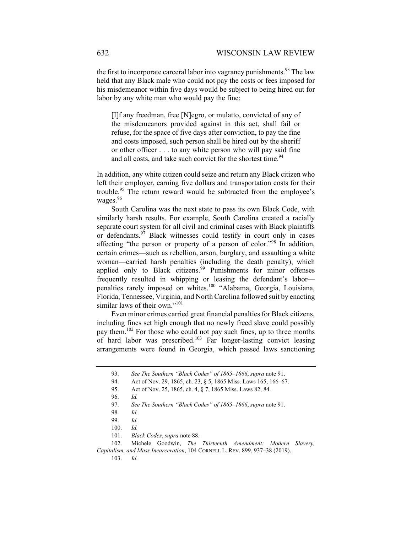the first to incorporate carceral labor into vagrancy punishments.<sup>93</sup> The law held that any Black male who could not pay the costs or fees imposed for his misdemeanor within five days would be subject to being hired out for labor by any white man who would pay the fine:

[I]f any freedman, free [N]egro, or mulatto, convicted of any of the misdemeanors provided against in this act, shall fail or refuse, for the space of five days after conviction, to pay the fine and costs imposed, such person shall be hired out by the sheriff or other officer . . . to any white person who will pay said fine and all costs, and take such convict for the shortest time.<sup>94</sup>

In addition, any white citizen could seize and return any Black citizen who left their employer, earning five dollars and transportation costs for their trouble.95 The return reward would be subtracted from the employee's wages.<sup>96</sup>

South Carolina was the next state to pass its own Black Code, with similarly harsh results. For example, South Carolina created a racially separate court system for all civil and criminal cases with Black plaintiffs or defendants.<sup>97</sup> Black witnesses could testify in court only in cases affecting "the person or property of a person of color."98 In addition, certain crimes—such as rebellion, arson, burglary, and assaulting a white woman—carried harsh penalties (including the death penalty), which applied only to Black citizens.<sup>99</sup> Punishments for minor offenses frequently resulted in whipping or leasing the defendant's labor penalties rarely imposed on whites.<sup>100</sup> "Alabama, Georgia, Louisiana, Florida, Tennessee, Virginia, and North Carolina followed suit by enacting similar laws of their own."<sup>101</sup>

Even minor crimes carried great financial penalties for Black citizens, including fines set high enough that no newly freed slave could possibly pay them.102 For those who could not pay such fines, up to three months of hard labor was prescribed.<sup>103</sup> Far longer-lasting convict leasing arrangements were found in Georgia, which passed laws sanctioning

 <sup>93.</sup> *See The Southern "Black Codes" of 1865–1866*, *supra* note 91.

<sup>94.</sup> Act of Nov. 29, 1865, ch. 23, § 5, 1865 Miss. Laws 165, 166–67.

<sup>95.</sup> Act of Nov. 25, 1865, ch. 4, § 7, 1865 Miss. Laws 82, 84.

<sup>96.</sup> *Id.*

<sup>97.</sup> *See The Southern "Black Codes" of 1865–1866*, *supra* note 91.

<sup>98.</sup> *Id.*

<sup>99.</sup> *Id.*

<sup>100.</sup> *Id.* 

<sup>101.</sup> *Black Codes*, *supra* note 88.

<sup>102.</sup> Michele Goodwin, *The Thirteenth Amendment: Modern Slavery, Capitalism, and Mass Incarceration*, 104 CORNELL L. REV. 899, 937–38 (2019).

<sup>103.</sup> *Id.*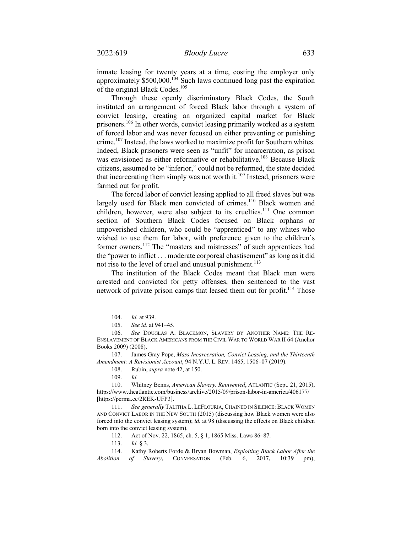inmate leasing for twenty years at a time, costing the employer only approximately  $$500,000$ .<sup>104</sup> Such laws continued long past the expiration of the original Black Codes.<sup>105</sup>

Through these openly discriminatory Black Codes, the South instituted an arrangement of forced Black labor through a system of convict leasing, creating an organized capital market for Black prisoners.106 In other words, convict leasing primarily worked as a system of forced labor and was never focused on either preventing or punishing crime.<sup>107</sup> Instead, the laws worked to maximize profit for Southern whites. Indeed, Black prisoners were seen as "unfit" for incarceration, as prison was envisioned as either reformative or rehabilitative.<sup>108</sup> Because Black citizens, assumed to be "inferior," could not be reformed, the state decided that incarcerating them simply was not worth it.<sup>109</sup> Instead, prisoners were farmed out for profit.

The forced labor of convict leasing applied to all freed slaves but was largely used for Black men convicted of crimes.<sup>110</sup> Black women and children, however, were also subject to its cruelties.<sup>111</sup> One common section of Southern Black Codes focused on Black orphans or impoverished children, who could be "apprenticed" to any whites who wished to use them for labor, with preference given to the children's former owners.112 The "masters and mistresses" of such apprentices had the "power to inflict . . . moderate corporeal chastisement" as long as it did not rise to the level of cruel and unusual punishment.<sup>113</sup>

The institution of the Black Codes meant that Black men were arrested and convicted for petty offenses, then sentenced to the vast network of private prison camps that leased them out for profit.<sup>114</sup> Those

108. Rubin, *supra* note 42, at 150.

111. *See generally* TALITHA L. LEFLOURIA, CHAINED IN SILENCE: BLACK WOMEN AND CONVICT LABOR IN THE NEW SOUTH (2015) (discussing how Black women were also forced into the convict leasing system); *id.* at 98 (discussing the effects on Black children born into the convict leasing system).

112. Act of Nov. 22, 1865, ch. 5, § 1, 1865 Miss. Laws 86–87.

113. *Id.* § 3.

<sup>104.</sup> *Id.* at 939.

<sup>105.</sup> *See id.* at 941–45.

<sup>106.</sup> *See* DOUGLAS A. BLACKMON, SLAVERY BY ANOTHER NAME: THE RE-ENSLAVEMENT OF BLACK AMERICANS FROM THE CIVIL WAR TO WORLD WAR II 64 (Anchor Books 2009) (2008).

<sup>107.</sup> James Gray Pope, *Mass Incarceration, Convict Leasing, and the Thirteenth Amendment: A Revisionist Account*, 94 N.Y.U. L. REV. 1465, 1506–07 (2019).

<sup>109.</sup> *Id.* 

 <sup>110.</sup> Whitney Benns, *American Slavery, Reinvented*, ATLANTIC (Sept. 21, 2015), https://www.theatlantic.com/business/archive/2015/09/prison-labor-in-america/406177/ [https://perma.cc/2REK-UFP3].

<sup>114.</sup> Kathy Roberts Forde & Bryan Bowman, *Exploiting Black Labor After the Abolition of Slavery*, CONVERSATION (Feb. 6, 2017, 10:39 pm),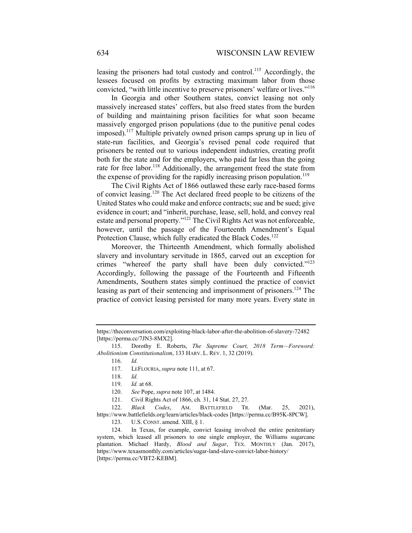leasing the prisoners had total custody and control.<sup>115</sup> Accordingly, the lessees focused on profits by extracting maximum labor from those convicted, "with little incentive to preserve prisoners' welfare or lives."<sup>116</sup>

In Georgia and other Southern states, convict leasing not only massively increased states' coffers, but also freed states from the burden of building and maintaining prison facilities for what soon became massively engorged prison populations (due to the punitive penal codes imposed).117 Multiple privately owned prison camps sprung up in lieu of state-run facilities, and Georgia's revised penal code required that prisoners be rented out to various independent industries, creating profit both for the state and for the employers, who paid far less than the going rate for free labor.<sup>118</sup> Additionally, the arrangement freed the state from the expense of providing for the rapidly increasing prison population.<sup>119</sup>

The Civil Rights Act of 1866 outlawed these early race-based forms of convict leasing.120 The Act declared freed people to be citizens of the United States who could make and enforce contracts; sue and be sued; give evidence in court; and "inherit, purchase, lease, sell, hold, and convey real estate and personal property."121 The Civil Rights Act was not enforceable, however, until the passage of the Fourteenth Amendment's Equal Protection Clause, which fully eradicated the Black Codes.<sup>122</sup>

Moreover, the Thirteenth Amendment, which formally abolished slavery and involuntary servitude in 1865, carved out an exception for crimes "whereof the party shall have been duly convicted."<sup>123</sup> Accordingly, following the passage of the Fourteenth and Fifteenth Amendments, Southern states simply continued the practice of convict leasing as part of their sentencing and imprisonment of prisoners.<sup>124</sup> The practice of convict leasing persisted for many more years. Every state in

122. *Black Codes*, AM. BATTLEFIELD TR. (Mar. 25, 2021), https://www.battlefields.org/learn/articles/black-codes [https://perma.cc/B95K-8PCW].

123. U.S. CONST. amend. XIII, § 1.

124. In Texas, for example, convict leasing involved the entire penitentiary system, which leased all prisoners to one single employer, the Williams sugarcane plantation. Michael Hardy, *Blood and Sugar*, TEX. MONTHLY (Jan. 2017), https://www.texasmonthly.com/articles/sugar-land-slave-convict-labor-history/ [https://perma.cc/VBT2-KEBM].

https://theconversation.com/exploiting-black-labor-after-the-abolition-of-slavery-72482 [https://perma.cc/7JN3-8MX2].

<sup>115.</sup> Dorothy E. Roberts, *The Supreme Court, 2018 Term—Foreword: Abolitionism Constitutionalism*, 133 HARV. L. REV. 1, 32 (2019).

<sup>116.</sup> *Id.* 

<sup>117.</sup> LEFLOURIA, *supra* note 111, at 67.

<sup>118.</sup> *Id.*

<sup>119.</sup> *Id.* at 68.

<sup>120.</sup> *See* Pope, *supra* note 107, at 1484.

<sup>121.</sup> Civil Rights Act of 1866, ch. 31, 14 Stat. 27, 27.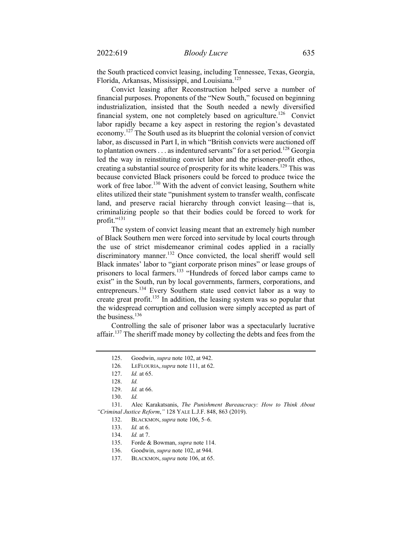the South practiced convict leasing, including Tennessee, Texas, Georgia, Florida, Arkansas, Mississippi, and Louisiana.<sup>125</sup>

Convict leasing after Reconstruction helped serve a number of financial purposes. Proponents of the "New South," focused on beginning industrialization, insisted that the South needed a newly diversified financial system, one not completely based on agriculture.<sup>126</sup> Convict labor rapidly became a key aspect in restoring the region's devastated economy.<sup>127</sup> The South used as its blueprint the colonial version of convict labor, as discussed in Part I, in which "British convicts were auctioned off to plantation owners . . . as indentured servants" for a set period.<sup>128</sup> Georgia led the way in reinstituting convict labor and the prisoner-profit ethos, creating a substantial source of prosperity for its white leaders.<sup>129</sup> This was because convicted Black prisoners could be forced to produce twice the work of free labor.<sup>130</sup> With the advent of convict leasing, Southern white elites utilized their state "punishment system to transfer wealth, confiscate land, and preserve racial hierarchy through convict leasing—that is, criminalizing people so that their bodies could be forced to work for profit."<sup>131</sup>

The system of convict leasing meant that an extremely high number of Black Southern men were forced into servitude by local courts through the use of strict misdemeanor criminal codes applied in a racially discriminatory manner.<sup>132</sup> Once convicted, the local sheriff would sell Black inmates' labor to "giant corporate prison mines" or lease groups of prisoners to local farmers.<sup>133</sup> "Hundreds of forced labor camps came to exist" in the South, run by local governments, farmers, corporations, and entrepreneurs.<sup>134</sup> Every Southern state used convict labor as a way to create great profit.<sup>135</sup> In addition, the leasing system was so popular that the widespread corruption and collusion were simply accepted as part of the business.<sup>136</sup>

Controlling the sale of prisoner labor was a spectacularly lucrative affair.<sup>137</sup> The sheriff made money by collecting the debts and fees from the

126*.* LEFLOURIA, *supra* note 111, at 62.

133. *Id.* at 6.

<sup>125.</sup> Goodwin, *supra* note 102, at 942.

<sup>127.</sup> *Id.* at 65.

<sup>128.</sup> *Id.* 

<sup>129.</sup> *Id.* at 66.

<sup>130.</sup> *Id.* 

<sup>131.</sup> Alec Karakatsanis, *The Punishment Bureaucracy: How to Think About "Criminal Justice Reform*,*"* 128 YALE L.J.F. 848, 863 (2019).

<sup>132.</sup> BLACKMON, *supra* note 106, 5–6.

<sup>134.</sup> *Id.* at 7.

<sup>135.</sup> Forde & Bowman, *supra* note 114.

<sup>136.</sup> Goodwin, *supra* note 102, at 944.

<sup>137.</sup> BLACKMON, *supra* note 106, at 65.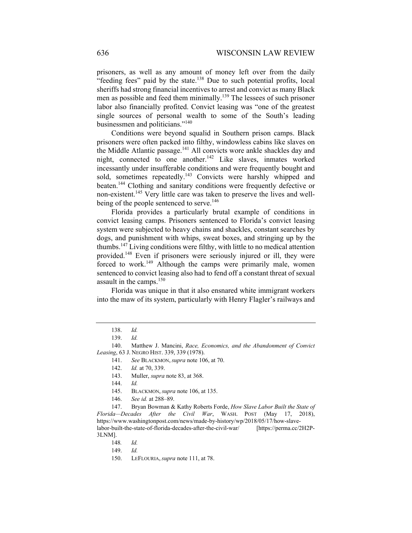prisoners, as well as any amount of money left over from the daily "feeding fees" paid by the state.<sup>138</sup> Due to such potential profits, local sheriffs had strong financial incentives to arrest and convict as many Black men as possible and feed them minimally.<sup>139</sup> The lessees of such prisoner labor also financially profited. Convict leasing was "one of the greatest single sources of personal wealth to some of the South's leading businessmen and politicians."140

Conditions were beyond squalid in Southern prison camps. Black prisoners were often packed into filthy, windowless cabins like slaves on the Middle Atlantic passage.<sup>141</sup> All convicts wore ankle shackles day and night, connected to one another.<sup>142</sup> Like slaves, inmates worked incessantly under insufferable conditions and were frequently bought and sold, sometimes repeatedly.<sup>143</sup> Convicts were harshly whipped and beaten.144 Clothing and sanitary conditions were frequently defective or non-existent.145 Very little care was taken to preserve the lives and wellbeing of the people sentenced to serve.<sup>146</sup>

Florida provides a particularly brutal example of conditions in convict leasing camps. Prisoners sentenced to Florida's convict leasing system were subjected to heavy chains and shackles, constant searches by dogs, and punishment with whips, sweat boxes, and stringing up by the thumbs.<sup>147</sup> Living conditions were filthy, with little to no medical attention provided.148 Even if prisoners were seriously injured or ill, they were forced to work.<sup>149</sup> Although the camps were primarily male, women sentenced to convict leasing also had to fend off a constant threat of sexual assault in the camps.<sup>150</sup>

Florida was unique in that it also ensnared white immigrant workers into the maw of its system, particularly with Henry Flagler's railways and

140. Matthew J. Mancini, *Race, Economics, and the Abandonment of Convict Leasing*, 63 J. NEGRO HIST. 339, 339 (1978).

141. *See* BLACKMON,*supra* note 106, at 70.

- 145. BLACKMON, *supra* note 106, at 135.
- 146. *See id.* at 288–89.

147. Bryan Bowman & Kathy Roberts Forde, *How Slave Labor Built the State of Florida—Decades After the Civil War*, WASH. POST (May 17, 2018), https://www.washingtonpost.com/news/made-by-history/wp/2018/05/17/how-slavelabor-built-the-state-of-florida-decades-after-the-civil-war/ [https://perma.cc/2H2P-3LNM].

 <sup>138.</sup> *Id.*

<sup>139.</sup> *Id.*

<sup>142.</sup> *Id.* at 70, 339.

<sup>143.</sup> Muller, *supra* note 83, at 368.

<sup>144.</sup> *Id.*

<sup>148</sup>*. Id.* 

<sup>149.</sup> *Id.*

<sup>150.</sup> LEFLOURIA, *supra* note 111, at 78.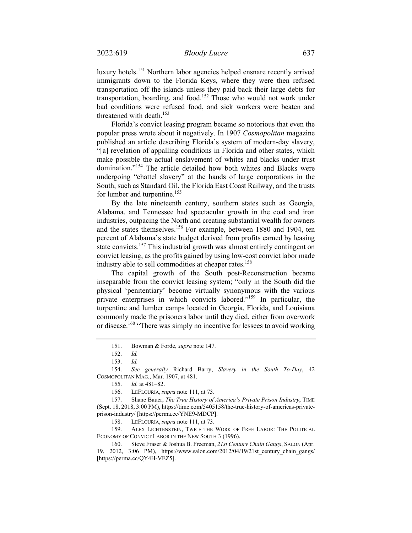luxury hotels.151 Northern labor agencies helped ensnare recently arrived immigrants down to the Florida Keys, where they were then refused transportation off the islands unless they paid back their large debts for transportation, boarding, and food.<sup>152</sup> Those who would not work under bad conditions were refused food, and sick workers were beaten and threatened with death.<sup>153</sup>

Florida's convict leasing program became so notorious that even the popular press wrote about it negatively. In 1907 *Cosmopolitan* magazine published an article describing Florida's system of modern-day slavery, "[a] revelation of appalling conditions in Florida and other states, which make possible the actual enslavement of whites and blacks under trust domination."<sup>154</sup> The article detailed how both whites and Blacks were undergoing "chattel slavery" at the hands of large corporations in the South, such as Standard Oil, the Florida East Coast Railway, and the trusts for lumber and turpentine.<sup>155</sup>

By the late nineteenth century, southern states such as Georgia, Alabama, and Tennessee had spectacular growth in the coal and iron industries, outpacing the North and creating substantial wealth for owners and the states themselves.<sup>156</sup> For example, between 1880 and 1904, ten percent of Alabama's state budget derived from profits earned by leasing state convicts.<sup>157</sup> This industrial growth was almost entirely contingent on convict leasing, as the profits gained by using low-cost convict labor made industry able to sell commodities at cheaper rates.<sup>158</sup>

The capital growth of the South post-Reconstruction became inseparable from the convict leasing system; "only in the South did the physical 'penitentiary' become virtually synonymous with the various private enterprises in which convicts labored."<sup>159</sup> In particular, the turpentine and lumber camps located in Georgia, Florida, and Louisiana commonly made the prisoners labor until they died, either from overwork or disease.<sup>160</sup> "There was simply no incentive for lessees to avoid working

158. LEFLOURIA, *supra* note 111, at 73.

159. ALEX LICHTENSTEIN, TWICE THE WORK OF FREE LABOR: THE POLITICAL ECONOMY OF CONVICT LABOR IN THE NEW SOUTH 3 (1996).

<sup>151.</sup> Bowman & Forde, *supra* note 147.

<sup>152.</sup> *Id.*

<sup>153.</sup> *Id.*

<sup>154.</sup> *See generally* Richard Barry, *Slavery in the South To-Day*, 42 COSMOPOLITAN MAG., Mar. 1907, at 481.

<sup>155.</sup> *Id.* at 481–82.

<sup>156.</sup> LEFLOURIA, *supra* note 111, at 73.

<sup>157.</sup> Shane Bauer, *The True History of America's Private Prison Industry*, TIME (Sept. 18, 2018, 3:00 PM), https://time.com/5405158/the-true-history-of-americas-privateprison-industry/ [https://perma.cc/YNE9-MDCP].

<sup>160.</sup> Steve Fraser & Joshua B. Freeman, *21st Century Chain Gangs*, SALON (Apr. 19, 2012, 3:06 PM), https://www.salon.com/2012/04/19/21st\_century\_chain\_gangs/ [https://perma.cc/QY4H-VEZ5].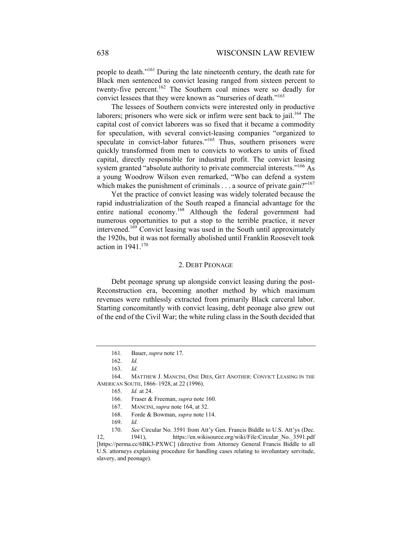people to death."161 During the late nineteenth century, the death rate for Black men sentenced to convict leasing ranged from sixteen percent to twenty-five percent.162 The Southern coal mines were so deadly for convict lessees that they were known as "nurseries of death."163

The lessees of Southern convicts were interested only in productive laborers; prisoners who were sick or infirm were sent back to jail.<sup>164</sup> The capital cost of convict laborers was so fixed that it became a commodity for speculation, with several convict-leasing companies "organized to speculate in convict-labor futures."<sup>165</sup> Thus, southern prisoners were quickly transformed from men to convicts to workers to units of fixed capital, directly responsible for industrial profit. The convict leasing system granted "absolute authority to private commercial interests."<sup>166</sup> As a young Woodrow Wilson even remarked, "Who can defend a system which makes the punishment of criminals  $\dots$  a source of private gain?"<sup>167</sup>

Yet the practice of convict leasing was widely tolerated because the rapid industrialization of the South reaped a financial advantage for the entire national economy.168 Although the federal government had numerous opportunities to put a stop to the terrible practice, it never intervened.169 Convict leasing was used in the South until approximately the 1920s, but it was not formally abolished until Franklin Roosevelt took action in 1941.170

#### 2. DEBT PEONAGE

Debt peonage sprung up alongside convict leasing during the post-Reconstruction era, becoming another method by which maximum revenues were ruthlessly extracted from primarily Black carceral labor. Starting concomitantly with convict leasing, debt peonage also grew out of the end of the Civil War; the white ruling class in the South decided that

- 168. Forde & Bowman, *supra* note 114.
- 169. *Id.*

<sup>161</sup>*.* Bauer, *supra* note 17.

<sup>162.</sup> *Id.* 

<sup>163.</sup> *Id.*

<sup>164.</sup> MATTHEW J. MANCINI, ONE DIES, GET ANOTHER: CONVICT LEASING IN THE AMERICAN SOUTH, 1866–1928, at 22 (1996).

<sup>165.</sup> *Id.* at 24.

<sup>166.</sup> Fraser & Freeman, *supra* note 160.

<sup>167.</sup> MANCINI, *supra* note 164, at 32.

<sup>170.</sup> *See* Circular No. 3591 from Att'y Gen. Francis Biddle to U.S. Att'ys (Dec. 12, 1941), https://en.wikisource.org/wiki/File:Circular\_No.\_3591.pdf [https://perma.cc/6BK3-PXWC] (directive from Attorney General Francis Biddle to all

U.S. attorneys explaining procedure for handling cases relating to involuntary servitude, slavery, and peonage).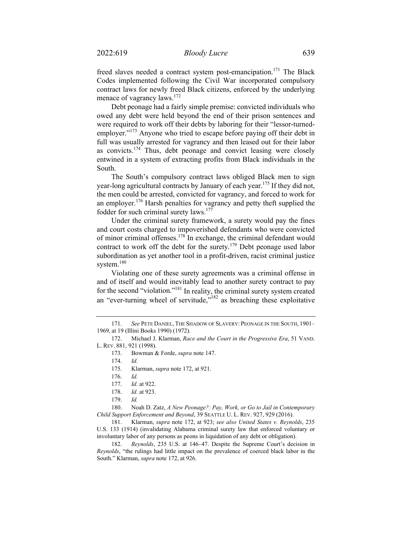freed slaves needed a contract system post-emancipation.<sup>171</sup> The Black Codes implemented following the Civil War incorporated compulsory contract laws for newly freed Black citizens, enforced by the underlying menace of vagrancy laws.<sup>172</sup>

Debt peonage had a fairly simple premise: convicted individuals who owed any debt were held beyond the end of their prison sentences and were required to work off their debts by laboring for their "lessor-turnedemployer."<sup>173</sup> Anyone who tried to escape before paying off their debt in full was usually arrested for vagrancy and then leased out for their labor as convicts.174 Thus, debt peonage and convict leasing were closely entwined in a system of extracting profits from Black individuals in the South.

The South's compulsory contract laws obliged Black men to sign year-long agricultural contracts by January of each year.<sup>175</sup> If they did not, the men could be arrested, convicted for vagrancy, and forced to work for an employer.<sup>176</sup> Harsh penalties for vagrancy and petty theft supplied the fodder for such criminal surety laws.<sup>177</sup>

Under the criminal surety framework, a surety would pay the fines and court costs charged to impoverished defendants who were convicted of minor criminal offenses.178 In exchange, the criminal defendant would contract to work off the debt for the surety.<sup>179</sup> Debt peonage used labor subordination as yet another tool in a profit-driven, racist criminal justice system.<sup>180</sup>

Violating one of these surety agreements was a criminal offense in and of itself and would inevitably lead to another surety contract to pay for the second "violation."181 In reality, the criminal surety system created an "ever-turning wheel of servitude,"<sup>182</sup> as breaching these exploitative

174. *Id.*

<sup>171.</sup> *See* PETE DANIEL, THE SHADOW OF SLAVERY: PEONAGE IN THE SOUTH, 1901– 1969, at 19 (Illini Books 1990) (1972).

<sup>172.</sup> Michael J. Klarman, *Race and the Court in the Progressive Era*, 51 VAND. L. REV. 881, 921 (1998).

<sup>173.</sup> Bowman & Forde, *supra* note 147.

 <sup>175.</sup> Klarman, *supra* note 172, at 921.

<sup>176.</sup> *Id.*

<sup>177.</sup> *Id.* at 922.

<sup>178.</sup> *Id.* at 923.

<sup>179.</sup> *Id.* 

<sup>180.</sup> Noah D. Zatz, *A New Peonage?: Pay, Work, or Go to Jail in Contemporary Child Support Enforcement and Beyond*, 39 SEATTLE U. L. REV. 927, 929 (2016).

<sup>181.</sup> Klarman, *supra* note 172, at 923; *see also United States v. Reynolds*, 235 U.S. 133 (1914) (invalidating Alabama criminal surety law that enforced voluntary or involuntary labor of any persons as peons in liquidation of any debt or obligation).

<sup>182.</sup> *Reynolds*, 235 U.S. at 146–47. Despite the Supreme Court's decision in *Reynolds*, "the rulings had little impact on the prevalence of coerced black labor in the South." Klarman, *supra* note 172, at 926.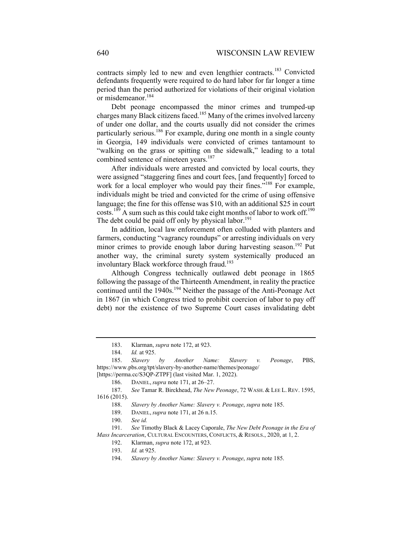contracts simply led to new and even lengthier contracts.<sup>183</sup> Convicted defendants frequently were required to do hard labor for far longer a time period than the period authorized for violations of their original violation or misdemeanor.<sup>184</sup>

Debt peonage encompassed the minor crimes and trumped-up charges many Black citizens faced.185 Many of the crimes involved larceny of under one dollar, and the courts usually did not consider the crimes particularly serious.<sup>186</sup> For example, during one month in a single county in Georgia, 149 individuals were convicted of crimes tantamount to "walking on the grass or spitting on the sidewalk," leading to a total combined sentence of nineteen years.<sup>187</sup>

After individuals were arrested and convicted by local courts, they were assigned "staggering fines and court fees, [and frequently] forced to work for a local employer who would pay their fines."<sup>188</sup> For example, individuals might be tried and convicted for the crime of using offensive language; the fine for this offense was \$10, with an additional \$25 in court  $\text{costs}$ <sup>189</sup> A sum such as this could take eight months of labor to work off.<sup>190</sup> The debt could be paid off only by physical labor.<sup>191</sup>

In addition, local law enforcement often colluded with planters and farmers, conducting "vagrancy roundups" or arresting individuals on very minor crimes to provide enough labor during harvesting season.<sup>192</sup> Put another way, the criminal surety system systemically produced an involuntary Black workforce through fraud.<sup>193</sup>

Although Congress technically outlawed debt peonage in 1865 following the passage of the Thirteenth Amendment, in reality the practice continued until the  $1940s$ .<sup>194</sup> Neither the passage of the Anti-Peonage Act in 1867 (in which Congress tried to prohibit coercion of labor to pay off debt) nor the existence of two Supreme Court cases invalidating debt

<sup>183.</sup> Klarman, *supra* note 172, at 923.

<sup>184.</sup> *Id.* at 925.

<sup>185.</sup> *Slavery by Another Name: Slavery v. Peonage*, PBS, https://www.pbs.org/tpt/slavery-by-another-name/themes/peonage/ [https://perma.cc/S3QP-ZTPF] (last visited Mar. 1, 2022).

<sup>186.</sup> DANIEL, *supra* note 171, at 26–27.

<sup>187.</sup> *See* Tamar R. Birckhead, *The New Peonage*, 72 WASH. & LEE L. REV. 1595, 1616 (2015).

<sup>188.</sup> *Slavery by Another Name: Slavery v. Peonage*, *supra* note 185.

<sup>189.</sup> DANIEL, *supra* note 171, at 26 n.15.

<sup>190.</sup> *See id.*

 <sup>191.</sup> *See* Timothy Black & Lacey Caporale, *The New Debt Peonage in the Era of Mass Incarceration*, CULTURAL ENCOUNTERS, CONFLICTS, & RESOLS., 2020, at 1, 2.

<sup>192.</sup> Klarman, *supra* note 172, at 923.

<sup>193.</sup> *Id.* at 925.

<sup>194.</sup> *Slavery by Another Name: Slavery v. Peonage*, *supra* note 185.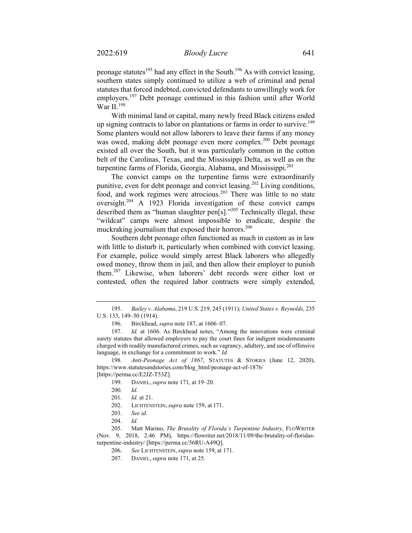peonage statutes<sup>195</sup> had any effect in the South.<sup>196</sup> As with convict leasing, southern states simply continued to utilize a web of criminal and penal statutes that forced indebted, convicted defendants to unwillingly work for employers.<sup>197</sup> Debt peonage continued in this fashion until after World War II.<sup>198</sup>

With minimal land or capital, many newly freed Black citizens ended up signing contracts to labor on plantations or farms in order to survive.<sup>199</sup> Some planters would not allow laborers to leave their farms if any money was owed, making debt peonage even more complex.<sup>200</sup> Debt peonage existed all over the South, but it was particularly common in the cotton belt of the Carolinas, Texas, and the Mississippi Delta, as well as on the turpentine farms of Florida, Georgia, Alabama, and Mississippi.<sup>201</sup>

The convict camps on the turpentine farms were extraordinarily punitive, even for debt peonage and convict leasing.<sup>202</sup> Living conditions, food, and work regimes were atrocious.<sup>203</sup> There was little to no state oversight.204 A 1923 Florida investigation of these convict camps described them as "human slaughter pen[s]."205 Technically illegal, these "wildcat" camps were almost impossible to eradicate, despite the muckraking journalism that exposed their horrors.<sup>206</sup>

Southern debt peonage often functioned as much in custom as in law with little to disturb it, particularly when combined with convict leasing. For example, police would simply arrest Black laborers who allegedly owed money, throw them in jail, and then allow their employer to punish them.207 Likewise, when laborers' debt records were either lost or contested, often the required labor contracts were simply extended,

198. *Anti-Peonage Act of 1867*, STATUTES & STORIES (June 12, 2020), https://www.statutesandstories.com/blog\_html/peonage-act-of-1876/

[https://perma.cc/E2JZ-T53Z].

199. DANIEL, *supra* note 171, at 19–20.

<sup>195.</sup> *Bailey v. Alabama*, 219 U.S. 219, 245 (1911); *United States v. Reynolds*, 235 U.S. 133, 149–50 (1914).

<sup>196.</sup> Birckhead, *supra* note 187, at 1606–07.

<sup>197.</sup> *Id.* at 1606. As Birckhead notes, "Among the innovations were criminal surety statutes that allowed employers to pay the court fines for indigent misdemeanants charged with readily manufactured crimes, such as vagrancy, adultery, and use of offensive language, in exchange for a commitment to work." *Id.*

<sup>200.</sup> *Id.*

<sup>201.</sup> *Id.* at 21.

<sup>202.</sup> LICHTENSTEIN, *supra* note 159, at 171.

<sup>203.</sup> *See id.*

<sup>204.</sup> *Id.*

<sup>205.</sup> Matt Marino, *The Brutality of Florida's Turpentine Industry*, FLOWRITER (Nov. 9, 2018, 2:46 PM), https://flowriter.net/2018/11/09/the-brutality-of-floridasturpentine-industry/ [https://perma.cc/56RU-A49Q].

<sup>206.</sup> *See* LICHTENSTEIN, *supra* note 159, at 171.

<sup>207.</sup> DANIEL, *supra* note 171, at 25.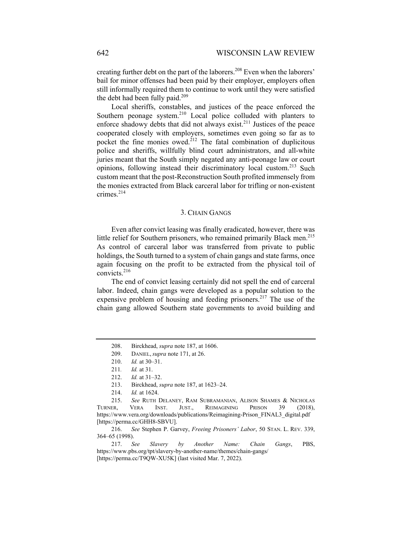creating further debt on the part of the laborers.<sup>208</sup> Even when the laborers' bail for minor offenses had been paid by their employer, employers often still informally required them to continue to work until they were satisfied the debt had been fully paid.<sup>209</sup>

Local sheriffs, constables, and justices of the peace enforced the Southern peonage system.<sup>210</sup> Local police colluded with planters to enforce shadowy debts that did not always exist.<sup>211</sup> Justices of the peace cooperated closely with employers, sometimes even going so far as to pocket the fine monies owed.<sup>212</sup> The fatal combination of duplicitous police and sheriffs, willfully blind court administrators, and all-white juries meant that the South simply negated any anti-peonage law or court opinions, following instead their discriminatory local custom.<sup>213</sup> Such custom meant that the post-Reconstruction South profited immensely from the monies extracted from Black carceral labor for trifling or non-existent crimes.<sup>214</sup>

### 3. CHAIN GANGS

Even after convict leasing was finally eradicated, however, there was little relief for Southern prisoners, who remained primarily Black men.<sup>215</sup> As control of carceral labor was transferred from private to public holdings, the South turned to a system of chain gangs and state farms, once again focusing on the profit to be extracted from the physical toil of convicts.<sup>216</sup>

The end of convict leasing certainly did not spell the end of carceral labor. Indeed, chain gangs were developed as a popular solution to the expensive problem of housing and feeding prisoners.<sup>217</sup> The use of the chain gang allowed Southern state governments to avoid building and

216. *See* Stephen P. Garvey, *Freeing Prisoners' Labor*, 50 STAN. L. REV. 339, 364–65 (1998).

217. *See Slavery by Another Name: Chain Gangs*, PBS, https://www.pbs.org/tpt/slavery-by-another-name/themes/chain-gangs/ [https://perma.cc/T9QW-XU5K] (last visited Mar. 7, 2022).

<sup>208.</sup> Birckhead, *supra* note 187, at 1606.

<sup>209.</sup> DANIEL, *supra* note 171, at 26.

<sup>210.</sup> *Id.* at 30–31.

<sup>211</sup>*. Id.* at 31.

<sup>212.</sup> *Id.* at 31–32.

<sup>213.</sup> Birckhead, *supra* note 187, at 1623–24.

<sup>214.</sup> *Id.* at 1624.

 <sup>215.</sup> *See* RUTH DELANEY, RAM SUBRAMANIAN, ALISON SHAMES & NICHOLAS TURNER, VERA INST. JUST., REIMAGINING PRISON 39 (2018), https://www.vera.org/downloads/publications/Reimagining-Prison\_FINAL3\_digital.pdf [https://perma.cc/GHH8-SBVU].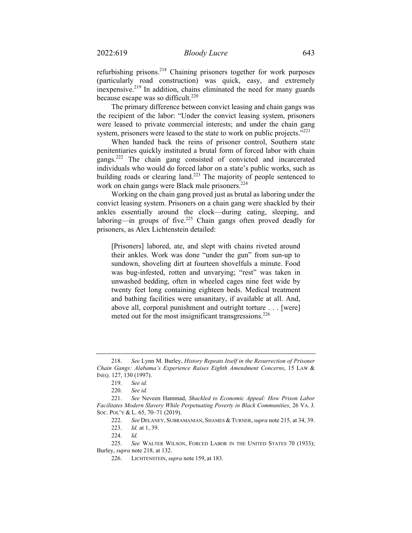refurbishing prisons.218 Chaining prisoners together for work purposes (particularly road construction) was quick, easy, and extremely inexpensive.219 In addition, chains eliminated the need for many guards because escape was so difficult. $220$ 

The primary difference between convict leasing and chain gangs was the recipient of the labor: "Under the convict leasing system, prisoners were leased to private commercial interests; and under the chain gang system, prisoners were leased to the state to work on public projects."<sup>221</sup>

When handed back the reins of prisoner control, Southern state penitentiaries quickly instituted a brutal form of forced labor with chain gangs.<sup>222</sup> The chain gang consisted of convicted and incarcerated individuals who would do forced labor on a state's public works, such as building roads or clearing land.<sup>223</sup> The majority of people sentenced to work on chain gangs were Black male prisoners.<sup>224</sup>

Working on the chain gang proved just as brutal as laboring under the convict leasing system. Prisoners on a chain gang were shackled by their ankles essentially around the clock—during eating, sleeping, and laboring—in groups of five.<sup>225</sup> Chain gangs often proved deadly for prisoners, as Alex Lichtenstein detailed:

[Prisoners] labored, ate, and slept with chains riveted around their ankles. Work was done "under the gun" from sun-up to sundown, shoveling dirt at fourteen shovelfuls a minute. Food was bug-infested, rotten and unvarying; "rest" was taken in unwashed bedding, often in wheeled cages nine feet wide by twenty feet long containing eighteen beds. Medical treatment and bathing facilities were unsanitary, if available at all. And, above all, corporal punishment and outright torture . . . [were] meted out for the most insignificant transgressions.<sup>226</sup>

 <sup>218.</sup> *See* Lynn M. Burley, *History Repeats Itself in the Resurrection of Prisoner Chain Gangs: Alabama's Experience Raises Eighth Amendment Concerns*, 15 LAW & INEQ. 127, 130 (1997).

<sup>219.</sup> *See id.*

<sup>220.</sup> *See id.*

<sup>221.</sup> *See* Neveen Hammad, *Shackled to Economic Appeal: How Prison Labor Facilitates Modern Slavery While Perpetuating Poverty in Black Communities*, 26 VA. J. SOC. POL'Y & L. 65, 70–71 (2019).

<sup>222.</sup> *See* DELANEY, SUBRAMANIAN, SHAMES & TURNER,*supra* note 215, at 34, 39.

<sup>223.</sup> *Id.* at 1, 39.

<sup>224.</sup> *Id.*

<sup>225.</sup> *See* WALTER WILSON, FORCED LABOR IN THE UNITED STATES 70 (1933); Burley, *supra* note 218, at 132.

<sup>226.</sup> LICHTENSTEIN, *supra* note 159, at 183.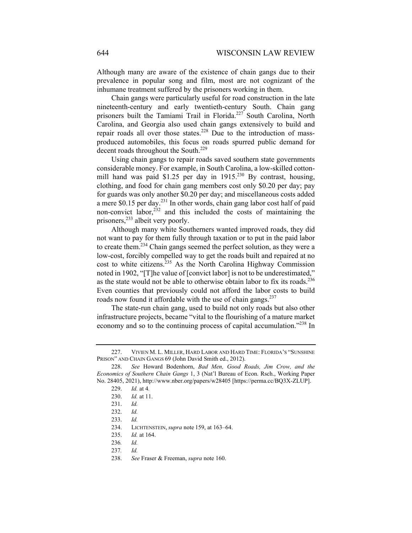Although many are aware of the existence of chain gangs due to their prevalence in popular song and film, most are not cognizant of the inhumane treatment suffered by the prisoners working in them.

Chain gangs were particularly useful for road construction in the late nineteenth-century and early twentieth-century South. Chain gang prisoners built the Tamiami Trail in Florida.<sup>227</sup> South Carolina, North Carolina, and Georgia also used chain gangs extensively to build and repair roads all over those states.<sup>228</sup> Due to the introduction of massproduced automobiles, this focus on roads spurred public demand for decent roads throughout the South.<sup>229</sup>

Using chain gangs to repair roads saved southern state governments considerable money. For example, in South Carolina, a low-skilled cottonmill hand was paid \$1.25 per day in  $1915^{230}$  By contrast, housing, clothing, and food for chain gang members cost only \$0.20 per day; pay for guards was only another \$0.20 per day; and miscellaneous costs added a mere \$0.15 per day.231 In other words, chain gang labor cost half of paid non-convict labor, $232$  and this included the costs of maintaining the prisoners,<sup>233</sup> albeit very poorly.

Although many white Southerners wanted improved roads, they did not want to pay for them fully through taxation or to put in the paid labor to create them.234 Chain gangs seemed the perfect solution, as they were a low-cost, forcibly compelled way to get the roads built and repaired at no cost to white citizens. $235$  As the North Carolina Highway Commission noted in 1902, "[T]he value of [convict labor] is not to be underestimated," as the state would not be able to otherwise obtain labor to fix its roads.236 Even counties that previously could not afford the labor costs to build roads now found it affordable with the use of chain gangs.<sup>237</sup>

The state-run chain gang, used to build not only roads but also other infrastructure projects, became "vital to the flourishing of a mature market economy and so to the continuing process of capital accumulation."<sup>238</sup> In

234. LICHTENSTEIN, *supra* note 159, at 163–64.

<sup>227.</sup> VIVIEN M. L. MILLER, HARD LABOR AND HARD TIME: FLORIDA'S "SUNSHINE PRISON" AND CHAIN GANGS 69 (John David Smith ed., 2012).

<sup>228.</sup> *See* Howard Bodenhorn, *Bad Men, Good Roads, Jim Crow, and the Economics of Southern Chain Gangs* 1, 3 (Nat'l Bureau of Econ. Rsch., Working Paper No. 28405, 2021), http://www.nber.org/papers/w28405 [https://perma.cc/BQ3X-ZLUP].

<sup>229.</sup> *Id.* at 4*.* 

<sup>230.</sup> *Id.* at 11.

<sup>231.</sup> *Id.*

<sup>232.</sup> *Id.*

 <sup>233.</sup> *Id.*

<sup>235.</sup> *Id.* at 164.

<sup>236</sup>*. Id.*

<sup>237</sup>*. Id.*

<sup>238.</sup> *See* Fraser & Freeman, *supra* note 160.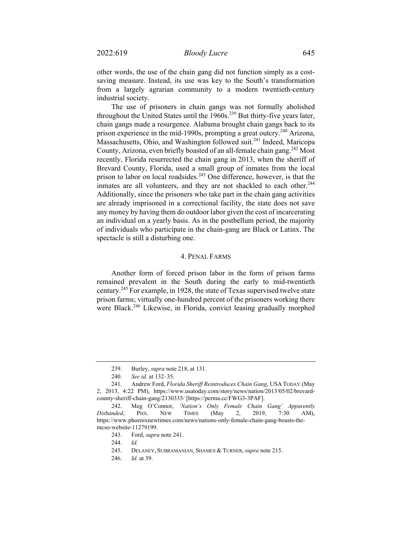other words, the use of the chain gang did not function simply as a costsaving measure. Instead, its use was key to the South's transformation from a largely agrarian community to a modern twentieth-century industrial society.

The use of prisoners in chain gangs was not formally abolished throughout the United States until the 1960s.<sup>239</sup> But thirty-five years later, chain gangs made a resurgence. Alabama brought chain gangs back to its prison experience in the mid-1990s, prompting a great outcry.<sup>240</sup> Arizona, Massachusetts, Ohio, and Washington followed suit.<sup>241</sup> Indeed, Maricopa County, Arizona, even briefly boasted of an all-female chain gang.<sup>242</sup> Most recently, Florida resurrected the chain gang in 2013, when the sheriff of Brevard County, Florida, used a small group of inmates from the local prison to labor on local roadsides.<sup>243</sup> One difference, however, is that the inmates are all volunteers, and they are not shackled to each other.<sup>244</sup> Additionally, since the prisoners who take part in the chain gang activities are already imprisoned in a correctional facility, the state does not save any money by having them do outdoor labor given the cost of incarcerating an individual on a yearly basis. As in the postbellum period, the majority of individuals who participate in the chain-gang are Black or Latinx. The spectacle is still a disturbing one.

# 4. PENAL FARMS

Another form of forced prison labor in the form of prison farms remained prevalent in the South during the early to mid-twentieth century.<sup>245</sup> For example, in 1928, the state of Texas supervised twelve state prison farms; virtually one-hundred percent of the prisoners working there were Black.<sup>246</sup> Likewise, in Florida, convict leasing gradually morphed

<sup>239.</sup> Burley, *supra* note 218, at 131.

<sup>240.</sup> *See id.* at 132–35.

<sup>241.</sup> Andrew Ford, *Florida Sheriff Reintroduces Chain Gang*, USA TODAY (May 2, 2013, 4:22 PM), https://www.usatoday.com/story/news/nation/2013/05/02/brevardcounty-sheriff-chain-gang/2130335/ [https://perma.cc/FWG3-3PAF].

<sup>242.</sup> Meg O'Connor, *'Nation's Only Female Chain Gang' Apparently Disbanded*, PHX. NEW TIMES (May 2, 2019, 7:30 AM), https://www.phoenixnewtimes.com/news/nations-only-female-chain-gang-boasts-themcso-website-11279199.

<sup>243.</sup> Ford, *supra* note 241.

<sup>244.</sup> *Id.* 

<sup>245.</sup> DELANEY, SUBRAMANIAN, SHAMES & TURNER, *supra* note 215.

<sup>246.</sup> *Id.* at 39.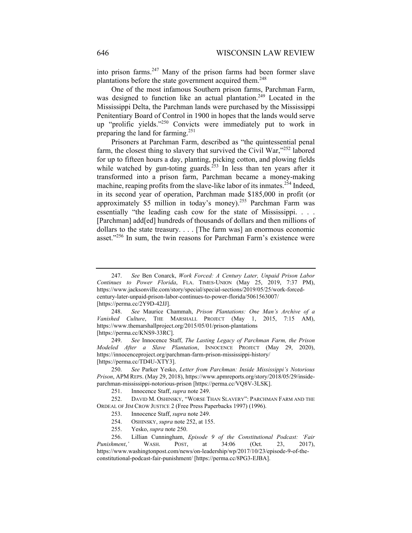into prison farms.<sup>247</sup> Many of the prison farms had been former slave plantations before the state government acquired them. $248$ 

One of the most infamous Southern prison farms, Parchman Farm, was designed to function like an actual plantation.<sup>249</sup> Located in the Mississippi Delta, the Parchman lands were purchased by the Mississippi Penitentiary Board of Control in 1900 in hopes that the lands would serve up "prolific yields."250 Convicts were immediately put to work in preparing the land for farming.<sup>251</sup>

Prisoners at Parchman Farm, described as "the quintessential penal farm, the closest thing to slavery that survived the Civil War," $252$  labored for up to fifteen hours a day, planting, picking cotton, and plowing fields while watched by gun-toting guards.<sup>253</sup> In less than ten years after it transformed into a prison farm, Parchman became a money-making machine, reaping profits from the slave-like labor of its inmates.<sup>254</sup> Indeed, in its second year of operation, Parchman made \$185,000 in profit (or approximately \$5 million in today's money).<sup>255</sup> Parchman Farm was essentially "the leading cash cow for the state of Mississippi. . . . [Parchman] add[ed] hundreds of thousands of dollars and then millions of dollars to the state treasury. . . . [The farm was] an enormous economic asset."<sup>256</sup> In sum, the twin reasons for Parchman Farm's existence were

<sup>247.</sup> *See* Ben Conarck, *Work Forced: A Century Later, Unpaid Prison Labor Continues to Power Florida*, FLA. TIMES-UNION (May 25, 2019, 7:37 PM), https://www.jacksonville.com/story/special/special-sections/2019/05/25/work-forcedcentury-later-unpaid-prison-labor-continues-to-power-florida/5061563007/ [https://perma.cc/2Y9D-42JJ].

<sup>248.</sup> *See* Maurice Chammah, *Prison Plantations: One Man's Archive of a Vanished Culture*, THE MARSHALL PROJECT (May 1, 2015, 7:15 AM), https://www.themarshallproject.org/2015/05/01/prison-plantations [https://perma.cc/KNS9-33RC].

<sup>249.</sup> *See* Innocence Staff, *The Lasting Legacy of Parchman Farm, the Prison Modeled After a Slave Plantation*, INNOCENCE PROJECT (May 29, 2020), https://innocenceproject.org/parchman-farm-prison-mississippi-history/ [https://perma.cc/TD4U-XTY3].

<sup>250.</sup> *See* Parker Yesko, *Letter from Parchman: Inside Mississippi's Notorious Prison*, APM REPS. (May 29, 2018), https://www.apmreports.org/story/2018/05/29/insideparchman-mississippi-notorious-prison [https://perma.cc/VQ8V-3LSK].

<sup>251.</sup> Innocence Staff, *supra* note 249.

<sup>252.</sup> DAVID M. OSHINSKY, "WORSE THAN SLAVERY": PARCHMAN FARM AND THE ORDEAL OF JIM CROW JUSTICE 2 (Free Press Paperbacks 1997) (1996).

<sup>253.</sup> Innocence Staff, *supra* note 249.

<sup>254.</sup> OSHINSKY, *supra* note 252, at 155.

<sup>255.</sup> Yesko, *supra* note 250.

<sup>256.</sup> Lillian Cunningham, *Episode 9 of the Constitutional Podcast: 'Fair Punishment*,*'* WASH. POST, at 34:06 (Oct. 23, 2017), https://www.washingtonpost.com/news/on-leadership/wp/2017/10/23/episode-9-of-theconstitutional-podcast-fair-punishment/ [https://perma.cc/8PG3-EJBA].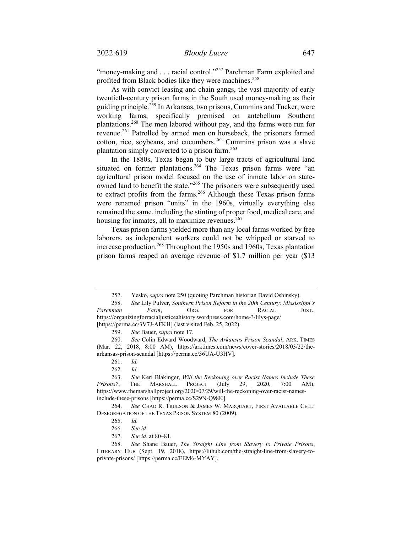"money-making and . . . racial control."<sup>257</sup> Parchman Farm exploited and profited from Black bodies like they were machines.<sup>258</sup>

As with convict leasing and chain gangs, the vast majority of early twentieth-century prison farms in the South used money-making as their guiding principle.<sup>259</sup> In Arkansas, two prisons, Cummins and Tucker, were working farms, specifically premised on antebellum Southern plantations.260 The men labored without pay, and the farms were run for revenue.<sup>261</sup> Patrolled by armed men on horseback, the prisoners farmed cotton, rice, soybeans, and cucumbers.<sup>262</sup> Cummins prison was a slave plantation simply converted to a prison farm. $263$ 

In the 1880s, Texas began to buy large tracts of agricultural land situated on former plantations.<sup>264</sup> The Texas prison farms were "an agricultural prison model focused on the use of inmate labor on stateowned land to benefit the state."<sup>265</sup> The prisoners were subsequently used to extract profits from the farms.<sup>266</sup> Although these Texas prison farms were renamed prison "units" in the 1960s, virtually everything else remained the same, including the stinting of proper food, medical care, and housing for inmates, all to maximize revenues. $267$ 

Texas prison farms yielded more than any local farms worked by free laborers, as independent workers could not be whipped or starved to increase production.<sup>268</sup> Throughout the 1950s and 1960s, Texas plantation prison farms reaped an average revenue of \$1.7 million per year (\$13

<sup>257.</sup> Yesko, *supra* note 250 (quoting Parchman historian David Oshinsky).

<sup>258.</sup> *See* Lily Pulver, *Southern Prison Reform in the 20th Century: Mississippi's Parchman Farm*, ORG. FOR RACIAL JUST., https://organizingforracialjusticeahistory.wordpress.com/home-3/lilys-page/ [https://perma.cc/3V7J-AFKH] (last visited Feb. 25, 2022).

<sup>259.</sup> *See* Bauer, *supra* note 17.

<sup>260.</sup> *See* Colin Edward Woodward, *The Arkansas Prison Scandal*, ARK. TIMES (Mar. 22, 2018, 8:00 AM), https://arktimes.com/news/cover-stories/2018/03/22/thearkansas-prison-scandal [https://perma.cc/36UA-U3HV].

<sup>261.</sup> *Id.* 

<sup>262.</sup> *Id.*

<sup>263.</sup> *See* Keri Blakinger, *Will the Reckoning over Racist Names Include These Prisons?*, THE MARSHALL PROJECT (July 29, 2020, 7:00 AM), https://www.themarshallproject.org/2020/07/29/will-the-reckoning-over-racist-namesinclude-these-prisons [https://perma.cc/S29N-Q98K].

<sup>264.</sup> *See* CHAD R. TRULSON & JAMES W. MARQUART, FIRST AVAILABLE CELL: DESEGREGATION OF THE TEXAS PRISON SYSTEM 80 (2009).

<sup>265.</sup> *Id.* 

 <sup>266.</sup> *See id.*

<sup>267.</sup> *See id.* at 80–81.

<sup>268.</sup> *See* Shane Bauer, *The Straight Line from Slavery to Private Prisons*, LITERARY HUB (Sept. 19, 2018), https://lithub.com/the-straight-line-from-slavery-toprivate-prisons/ [https://perma.cc/FEM6-MYAY].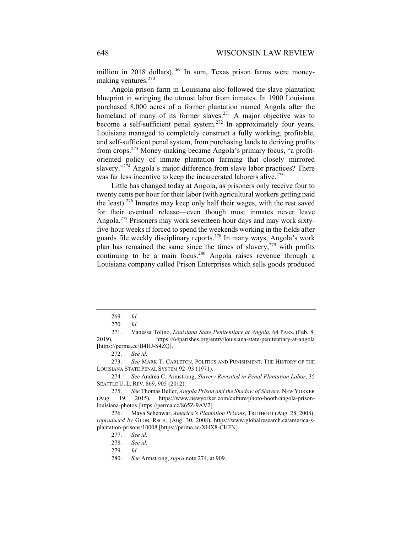million in 2018 dollars).<sup>269</sup> In sum, Texas prison farms were moneymaking ventures.<sup>270</sup>

Angola prison farm in Louisiana also followed the slave plantation blueprint in wringing the utmost labor from inmates. In 1900 Louisiana purchased 8,000 acres of a former plantation named Angola after the homeland of many of its former slaves.<sup>271</sup> A major objective was to become a self-sufficient penal system.<sup>272</sup> In approximately four years, Louisiana managed to completely construct a fully working, profitable, and self-sufficient penal system, from purchasing lands to deriving profits from crops.273 Money-making became Angola's primary focus, "a profitoriented policy of inmate plantation farming that closely mirrored slavery."<sup>274</sup> Angola's major difference from slave labor practices? There was far less incentive to keep the incarcerated laborers alive.<sup>275</sup>

Little has changed today at Angola, as prisoners only receive four to twenty cents per hour for their labor (with agricultural workers getting paid the least).276 Inmates may keep only half their wages, with the rest saved for their eventual release—even though most inmates never leave Angola.<sup>277</sup> Prisoners may work seventeen-hour days and may work sixtyfive-hour weeks if forced to spend the weekends working in the fields after guards file weekly disciplinary reports.278 In many ways, Angola's work plan has remained the same since the times of slavery, $2^{79}$  with profits continuing to be a main focus.<sup>280</sup> Angola raises revenue through a Louisiana company called Prison Enterprises which sells goods produced

<sup>269.</sup> *Id.* 

<sup>270.</sup> *Id.*

<sup>271.</sup> Vanessa Tolino, *Louisiana State Penitentiary at Angola*, 64 PARS. (Feb. 8, 2019), https://64parishes.org/entry/louisiana-state-penitentiary-at-angola [https://perma.cc/B4HJ-S4ZQ].

<sup>272.</sup> *See id.* 

<sup>273.</sup> *See* MARK T. CARLETON, POLITICS AND PUNISHMENT: THE HISTORY OF THE LOUISIANA STATE PENAL SYSTEM 92–93 (1971).

<sup>274.</sup> *See* Andrea C. Armstrong, *Slavery Revisited in Penal Plantation Labor*, 35 SEATTLE U. L. REV. 869, 905 (2012).

<sup>275.</sup> *See* Thomas Beller, *Angola Prison and the Shadow of Slavery*, NEW YORKER (Aug. 19, 2015), https://www.newyorker.com/culture/photo-booth/angola-prisonlouisiana-photos [https://perma.cc/865Z-9AV2].

<sup>276.</sup> Maya Schenwar, *America's Plantation Prisons*, TRUTHOUT (Aug. 28, 2008), *reproduced by* GLOB. RSCH. (Aug. 30, 2008), https://www.globalresearch.ca/america-splantation-prisons/10008 [https://perma.cc/XHX8-CHFN].

<sup>277.</sup> *See id.* 

<sup>278.</sup> *See id.*

<sup>279.</sup> *Id.*

 <sup>280.</sup> *See* Armstrong, *supra* note 274, at 909.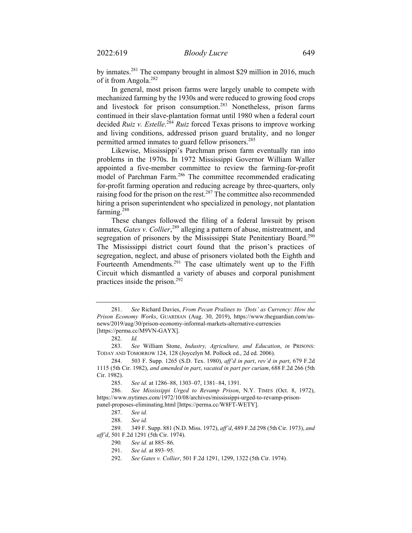by inmates.<sup>281</sup> The company brought in almost \$29 million in 2016, much of it from Angola.<sup>282</sup>

In general, most prison farms were largely unable to compete with mechanized farming by the 1930s and were reduced to growing food crops and livestock for prison consumption.283 Nonetheless, prison farms continued in their slave-plantation format until 1980 when a federal court decided *Ruiz v. Estelle*.<sup>284</sup> *Ruiz* forced Texas prisons to improve working and living conditions, addressed prison guard brutality, and no longer permitted armed inmates to guard fellow prisoners.<sup>285</sup>

Likewise, Mississippi's Parchman prison farm eventually ran into problems in the 1970s. In 1972 Mississippi Governor William Waller appointed a five-member committee to review the farming-for-profit model of Parchman Farm.<sup>286</sup> The committee recommended eradicating for-profit farming operation and reducing acreage by three-quarters, only raising food for the prison on the rest.<sup>287</sup> The committee also recommended hiring a prison superintendent who specialized in penology, not plantation farming.<sup>288</sup>

These changes followed the filing of a federal lawsuit by prison inmates, *Gates v. Collier*, 289 alleging a pattern of abuse, mistreatment, and segregation of prisoners by the Mississippi State Penitentiary Board.<sup>290</sup> The Mississippi district court found that the prison's practices of segregation, neglect, and abuse of prisoners violated both the Eighth and Fourteenth Amendments.<sup>291</sup> The case ultimately went up to the Fifth Circuit which dismantled a variety of abuses and corporal punishment practices inside the prison.<sup>292</sup>

<sup>281.</sup> *See* Richard Davies, *From Pecan Pralines to 'Dots' as Currency: How the Prison Economy Works*, GUARDIAN (Aug. 30, 2019), https://www.theguardian.com/usnews/2019/aug/30/prison-economy-informal-markets-alternative-currencies [https://perma.cc/M9VN-GAYX].

 <sup>282.</sup> *Id.*

<sup>283.</sup> *See* William Stone, *Industry, Agriculture, and Education*, *in* PRISONS: TODAY AND TOMORROW 124, 128 (Joycelyn M. Pollock ed., 2d ed. 2006).

<sup>284. 503</sup> F. Supp. 1265 (S.D. Tex. 1980), *aff'd in part*, *rev'd in part*, 679 F.2d 1115 (5th Cir. 1982), *and amended in part*, *vacated in part per curiam*, 688 F.2d 266 (5th Cir. 1982).

<sup>285.</sup> *See id.* at 1286–88, 1303–07, 1381–84, 1391.

<sup>286.</sup> *See Mississippi Urged to Revamp Prison*, N.Y. TIMES (Oct. 8, 1972), https://www.nytimes.com/1972/10/08/archives/mississippi-urged-to-revamp-prisonpanel-proposes-eliminating.html [https://perma.cc/W8FT-WETY].

<sup>287.</sup> *See id.* 

<sup>288.</sup> *See id.*

<sup>289. 349</sup> F. Supp. 881 (N.D. Miss. 1972), *aff'd*, 489 F.2d 298 (5th Cir. 1973), *and aff'd*, 501 F.2d 1291 (5th Cir. 1974).

<sup>290</sup>*. See id.* at 885–86.

<sup>291.</sup> *See id.* at 893–95.

<sup>292.</sup> *See Gates v. Collier*, 501 F.2d 1291, 1299, 1322 (5th Cir. 1974).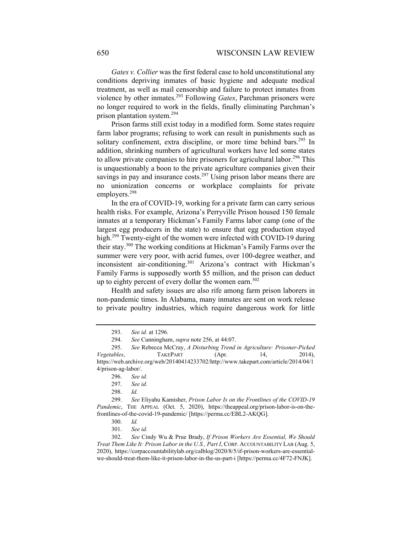*Gates v. Collier* was the first federal case to hold unconstitutional any conditions depriving inmates of basic hygiene and adequate medical treatment, as well as mail censorship and failure to protect inmates from violence by other inmates.293 Following *Gates*, Parchman prisoners were no longer required to work in the fields, finally eliminating Parchman's prison plantation system.294

Prison farms still exist today in a modified form. Some states require farm labor programs; refusing to work can result in punishments such as solitary confinement, extra discipline, or more time behind bars.<sup>295</sup> In addition, shrinking numbers of agricultural workers have led some states to allow private companies to hire prisoners for agricultural labor.<sup>296</sup> This is unquestionably a boon to the private agriculture companies given their savings in pay and insurance costs.<sup>297</sup> Using prison labor means there are no unionization concerns or workplace complaints for private employers.<sup>298</sup>

In the era of COVID-19, working for a private farm can carry serious health risks. For example, Arizona's Perryville Prison housed 150 female inmates at a temporary Hickman's Family Farms labor camp (one of the largest egg producers in the state) to ensure that egg production stayed high.<sup>299</sup> Twenty-eight of the women were infected with COVID-19 during their stay.300 The working conditions at Hickman's Family Farms over the summer were very poor, with acrid fumes, over 100-degree weather, and inconsistent air-conditioning.<sup>301</sup> Arizona's contract with Hickman's Family Farms is supposedly worth \$5 million, and the prison can deduct up to eighty percent of every dollar the women earn.<sup>302</sup>

Health and safety issues are also rife among farm prison laborers in non-pandemic times. In Alabama, many inmates are sent on work release to private poultry industries, which require dangerous work for little

<sup>293.</sup> *See id.* at 1296.

<sup>294.</sup> *See* Cunningham, *supra* note 256, at 44:07.

<sup>295.</sup> *See* Rebecca McCray, *A Disturbing Trend in Agriculture: Prisoner-Picked Vegetables*, TAKEPART (Apr. 14, 2014), https://web.archive.org/web/20140414233702/http://www.takepart.com/article/2014/04/1 4/prison-ag-labor/.

<sup>296.</sup> *See id.*

<sup>297.</sup> *See id.* 

<sup>298.</sup> *Id.*

<sup>299.</sup> *See* Eliyahu Kamisher, *Prison Labor Is on the Frontlines of the COVID-19 Pandemic*, THE APPEAL (Oct. 5, 2020), https://theappeal.org/prison-labor-is-on-thefrontlines-of-the-covid-19-pandemic/ [https://perma.cc/EBL2-AKQG].

<sup>300.</sup> *Id.* 

<sup>301.</sup> *See id.* 

<sup>302.</sup> *See* Cindy Wu & Prue Brady, *If Prison Workers Are Essential, We Should Treat Them Like It: Prison Labor in the U.S., Part I*, CORP. ACCOUNTABILITY LAB (Aug. 5, 2020), https://corpaccountabilitylab.org/calblog/2020/8/5/if-prison-workers-are-essentialwe-should-treat-them-like-it-prison-labor-in-the-us-part-i [https://perma.cc/4F72-FNJK].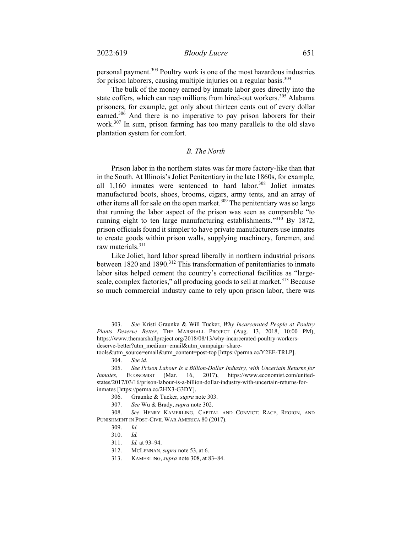personal payment.303 Poultry work is one of the most hazardous industries for prison laborers, causing multiple injuries on a regular basis.<sup>304</sup>

The bulk of the money earned by inmate labor goes directly into the state coffers, which can reap millions from hired-out workers.<sup>305</sup> Alabama prisoners, for example, get only about thirteen cents out of every dollar earned.<sup>306</sup> And there is no imperative to pay prison laborers for their work.307 In sum, prison farming has too many parallels to the old slave plantation system for comfort.

## *B. The North*

Prison labor in the northern states was far more factory-like than that in the South. At Illinois's Joliet Penitentiary in the late 1860s, for example, all  $1,160$  inmates were sentenced to hard labor.<sup>308</sup> Joliet inmates manufactured boots, shoes, brooms, cigars, army tents, and an array of other items all for sale on the open market.<sup>309</sup> The penitentiary was so large that running the labor aspect of the prison was seen as comparable "to running eight to ten large manufacturing establishments."<sup>310</sup> By 1872, prison officials found it simpler to have private manufacturers use inmates to create goods within prison walls, supplying machinery, foremen, and raw materials.<sup>311</sup>

Like Joliet, hard labor spread liberally in northern industrial prisons between 1820 and 1890.<sup>312</sup> This transformation of penitentiaries to inmate labor sites helped cement the country's correctional facilities as "largescale, complex factories," all producing goods to sell at market.<sup>313</sup> Because so much commercial industry came to rely upon prison labor, there was

307. *See* Wu & Brady, *supra* note 302.

<sup>303.</sup> *See* Kristi Graunke & Will Tucker, *Why Incarcerated People at Poultry Plants Deserve Better*, THE MARSHALL PROJECT (Aug. 13, 2018, 10:00 PM), https://www.themarshallproject.org/2018/08/13/why-incarcerated-poultry-workersdeserve-better?utm\_medium=email&utm\_campaign=share-

tools&utm\_source=email&utm\_content=post-top [https://perma.cc/Y2EE-TRLP].

<sup>304.</sup> *See id.*

<sup>305.</sup> *See Prison Labour Is a Billion-Dollar Industry, with Uncertain Returns for Inmates*, ECONOMIST (Mar. 16, 2017), https://www.economist.com/unitedstates/2017/03/16/prison-labour-is-a-billion-dollar-industry-with-uncertain-returns-forinmates [https://perma.cc/2HX3-G3DY].

<sup>306.</sup> Graunke & Tucker, *supra* note 303.

<sup>308.</sup> *See* HENRY KAMERLING, CAPITAL AND CONVICT: RACE, REGION, AND PUNISHMENT IN POST-CIVIL WAR AMERICA 80 (2017).

<sup>309.</sup> *Id.*

<sup>310.</sup> *Id.*

<sup>311.</sup> *Id.* at 93–94.

<sup>312.</sup> MCLENNAN, *supra* note 53, at 6.

<sup>313.</sup> KAMERLING, *supra* note 308, at 83–84.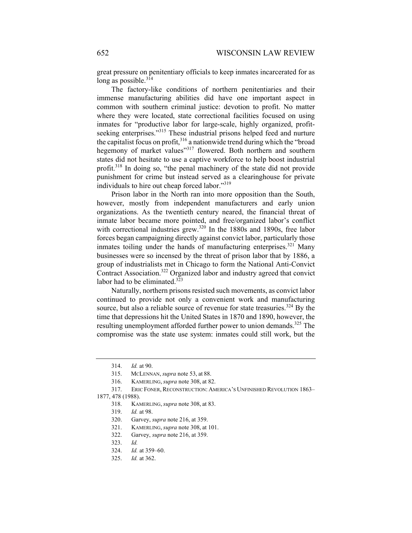great pressure on penitentiary officials to keep inmates incarcerated for as long as possible. $314$ 

The factory-like conditions of northern penitentiaries and their immense manufacturing abilities did have one important aspect in common with southern criminal justice: devotion to profit. No matter where they were located, state correctional facilities focused on using inmates for "productive labor for large-scale, highly organized, profitseeking enterprises."<sup>315</sup> These industrial prisons helped feed and nurture the capitalist focus on profit,<sup>316</sup> a nationwide trend during which the "broad hegemony of market values"<sup>317</sup> flowered. Both northern and southern states did not hesitate to use a captive workforce to help boost industrial profit.<sup>318</sup> In doing so, "the penal machinery of the state did not provide punishment for crime but instead served as a clearinghouse for private individuals to hire out cheap forced labor."319

Prison labor in the North ran into more opposition than the South, however, mostly from independent manufacturers and early union organizations. As the twentieth century neared, the financial threat of inmate labor became more pointed, and free/organized labor's conflict with correctional industries grew.<sup>320</sup> In the 1880s and 1890s, free labor forces began campaigning directly against convict labor, particularly those inmates toiling under the hands of manufacturing enterprises.<sup>321</sup> Many businesses were so incensed by the threat of prison labor that by 1886, a group of industrialists met in Chicago to form the National Anti-Convict Contract Association.322 Organized labor and industry agreed that convict labor had to be eliminated. $3\overline{2}3$ 

Naturally, northern prisons resisted such movements, as convict labor continued to provide not only a convenient work and manufacturing source, but also a reliable source of revenue for state treasuries.<sup>324</sup> By the time that depressions hit the United States in 1870 and 1890, however, the resulting unemployment afforded further power to union demands.<sup>325</sup> The compromise was the state use system: inmates could still work, but the

#### 1877, 478 (1988).

<sup>314.</sup> *Id.* at 90.

<sup>315.</sup> MCLENNAN, *supra* note 53, at 88.

<sup>316.</sup> KAMERLING, *supra* note 308, at 82.

<sup>317.</sup> ERIC FONER, RECONSTRUCTION: AMERICA'S UNFINISHED REVOLUTION 1863–

<sup>318.</sup> KAMERLING, *supra* note 308, at 83.

<sup>319.</sup> *Id.* at 98.

<sup>320.</sup> Garvey, *supra* note 216, at 359.

<sup>321.</sup> KAMERLING, *supra* note 308, at 101.

<sup>322.</sup> Garvey, *supra* note 216, at 359.

<sup>323.</sup> *Id.*

<sup>324.</sup> *Id.* at 359–60.

<sup>325.</sup> *Id.* at 362.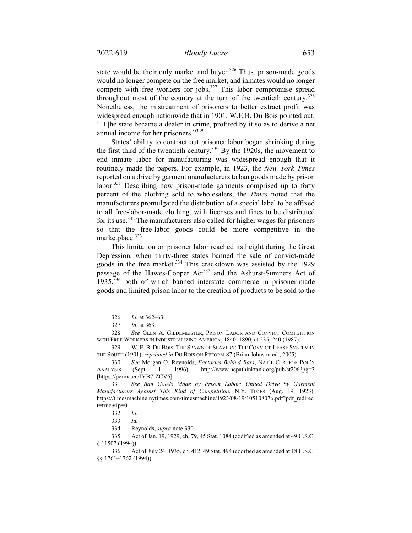state would be their only market and buyer. $326$  Thus, prison-made goods would no longer compete on the free market, and inmates would no longer compete with free workers for jobs.<sup>327</sup> This labor compromise spread throughout most of the country at the turn of the twentieth century.<sup>328</sup> Nonetheless, the mistreatment of prisoners to better extract profit was widespread enough nationwide that in 1901, W.E.B. Du Bois pointed out, "[T]he state became a dealer in crime, profited by it so as to derive a net annual income for her prisoners."329

States' ability to contract out prisoner labor began shrinking during the first third of the twentieth century.<sup>330</sup> By the 1920s, the movement to end inmate labor for manufacturing was widespread enough that it routinely made the papers. For example, in 1923, the *New York Times* reported on a drive by garment manufacturers to ban goods made by prison labor.<sup>331</sup> Describing how prison-made garments comprised up to forty percent of the clothing sold to wholesalers, the *Times* noted that the manufacturers promulgated the distribution of a special label to be affixed to all free-labor-made clothing, with licenses and fines to be distributed for its use.332 The manufacturers also called for higher wages for prisoners so that the free-labor goods could be more competitive in the marketplace. $333$ 

This limitation on prisoner labor reached its height during the Great Depression, when thirty-three states banned the sale of convict-made goods in the free market.<sup>334</sup> This crackdown was assisted by the 1929 passage of the Hawes-Cooper Act<sup>335</sup> and the Ashurst-Sumners Act of  $1935$ ,  $336$  both of which banned interstate commerce in prisoner-made goods and limited prison labor to the creation of products to be sold to the

<sup>326.</sup> *Id.* at 362–63.

<sup>327.</sup> *Id.* at 363.

<sup>328.</sup> *See* GLEN A. GILDEMEISTER, PRISON LABOR AND CONVICT COMPETITION WITH FREE WORKERS IN INDUSTRIALIZING AMERICA, 1840–1890, at 235, 240 (1987).

<sup>329.</sup> W. E. B. DU BOIS, THE SPAWN OF SLAVERY: THE CONVICT-LEASE SYSTEM IN THE SOUTH (1901), *reprinted in* DU BOIS ON REFORM 87 (Brian Johnson ed., 2005).

<sup>330.</sup> *See* Morgan O. Reynolds, *Factories Behind Bars*, NAT'L CTR. FOR POL'Y ANALYSIS (Sept. 1, 1996), http://www.ncpathinktank.org/pub/st206?pg=3 [https://perma.cc/JYB7-ZCV6].

<sup>331.</sup> *See Ban Goods Made by Prison Labor: United Drive by Garment Manufacturers Against This Kind of Competition*, N.Y. TIMES (Aug. 19, 1923), https://timesmachine.nytimes.com/timesmachine/1923/08/19/105108076.pdf?pdf\_redirec t=true&ip=0.

<sup>332.</sup> *Id.* 

<sup>333.</sup> *Id.* 

<sup>334.</sup> Reynolds, *supra* note 330.

<sup>335.</sup> Act of Jan. 19, 1929, ch. 79, 45 Stat. 1084 (codified as amended at 49 U.S.C. § 11507 (1994)).

<sup>336.</sup> Act of July 24, 1935, ch. 412, 49 Stat. 494 (codified as amended at 18 U.S.C. §§ 1761–1762 (1994)).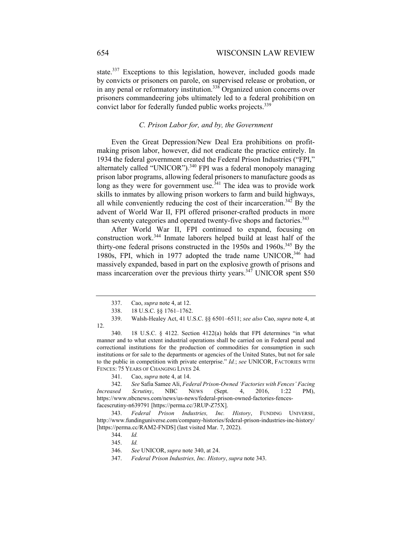state.<sup>337</sup> Exceptions to this legislation, however, included goods made by convicts or prisoners on parole, on supervised release or probation, or in any penal or reformatory institution.<sup>338</sup> Organized union concerns over prisoners commandeering jobs ultimately led to a federal prohibition on convict labor for federally funded public works projects.<sup>339</sup>

# *C. Prison Labor for, and by, the Government*

Even the Great Depression/New Deal Era prohibitions on profitmaking prison labor, however, did not eradicate the practice entirely. In 1934 the federal government created the Federal Prison Industries ("FPI," alternately called "UNICOR"). $340$  FPI was a federal monopoly managing prison labor programs, allowing federal prisoners to manufacture goods as long as they were for government use.<sup> $341$ </sup> The idea was to provide work skills to inmates by allowing prison workers to farm and build highways, all while conveniently reducing the cost of their incarceration.<sup>342</sup> By the advent of World War II, FPI offered prisoner-crafted products in more than seventy categories and operated twenty-five shops and factories.<sup>343</sup>

After World War II, FPI continued to expand, focusing on construction work.344 Inmate laborers helped build at least half of the thirty-one federal prisons constructed in the  $1950s$  and  $1960s$ .<sup>345</sup> By the 1980s, FPI, which in 1977 adopted the trade name UNICOR,<sup>346</sup> had massively expanded, based in part on the explosive growth of prisons and mass incarceration over the previous thirty years.<sup>347</sup> UNICOR spent \$50

12.

<sup>337.</sup> Cao, *supra* note 4, at 12.

<sup>338. 18</sup> U.S.C. §§ 1761–1762.

<sup>339.</sup> Walsh-Healey Act, 41 U.S.C. §§ 6501–6511; *see also* Cao, *supra* note 4, at

<sup>340. 18</sup> U.S.C. § 4122. Section 4122(a) holds that FPI determines "in what manner and to what extent industrial operations shall be carried on in Federal penal and correctional institutions for the production of commodities for consumption in such institutions or for sale to the departments or agencies of the United States, but not for sale to the public in competition with private enterprise." *Id.*; *see* UNICOR, FACTORIES WITH FENCES: 75 YEARS OF CHANGING LIVES 24.

<sup>341.</sup> Cao, *supra* note 4, at 14.

<sup>342.</sup> *See* Safia Samee Ali, *Federal Prison-Owned 'Factories with Fences' Facing Increased Scrutiny*, NBC NEWS (Sept. 4, 2016, 1:22 PM), https://www.nbcnews.com/news/us-news/federal-prison-owned-factories-fencesfacescrutiny-n639791 [https://perma.cc/3RUP-Z75X].

<sup>343.</sup> *Federal Prison Industries, Inc. History*, FUNDING UNIVERSE, http://www.fundinguniverse.com/company-histories/federal-prison-industries-inc-history/ [https://perma.cc/RAM2-FNDS] (last visited Mar. 7, 2022).

<sup>344.</sup> *Id.* 

<sup>345.</sup> *Id.* 

<sup>346.</sup> *See* UNICOR, *supra* note 340, at 24.

<sup>347.</sup> *Federal Prison Industries, Inc. History*, *supra* note 343.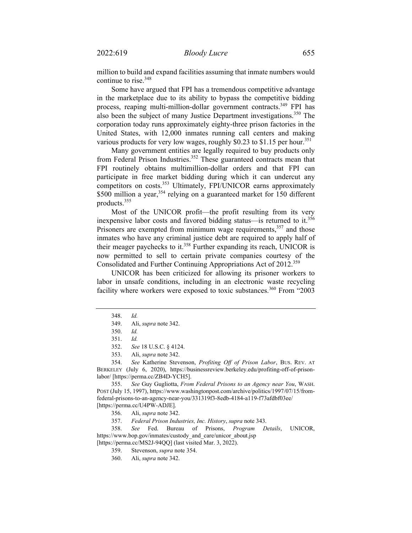million to build and expand facilities assuming that inmate numbers would continue to rise.<sup>348</sup>

Some have argued that FPI has a tremendous competitive advantage in the marketplace due to its ability to bypass the competitive bidding process, reaping multi-million-dollar government contracts.<sup>349</sup> FPI has also been the subject of many Justice Department investigations.<sup>350</sup> The corporation today runs approximately eighty-three prison factories in the United States, with 12,000 inmates running call centers and making various products for very low wages, roughly \$0.23 to \$1.15 per hour.<sup>351</sup>

Many government entities are legally required to buy products only from Federal Prison Industries.<sup>352</sup> These guaranteed contracts mean that FPI routinely obtains multimillion-dollar orders and that FPI can participate in free market bidding during which it can undercut any competitors on costs.<sup>353</sup> Ultimately, FPI/UNICOR earns approximately  $$500$  million a year,<sup>354</sup> relying on a guaranteed market for 150 different products.355

Most of the UNICOR profit—the profit resulting from its very inexpensive labor costs and favored bidding status—is returned to it.<sup>356</sup> Prisoners are exempted from minimum wage requirements,<sup>357</sup> and those inmates who have any criminal justice debt are required to apply half of their meager paychecks to it.<sup>358</sup> Further expanding its reach, UNICOR is now permitted to sell to certain private companies courtesy of the Consolidated and Further Continuing Appropriations Act of 2012.<sup>359</sup>

UNICOR has been criticized for allowing its prisoner workers to labor in unsafe conditions, including in an electronic waste recycling facility where workers were exposed to toxic substances.<sup>360</sup> From "2003"

357. *Federal Prison Industries, Inc. History*, *supra* note 343.

358. *See* Fed. Bureau of Prisons, *Program Details*, UNICOR, https://www.bop.gov/inmates/custody and care/unicor about.jsp

[https://perma.cc/MS2J-94QQ] (last visited Mar. 3, 2022).

359. Stevenson, *supra* note 354.

360. Ali, *supra* note 342.

<sup>348.</sup> *Id.*

<sup>349.</sup> Ali, *supra* note 342.

<sup>350.</sup> *Id.* 

<sup>351.</sup> *Id.*

<sup>352.</sup> *See* 18 U.S.C. § 4124.

<sup>353.</sup> Ali, *supra* note 342.

<sup>354.</sup> *See* Katherine Stevenson, *Profiting Off of Prison Labor*, BUS. REV. AT BERKELEY (July 6, 2020), https://businessreview.berkeley.edu/profiting-off-of-prisonlabor/ [https://perma.cc/ZB4D-YCH5].

<sup>355.</sup> *See* Guy Gugliotta, *From Federal Prisons to an Agency near You*, WASH. POST (July 15, 1997), https://www.washingtonpost.com/archive/politics/1997/07/15/fromfederal-prisons-to-an-agency-near-you/331319f3-8edb-4184-a119-f73afdbf03ee/ [https://perma.cc/U4PW-ADJE].

<sup>356.</sup> Ali, *supra* note 342.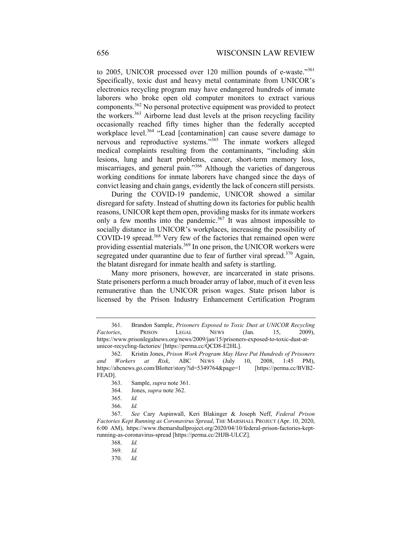to 2005, UNICOR processed over 120 million pounds of e-waste."<sup>361</sup> Specifically, toxic dust and heavy metal contaminate from UNICOR's electronics recycling program may have endangered hundreds of inmate laborers who broke open old computer monitors to extract various components.362 No personal protective equipment was provided to protect the workers.<sup>363</sup> Airborne lead dust levels at the prison recycling facility occasionally reached fifty times higher than the federally accepted workplace level.<sup>364</sup> "Lead [contamination] can cause severe damage to nervous and reproductive systems."365 The inmate workers alleged medical complaints resulting from the contaminants, "including skin lesions, lung and heart problems, cancer, short-term memory loss, miscarriages, and general pain."366 Although the varieties of dangerous working conditions for inmate laborers have changed since the days of convict leasing and chain gangs, evidently the lack of concern still persists.

During the COVID-19 pandemic, UNICOR showed a similar disregard for safety. Instead of shutting down its factories for public health reasons, UNICOR kept them open, providing masks for its inmate workers only a few months into the pandemic.<sup>367</sup> It was almost impossible to socially distance in UNICOR's workplaces, increasing the possibility of COVID-19 spread.<sup>368</sup> Very few of the factories that remained open were providing essential materials.<sup>369</sup> In one prison, the UNICOR workers were segregated under quarantine due to fear of further viral spread.<sup>370</sup> Again, the blatant disregard for inmate health and safety is startling.

Many more prisoners, however, are incarcerated in state prisons. State prisoners perform a much broader array of labor, much of it even less remunerative than the UNICOR prison wages. State prison labor is licensed by the Prison Industry Enhancement Certification Program

<sup>361.</sup> Brandon Sample, *Prisoners Exposed to Toxic Dust at UNICOR Recycling Factories*, PRISON LEGAL NEWS (Jan. 15, 2009), https://www.prisonlegalnews.org/news/2009/jan/15/prisoners-exposed-to-toxic-dust-atunicor-recycling-factories/ [https://perma.cc/QCD8-E2HL].

<sup>362.</sup> Kristin Jones, *Prison Work Program May Have Put Hundreds of Prisoners and Workers at Risk*, ABC NEWS (July 10, 2008, 1:45 PM), https://abcnews.go.com/Blotter/story?id=5349764&page=1 [https://perma.cc/BVB2- FEAD].

<sup>363.</sup> Sample, *supra* note 361.

<sup>364.</sup> Jones, *supra* note 362.

<sup>365.</sup> *Id.* 

<sup>366.</sup> *Id.* 

<sup>367.</sup> *See* Cary Aspinwall, Keri Blakinger & Joseph Neff, *Federal Prison Factories Kept Running as Coronavirus Spread*, THE MARSHALL PROJECT (Apr. 10, 2020, 6:00 AM), https://www.themarshallproject.org/2020/04/10/federal-prison-factories-keptrunning-as-coronavirus-spread [https://perma.cc/2HJB-ULCZ].

<sup>368.</sup> *Id.* 

<sup>369.</sup> *Id.*

<sup>370.</sup> *Id.*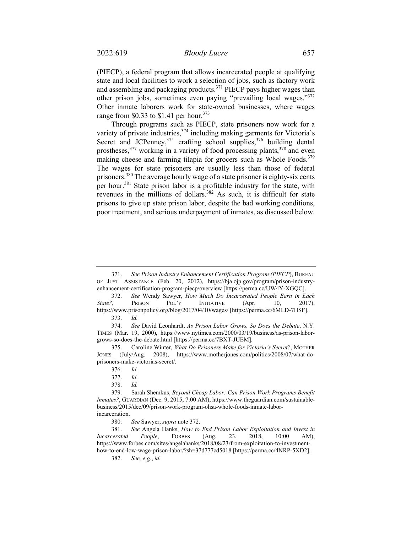(PIECP), a federal program that allows incarcerated people at qualifying state and local facilities to work a selection of jobs, such as factory work and assembling and packaging products.<sup>371</sup> PIECP pays higher wages than other prison jobs, sometimes even paying "prevailing local wages."372 Other inmate laborers work for state-owned businesses, where wages range from \$0.33 to \$1.41 per hour.<sup>373</sup>

Through programs such as PIECP, state prisoners now work for a variety of private industries,<sup>374</sup> including making garments for Victoria's Secret and JCPenney,<sup>375</sup> crafting school supplies,<sup>376</sup> building dental prostheses,<sup>377</sup> working in a variety of food processing plants,<sup>378</sup> and even making cheese and farming tilapia for grocers such as Whole Foods.<sup>379</sup> The wages for state prisoners are usually less than those of federal prisoners.<sup>380</sup> The average hourly wage of a state prisoner is eighty-six cents per hour.<sup>381</sup> State prison labor is a profitable industry for the state, with revenues in the millions of dollars.<sup>382</sup> As such, it is difficult for state prisons to give up state prison labor, despite the bad working conditions, poor treatment, and serious underpayment of inmates, as discussed below.

372. *See* Wendy Sawyer, *How Much Do Incarcerated People Earn in Each State?*, PRISON POL'Y INITIATIVE (Apr. 10, 2017), https://www.prisonpolicy.org/blog/2017/04/10/wages/ [https://perma.cc/6MLD-7HSF]. 373. *Id.* 

 374. *See* David Leonhardt, *As Prison Labor Grows, So Does the Debate*, N.Y. TIMES (Mar. 19, 2000), https://www.nytimes.com/2000/03/19/business/as-prison-laborgrows-so-does-the-debate.html [https://perma.cc/7BXT-JUEM].

375. Caroline Winter, *What Do Prisoners Make for Victoria's Secret?*, MOTHER JONES (July/Aug. 2008), https://www.motherjones.com/politics/2008/07/what-doprisoners-make-victorias-secret/.

<sup>371.</sup> *See Prison Industry Enhancement Certification Program (PIECP*), BUREAU OF JUST. ASSISTANCE (Feb. 20, 2012), https://bja.ojp.gov/program/prison-industryenhancement-certification-program-piecp/overview [https://perma.cc/UW4Y-XGQC].

 <sup>376.</sup> *Id.*

 <sup>377.</sup> *Id.*

<sup>378.</sup> *Id.*

<sup>379.</sup> Sarah Shemkus, *Beyond Cheap Labor: Can Prison Work Programs Benefit Inmates?*, GUARDIAN (Dec. 9, 2015, 7:00 AM), https://www.theguardian.com/sustainablebusiness/2015/dec/09/prison-work-program-ohsa-whole-foods-inmate-laborincarceration.

<sup>380.</sup> *See* Sawyer, *supra* note 372.

<sup>381.</sup> *See* Angela Hanks, *How to End Prison Labor Exploitation and Invest in Incarcerated People*, FORBES (Aug. 23, 2018, 10:00 AM), https://www.forbes.com/sites/angelahanks/2018/08/23/from-exploitation-to-investmenthow-to-end-low-wage-prison-labor/?sh=37d777cd5018 [https://perma.cc/4NRP-5XD2].

<sup>382.</sup> *See, e.g.*, *id.*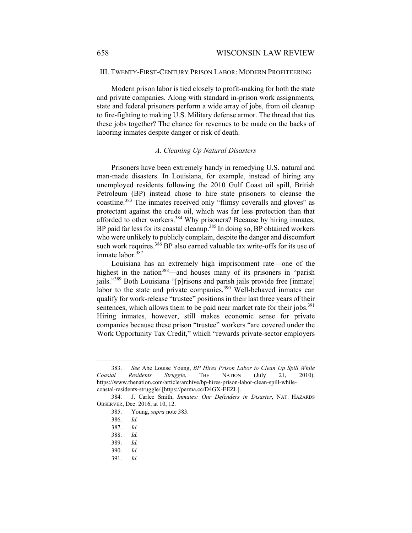## III. TWENTY-FIRST-CENTURY PRISON LABOR: MODERN PROFITEERING

Modern prison labor is tied closely to profit-making for both the state and private companies. Along with standard in-prison work assignments, state and federal prisoners perform a wide array of jobs, from oil cleanup to fire-fighting to making U.S. Military defense armor. The thread that ties these jobs together? The chance for revenues to be made on the backs of laboring inmates despite danger or risk of death.

#### *A. Cleaning Up Natural Disasters*

Prisoners have been extremely handy in remedying U.S. natural and man-made disasters. In Louisiana, for example, instead of hiring any unemployed residents following the 2010 Gulf Coast oil spill, British Petroleum (BP) instead chose to hire state prisoners to cleanse the coastline.<sup>383</sup> The inmates received only "flimsy coveralls and gloves" as protectant against the crude oil, which was far less protection than that afforded to other workers.<sup>384</sup> Why prisoners? Because by hiring inmates, BP paid far less for its coastal cleanup.<sup>385</sup> In doing so, BP obtained workers who were unlikely to publicly complain, despite the danger and discomfort such work requires.<sup>386</sup> BP also earned valuable tax write-offs for its use of inmate labor.<sup>387</sup>

Louisiana has an extremely high imprisonment rate—one of the highest in the nation<sup>388</sup>—and houses many of its prisoners in "parish jails."<sup>389</sup> Both Louisiana "[p]risons and parish jails provide free [inmate] labor to the state and private companies.<sup>390</sup> Well-behaved inmates can qualify for work-release "trustee" positions in their last three years of their sentences, which allows them to be paid near market rate for their jobs.<sup>391</sup> Hiring inmates, however, still makes economic sense for private companies because these prison "trustee" workers "are covered under the Work Opportunity Tax Credit," which "rewards private-sector employers

<sup>383.</sup> *See* Abe Louise Young, *BP Hires Prison Labor to Clean Up Spill While Coastal Residents Struggle*, THE NATION (July 21, 2010), https://www.thenation.com/article/archive/bp-hires-prison-labor-clean-spill-whilecoastal-residents-struggle/ [https://perma.cc/D4GX-EEZL].

<sup>384.</sup> J. Carlee Smith, *Inmates: Our Defenders in Disaster*, NAT. HAZARDS OBSERVER, Dec. 2016, at 10, 12.

<sup>385.</sup> Young, *supra* note 383.

<sup>386.</sup> *Id.* 

<sup>387.</sup> *Id.* 

 <sup>388.</sup> *Id.*

<sup>389.</sup> *Id.*

<sup>390.</sup> *Id.*

 <sup>391.</sup> *Id.*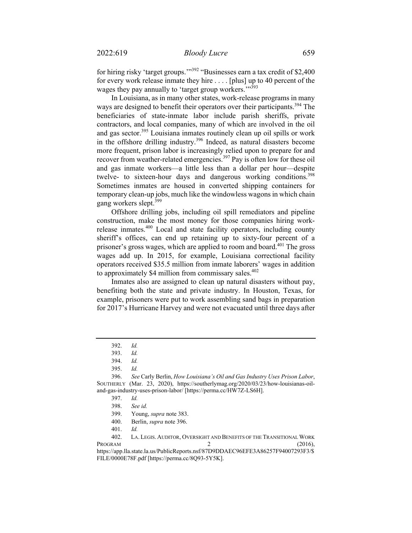for hiring risky 'target groups.'"392 "Businesses earn a tax credit of \$2,400 for every work release inmate they hire . . . . [plus] up to 40 percent of the wages they pay annually to 'target group workers.'"<sup>393</sup>

In Louisiana, as in many other states, work-release programs in many ways are designed to benefit their operators over their participants.<sup>394</sup> The beneficiaries of state-inmate labor include parish sheriffs, private contractors, and local companies, many of which are involved in the oil and gas sector.<sup>395</sup> Louisiana inmates routinely clean up oil spills or work in the offshore drilling industry.396 Indeed, as natural disasters become more frequent, prison labor is increasingly relied upon to prepare for and recover from weather-related emergencies.<sup>397</sup> Pay is often low for these oil and gas inmate workers—a little less than a dollar per hour—despite twelve- to sixteen-hour days and dangerous working conditions.<sup>398</sup> Sometimes inmates are housed in converted shipping containers for temporary clean-up jobs, much like the windowless wagons in which chain gang workers slept.<sup>399</sup>

Offshore drilling jobs, including oil spill remediators and pipeline construction, make the most money for those companies hiring workrelease inmates.<sup>400</sup> Local and state facility operators, including county sheriff's offices, can end up retaining up to sixty-four percent of a prisoner's gross wages, which are applied to room and board.<sup>401</sup> The gross wages add up. In 2015, for example, Louisiana correctional facility operators received \$35.5 million from inmate laborers' wages in addition to approximately \$4 million from commissary sales. $402$ 

Inmates also are assigned to clean up natural disasters without pay, benefiting both the state and private industry. In Houston, Texas, for example, prisoners were put to work assembling sand bags in preparation for 2017's Hurricane Harvey and were not evacuated until three days after

 <sup>392.</sup> *Id.*

<sup>393.</sup> *Id.*

<sup>394.</sup> *Id.*

<sup>395.</sup> *Id.*

<sup>396.</sup> *See* Carly Berlin, *How Louisiana's Oil and Gas Industry Uses Prison Labor*, SOUTHERLY (Mar. 23, 2020), https://southerlymag.org/2020/03/23/how-louisianas-oiland-gas-industry-uses-prison-labor/ [https://perma.cc/HW7Z-LS6H].

<sup>397.</sup> *Id.* 

<sup>398.</sup> *See id.*

<sup>399.</sup> Young, *supra* note 383.

<sup>400.</sup> Berlin, *supra* note 396.

<sup>401.</sup> *Id.*

<sup>402.</sup> LA. LEGIS. AUDITOR, OVERSIGHT AND BENEFITS OF THE TRANSITIONAL WORK  $PROGRAM$  2 (2016), https://app.lla.state.la.us/PublicReports.nsf/87D9DDAEC96EFE3A86257F94007293F3/\$ FILE/0000E78F.pdf [https://perma.cc/8Q93-5Y5K].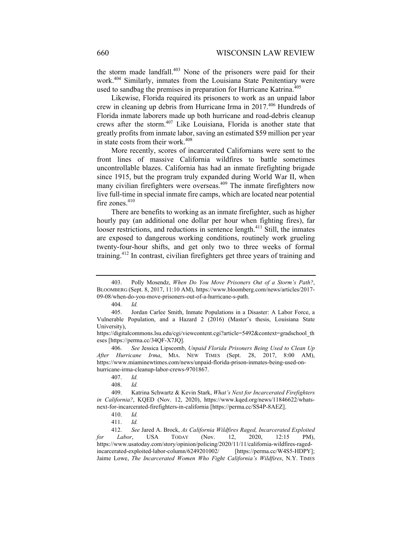the storm made landfall.<sup>403</sup> None of the prisoners were paid for their work.404 Similarly, inmates from the Louisiana State Penitentiary were used to sandbag the premises in preparation for Hurricane Katrina.<sup>405</sup>

Likewise, Florida required its prisoners to work as an unpaid labor crew in cleaning up debris from Hurricane Irma in 2017.406 Hundreds of Florida inmate laborers made up both hurricane and road-debris cleanup crews after the storm.407 Like Louisiana, Florida is another state that greatly profits from inmate labor, saving an estimated \$59 million per year in state costs from their work.<sup>408</sup>

More recently, scores of incarcerated Californians were sent to the front lines of massive California wildfires to battle sometimes uncontrollable blazes. California has had an inmate firefighting brigade since 1915, but the program truly expanded during World War II, when many civilian firefighters were overseas.<sup>409</sup> The inmate firefighters now live full-time in special inmate fire camps, which are located near potential fire zones.<sup>410</sup>

There are benefits to working as an inmate firefighter, such as higher hourly pay (an additional one dollar per hour when fighting fires), far looser restrictions, and reductions in sentence length.<sup>411</sup> Still, the inmates are exposed to dangerous working conditions, routinely work grueling twenty-four-hour shifts, and get only two to three weeks of formal training.412 In contrast, civilian firefighters get three years of training and

404. *Id.* 

<sup>403.</sup> Polly Mosendz, *When Do You Move Prisoners Out of a Storm's Path?*, BLOOMBERG (Sept. 8, 2017, 11:10 AM), https://www.bloomberg.com/news/articles/2017- 09-08/when-do-you-move-prisoners-out-of-a-hurricane-s-path.

<sup>405.</sup> Jordan Carlee Smith, Inmate Populations in a Disaster: A Labor Force, a Vulnerable Population, and a Hazard 2 (2016) (Master's thesis, Louisiana State University),

https://digitalcommons.lsu.edu/cgi/viewcontent.cgi?article=5492&context=gradschool\_th eses [https://perma.cc/34QF-X7JQ].

<sup>406.</sup> *See* Jessica Lipscomb, *Unpaid Florida Prisoners Being Used to Clean Up After Hurricane Irma*, MIA. NEW TIMES (Sept. 28, 2017, 8:00 AM), https://www.miaminewtimes.com/news/unpaid-florida-prison-inmates-being-used-onhurricane-irma-cleanup-labor-crews-9701867.

<sup>407.</sup> *Id.* 

<sup>408.</sup> *Id.* 

<sup>409.</sup> Katrina Schwartz & Kevin Stark, *What's Next for Incarcerated Firefighters in California?*, KQED (Nov. 12, 2020), https://www.kqed.org/news/11846622/whatsnext-for-incarcerated-firefighters-in-california [https://perma.cc/SS4P-8AEZ].

<sup>410.</sup> *Id.* 

<sup>411.</sup> *Id.*

<sup>412.</sup> *See* Jared A. Brock, *As California Wildfires Raged, Incarcerated Exploited for Labor*, USA TODAY (Nov. 12, 2020, 12:15 PM), https://www.usatoday.com/story/opinion/policing/2020/11/11/california-wildfires-ragedincarcerated-exploited-labor-column/6249201002/ [https://perma.cc/W4S5-HDPY]; Jaime Lowe, *The Incarcerated Women Who Fight California's Wildfires*, N.Y. TIMES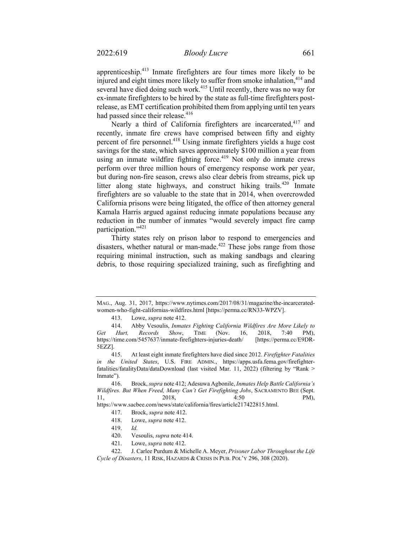apprenticeship.413 Inmate firefighters are four times more likely to be injured and eight times more likely to suffer from smoke inhalation,<sup>414</sup> and several have died doing such work.<sup>415</sup> Until recently, there was no way for ex-inmate firefighters to be hired by the state as full-time firefighters postrelease, as EMT certification prohibited them from applying until ten years had passed since their release.<sup>416</sup>

Nearly a third of California firefighters are incarcerated,<sup>417</sup> and recently, inmate fire crews have comprised between fifty and eighty percent of fire personnel.418 Using inmate firefighters yields a huge cost savings for the state, which saves approximately \$100 million a year from using an inmate wildfire fighting force.<sup>419</sup> Not only do inmate crews perform over three million hours of emergency response work per year, but during non-fire season, crews also clear debris from streams, pick up litter along state highways, and construct hiking trails.<sup>420</sup> Inmate firefighters are so valuable to the state that in 2014, when overcrowded California prisons were being litigated, the office of then attorney general Kamala Harris argued against reducing inmate populations because any reduction in the number of inmates "would severely impact fire camp participation."<sup>421</sup>

Thirty states rely on prison labor to respond to emergencies and disasters, whether natural or man-made.<sup> $422$ </sup> These jobs range from those requiring minimal instruction, such as making sandbags and clearing debris, to those requiring specialized training, such as firefighting and

MAG., Aug. 31, 2017, https://www.nytimes.com/2017/08/31/magazine/the-incarceratedwomen-who-fight-californias-wildfires.html [https://perma.cc/RN33-WPZV].

<sup>413.</sup> Lowe, *supra* note 412.

<sup>414.</sup> Abby Vesoulis, *Inmates Fighting California Wildfires Are More Likely to Get Hurt, Records Show*, TIME (Nov. 16, 2018, 7:40 PM), https://time.com/5457637/inmate-firefighters-injuries-death/ [https://perma.cc/E9DR-5EZZ].

<sup>415.</sup> At least eight inmate firefighters have died since 2012. *Firefighter Fatalities in the United States*, U.S. FIRE ADMIN., https://apps.usfa.fema.gov/firefighterfatalities/fatalityData/dataDownload (last visited Mar. 11, 2022) (filtering by "Rank > Inmate").

<sup>416.</sup> Brock, *supra* note 412; Adesuwa Agbonile, *Inmates Help Battle California's Wildfires. But When Freed, Many Can't Get Firefighting Jobs*, SACRAMENTO BEE (Sept. 11, 2018, 4:50 PM),

https://www.sacbee.com/news/state/california/fires/article217422815.html.

<sup>417.</sup> Brock, *supra* note 412.

<sup>418.</sup> Lowe, *supra* note 412.

<sup>419.</sup> *Id.*

<sup>420.</sup> Vesoulis, *supra* note 414.

<sup>421.</sup> Lowe, *supra* note 412.

<sup>422.</sup> J. Carlee Purdum & Michelle A. Meyer, *Prisoner Labor Throughout the Life Cycle of Disasters*, 11 RISK, HAZARDS & CRISIS IN PUB. POL'Y 296, 308 (2020).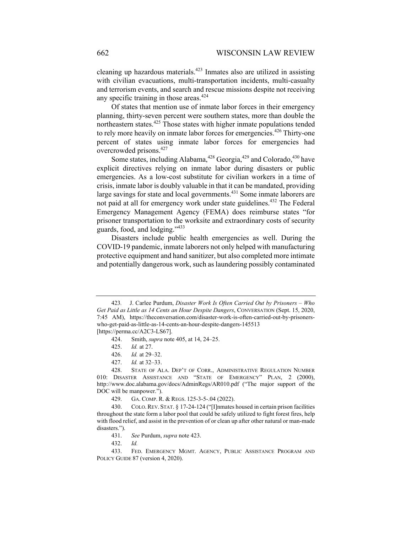cleaning up hazardous materials.<sup> $423$ </sup> Inmates also are utilized in assisting with civilian evacuations, multi-transportation incidents, multi-casualty and terrorism events, and search and rescue missions despite not receiving any specific training in those areas.<sup>424</sup>

Of states that mention use of inmate labor forces in their emergency planning, thirty-seven percent were southern states, more than double the northeastern states.<sup>425</sup> Those states with higher inmate populations tended to rely more heavily on inmate labor forces for emergencies.<sup>426</sup> Thirty-one percent of states using inmate labor forces for emergencies had overcrowded prisons.<sup>427</sup>

Some states, including Alabama,<sup>428</sup> Georgia,<sup>429</sup> and Colorado,<sup>430</sup> have explicit directives relying on inmate labor during disasters or public emergencies. As a low-cost substitute for civilian workers in a time of crisis, inmate labor is doubly valuable in that it can be mandated, providing large savings for state and local governments.<sup>431</sup> Some inmate laborers are not paid at all for emergency work under state guidelines.<sup>432</sup> The Federal Emergency Management Agency (FEMA) does reimburse states "for prisoner transportation to the worksite and extraordinary costs of security guards, food, and lodging."433

Disasters include public health emergencies as well. During the COVID-19 pandemic, inmate laborers not only helped with manufacturing protective equipment and hand sanitizer, but also completed more intimate and potentially dangerous work, such as laundering possibly contaminated

427. *Id.* at 32–33.

<sup>423</sup>*.* J. Carlee Purdum, *Disaster Work Is Often Carried Out by Prisoners – Who Get Paid as Little as 14 Cents an Hour Despite Dangers*, CONVERSATION (Sept. 15, 2020, 7:45 AM), https://theconversation.com/disaster-work-is-often-carried-out-by-prisonerswho-get-paid-as-little-as-14-cents-an-hour-despite-dangers-145513 [https://perma.cc/A2C3-LS67].

<sup>424.</sup> Smith, *supra* note 405, at 14, 24–25.

<sup>425.</sup> *Id.* at 27.

<sup>426.</sup> *Id.* at 29–32.

<sup>428.</sup> STATE OF ALA. DEP'T OF CORR., ADMINISTRATIVE REGULATION NUMBER 010: DISASTER ASSISTANCE AND "STATE OF EMERGENCY" PLAN, 2 (2000), http://www.doc.alabama.gov/docs/AdminRegs/AR010.pdf ("The major support of the DOC will be manpower.").

<sup>429.</sup> GA. COMP. R. & REGS. 125-3-5-.04 (2022).

<sup>430.</sup> COLO.REV. STAT. § 17-24-124 ("[I]nmates housed in certain prison facilities throughout the state form a labor pool that could be safely utilized to fight forest fires, help with flood relief, and assist in the prevention of or clean up after other natural or man-made disasters.").

<sup>431.</sup> *See* Purdum, *supra* note 423.

<sup>432.</sup> *Id.*

<sup>433.</sup> FED. EMERGENCY MGMT. AGENCY, PUBLIC ASSISTANCE PROGRAM AND POLICY GUIDE 87 (version 4, 2020).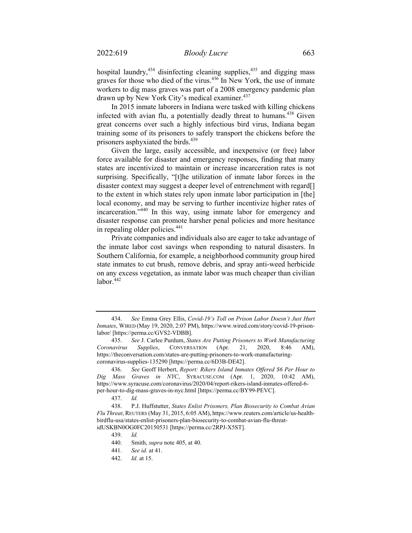hospital laundry, $434$  disinfecting cleaning supplies, $435$  and digging mass graves for those who died of the virus.<sup>436</sup> In New York, the use of inmate workers to dig mass graves was part of a 2008 emergency pandemic plan drawn up by New York City's medical examiner.<sup>437</sup>

In 2015 inmate laborers in Indiana were tasked with killing chickens infected with avian flu, a potentially deadly threat to humans.<sup>438</sup> Given great concerns over such a highly infectious bird virus, Indiana began training some of its prisoners to safely transport the chickens before the prisoners asphyxiated the birds.<sup>439</sup>

Given the large, easily accessible, and inexpensive (or free) labor force available for disaster and emergency responses, finding that many states are incentivized to maintain or increase incarceration rates is not surprising. Specifically, "[t]he utilization of inmate labor forces in the disaster context may suggest a deeper level of entrenchment with regard[] to the extent in which states rely upon inmate labor participation in [the] local economy, and may be serving to further incentivize higher rates of incarceration."440 In this way, using inmate labor for emergency and disaster response can promote harsher penal policies and more hesitance in repealing older policies.<sup>441</sup>

Private companies and individuals also are eager to take advantage of the inmate labor cost savings when responding to natural disasters. In Southern California, for example, a neighborhood community group hired state inmates to cut brush, remove debris, and spray anti-weed herbicide on any excess vegetation, as inmate labor was much cheaper than civilian labor.<sup>442</sup>

<sup>434.</sup> *See* Emma Grey Ellis, *Covid-19's Toll on Prison Labor Doesn't Just Hurt Inmates*, WIRED (May 19, 2020, 2:07 PM), https://www.wired.com/story/covid-19-prisonlabor/ [https://perma.cc/GVS2-VDBB].

<sup>435.</sup> *See* J. Carlee Purdum, *States Are Putting Prisoners to Work Manufacturing Coronavirus Supplies*, CONVERSATION (Apr. 21, 2020, 8:46 AM), https://theconversation.com/states-are-putting-prisoners-to-work-manufacturingcoronavirus-supplies-135290 [https://perma.cc/6D3B-DE42].

<sup>436.</sup> *See* Geoff Herbert, *Report: Rikers Island Inmates Offered \$6 Per Hour to Dig Mass Graves in NYC*, SYRACUSE.COM (Apr. 1, 2020, 10:42 AM), https://www.syracuse.com/coronavirus/2020/04/report-rikers-island-inmates-offered-6 per-hour-to-dig-mass-graves-in-nyc.html [https://perma.cc/BY99-PEVC].

<sup>437.</sup> *Id.* 

<sup>438.</sup> P.J. Huffstutter, *States Enlist Prisoners, Plan Biosecurity to Combat Avian Flu Threat*, REUTERS (May 31, 2015, 6:05 AM), https://www.reuters.com/article/us-healthbirdflu-usa/states-enlist-prisoners-plan-biosecurity-to-combat-avian-flu-threatidUSKBN0OG0FC20150531 [https://perma.cc/2RPJ-X5ST].

<sup>439.</sup> *Id.* 

<sup>440.</sup> Smith, *supra* note 405, at 40.

<sup>441.</sup> *See id.* at 41.

<sup>442.</sup> *Id.* at 15.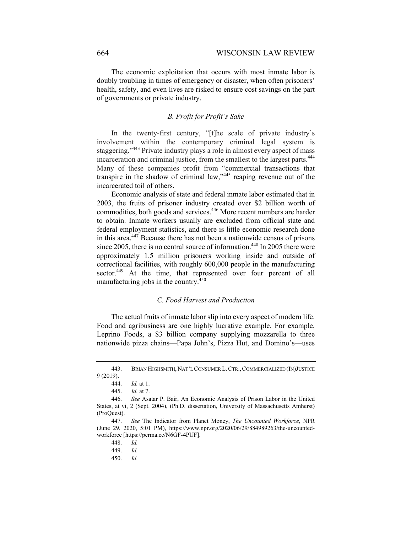The economic exploitation that occurs with most inmate labor is doubly troubling in times of emergency or disaster, when often prisoners' health, safety, and even lives are risked to ensure cost savings on the part of governments or private industry.

# *B. Profit for Profit's Sake*

In the twenty-first century, "[t]he scale of private industry's involvement within the contemporary criminal legal system is staggering."443 Private industry plays a role in almost every aspect of mass incarceration and criminal justice, from the smallest to the largest parts.<sup>444</sup> Many of these companies profit from "commercial transactions that transpire in the shadow of criminal law,"445 reaping revenue out of the incarcerated toil of others.

Economic analysis of state and federal inmate labor estimated that in 2003, the fruits of prisoner industry created over \$2 billion worth of commodities, both goods and services.446 More recent numbers are harder to obtain. Inmate workers usually are excluded from official state and federal employment statistics, and there is little economic research done in this area.447 Because there has not been a nationwide census of prisons since 2005, there is no central source of information.<sup>448</sup> In 2005 there were approximately 1.5 million prisoners working inside and outside of correctional facilities, with roughly 600,000 people in the manufacturing sector.<sup>449</sup> At the time, that represented over four percent of all manufacturing jobs in the country. $450$ 

## *C. Food Harvest and Production*

The actual fruits of inmate labor slip into every aspect of modern life. Food and agribusiness are one highly lucrative example. For example, Leprino Foods, a \$3 billion company supplying mozzarella to three nationwide pizza chains—Papa John's, Pizza Hut, and Domino's—uses

<sup>443.</sup> BRIAN HIGHSMITH, NAT'L CONSUMER L.CTR.,COMMERCIALIZED (IN)JUSTICE 9 (2019).

<sup>444.</sup> *Id.* at 1.

<sup>445.</sup> *Id.* at 7.

<sup>446.</sup> *See* Asatar P. Bair, An Economic Analysis of Prison Labor in the United States, at vi, 2 (Sept. 2004), (Ph.D. dissertation, University of Massachusetts Amherst) (ProQuest).

<sup>447.</sup> *See* The Indicator from Planet Money, *The Uncounted Workforce*, NPR (June 29, 2020, 5:01 PM), https://www.npr.org/2020/06/29/884989263/the-uncountedworkforce [https://perma.cc/N6GF-4PUF].

<sup>448.</sup> *Id.* 

<sup>449.</sup> *Id.*

<sup>450.</sup> *Id.*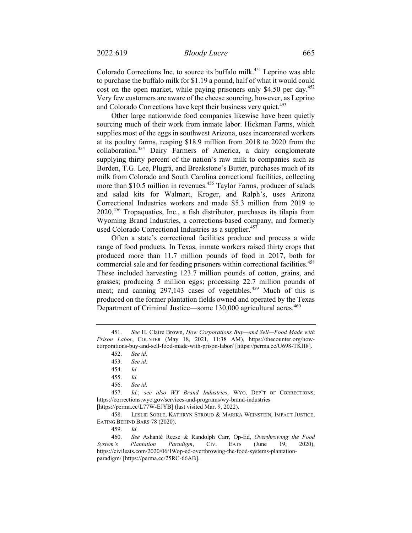Colorado Corrections Inc. to source its buffalo milk.<sup>451</sup> Leprino was able to purchase the buffalo milk for \$1.19 a pound, half of what it would could cost on the open market, while paying prisoners only \$4.50 per day.<sup>452</sup> Very few customers are aware of the cheese sourcing, however, as Leprino and Colorado Corrections have kept their business very quiet.<sup>453</sup>

Other large nationwide food companies likewise have been quietly sourcing much of their work from inmate labor. Hickman Farms, which supplies most of the eggs in southwest Arizona, uses incarcerated workers at its poultry farms, reaping \$18.9 million from 2018 to 2020 from the collaboration.454 Dairy Farmers of America, a dairy conglomerate supplying thirty percent of the nation's raw milk to companies such as Borden, T.G. Lee, Plugrá, and Breakstone's Butter, purchases much of its milk from Colorado and South Carolina correctional facilities, collecting more than \$10.5 million in revenues.<sup>455</sup> Taylor Farms, producer of salads and salad kits for Walmart, Kroger, and Ralph's, uses Arizona Correctional Industries workers and made \$5.3 million from 2019 to 2020.456 Tropaquatics, Inc., a fish distributor, purchases its tilapia from Wyoming Brand Industries, a corrections-based company, and formerly used Colorado Correctional Industries as a supplier.<sup>457</sup>

Often a state's correctional facilities produce and process a wide range of food products. In Texas, inmate workers raised thirty crops that produced more than 11.7 million pounds of food in 2017, both for commercial sale and for feeding prisoners within correctional facilities.<sup>458</sup> These included harvesting 123.7 million pounds of cotton, grains, and grasses; producing 5 million eggs; processing 22.7 million pounds of meat; and canning 297,143 cases of vegetables.<sup>459</sup> Much of this is produced on the former plantation fields owned and operated by the Texas Department of Criminal Justice—some 130,000 agricultural acres.<sup>460</sup>

<sup>451.</sup> *See* H. Claire Brown, *How Corporations Buy—and Sell—Food Made with Prison Labor*, COUNTER (May 18, 2021, 11:38 AM), https://thecounter.org/howcorporations-buy-and-sell-food-made-with-prison-labor/ [https://perma.cc/U698-TKH8].

<sup>452.</sup> *See id.* 

<sup>453.</sup> *See id.* 

<sup>454.</sup> *Id.* 

<sup>455.</sup> *Id.*

<sup>456.</sup> *See id.*

<sup>457.</sup> *Id.*; *see also WY Brand Industries*, WYO. DEP'T OF CORRECTIONS, https://corrections.wyo.gov/services-and-programs/wy-brand-industries

<sup>[</sup>https://perma.cc/L77W-EJYB] (last visited Mar. 9, 2022).

<sup>458.</sup> LESLIE SOBLE, KATHRYN STROUD & MARIKA WEINSTEIN, IMPACT JUSTICE, EATING BEHIND BARS 78 (2020).

<sup>459.</sup> *Id.*

<sup>460.</sup> *See* Ashanté Reese & Randolph Carr, Op-Ed, *Overthrowing the Food System's Plantation Paradigm*, CIV. EATS (June 19, 2020), https://civileats.com/2020/06/19/op-ed-overthrowing-the-food-systems-plantationparadigm/ [https://perma.cc/25RC-66AB].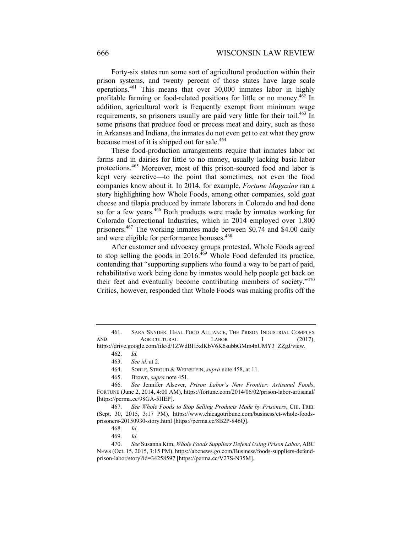Forty-six states run some sort of agricultural production within their prison systems, and twenty percent of those states have large scale operations.461 This means that over 30,000 inmates labor in highly profitable farming or food-related positions for little or no money.462 In addition, agricultural work is frequently exempt from minimum wage requirements, so prisoners usually are paid very little for their toil.<sup>463</sup> In some prisons that produce food or process meat and dairy, such as those in Arkansas and Indiana, the inmates do not even get to eat what they grow because most of it is shipped out for sale.<sup>464</sup>

These food-production arrangements require that inmates labor on farms and in dairies for little to no money, usually lacking basic labor protections.465 Moreover, most of this prison-sourced food and labor is kept very secretive—to the point that sometimes, not even the food companies know about it. In 2014, for example, *Fortune Magazine* ran a story highlighting how Whole Foods, among other companies, sold goat cheese and tilapia produced by inmate laborers in Colorado and had done so for a few years.<sup>466</sup> Both products were made by inmates working for Colorado Correctional Industries, which in 2014 employed over 1,800 prisoners.<sup>467</sup> The working inmates made between \$0.74 and \$4.00 daily and were eligible for performance bonuses.<sup>468</sup>

After customer and advocacy groups protested, Whole Foods agreed to stop selling the goods in  $2016.<sup>469</sup>$  Whole Food defended its practice, contending that "supporting suppliers who found a way to be part of paid, rehabilitative work being done by inmates would help people get back on their feet and eventually become contributing members of society."<sup>470</sup> Critics, however, responded that Whole Foods was making profits off the

465. Brown, *supra* note 451.

<sup>461.</sup> SARA SNYDER, HEAL FOOD ALLIANCE, THE PRISON INDUSTRIAL COMPLEX AND AGRICULTURAL LABOR 1 (2017), https://drive.google.com/file/d/1ZWdBH5zlKbV6K6subbGMm4nUMY3\_ZZgJ/view.

<sup>462.</sup> *Id.*

<sup>463.</sup> *See id.* at 2.

<sup>464.</sup> SOBLE, STROUD & WEINSTEIN, *supra* note 458, at 11.

<sup>466.</sup> *See* Jennifer Alsever, *Prison Labor's New Frontier: Artisanal Foods*, FORTUNE (June 2, 2014, 4:00 AM), https://fortune.com/2014/06/02/prison-labor-artisanal/ [https://perma.cc/98GA-5HEP].

<sup>467.</sup> *See Whole Foods to Stop Selling Products Made by Prisoners*, CHI. TRIB. (Sept. 30, 2015, 3:17 PM), https://www.chicagotribune.com/business/ct-whole-foodsprisoners-20150930-story.html [https://perma.cc/8B2P-846Q].

<sup>468.</sup> *Id.*

<sup>469.</sup> *Id.* 

<sup>470.</sup> *See* Susanna Kim, *Whole Foods Suppliers Defend Using Prison Labor*, ABC NEWS (Oct. 15, 2015, 3:15 PM), https://abcnews.go.com/Business/foods-suppliers-defendprison-labor/story?id=34258597 [https://perma.cc/V27S-N35M].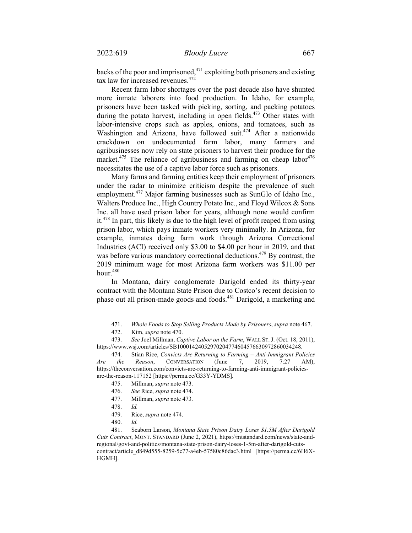backs of the poor and imprisoned,  $471$  exploiting both prisoners and existing tax law for increased revenues.<sup>472</sup>

Recent farm labor shortages over the past decade also have shunted more inmate laborers into food production. In Idaho, for example, prisoners have been tasked with picking, sorting, and packing potatoes during the potato harvest, including in open fields.<sup>473</sup> Other states with labor-intensive crops such as apples, onions, and tomatoes, such as Washington and Arizona, have followed suit.<sup>474</sup> After a nationwide crackdown on undocumented farm labor, many farmers and agribusinesses now rely on state prisoners to harvest their produce for the market.<sup>475</sup> The reliance of agribusiness and farming on cheap labor<sup>476</sup> necessitates the use of a captive labor force such as prisoners.

Many farms and farming entities keep their employment of prisoners under the radar to minimize criticism despite the prevalence of such employment.<sup>477</sup> Major farming businesses such as SunGlo of Idaho Inc., Walters Produce Inc., High Country Potato Inc., and Floyd Wilcox & Sons Inc. all have used prison labor for years, although none would confirm it.<sup>478</sup> In part, this likely is due to the high level of profit reaped from using prison labor, which pays inmate workers very minimally. In Arizona, for example, inmates doing farm work through Arizona Correctional Industries (ACI) received only \$3.00 to \$4.00 per hour in 2019, and that was before various mandatory correctional deductions.<sup>479</sup> By contrast, the 2019 minimum wage for most Arizona farm workers was \$11.00 per hour. $480$ 

In Montana, dairy conglomerate Darigold ended its thirty-year contract with the Montana State Prison due to Costco's recent decision to phase out all prison-made goods and foods.<sup>481</sup> Darigold, a marketing and

- 477. Millman, *supra* note 473.
- 478. *Id.*
- 479. Rice, *supra* note 474.
- 480. *Id.*

481. Seaborn Larson, *Montana State Prison Dairy Loses \$1.5M After Darigold Cuts Contract*, MONT. STANDARD (June 2, 2021), https://mtstandard.com/news/state-andregional/govt-and-politics/montana-state-prison-dairy-loses-1-5m-after-darigold-cutscontract/article\_d849d555-8259-5c77-a4eb-57580c86dac3.html [https://perma.cc/6H6X-HGMH].

<sup>471.</sup> *Whole Foods to Stop Selling Products Made by Prisoners*, *supra* note 467.

<sup>472.</sup> Kim, *supra* note 470.

<sup>473.</sup> *See* Joel Millman, *Captive Labor on the Farm*, WALL ST. J. (Oct. 18, 2011), https://www.wsj.com/articles/SB10001424052970204774604576630972860034248.

<sup>474.</sup> Stian Rice, *Convicts Are Returning to Farming* – *Anti-Immigrant Policies Are the Reason*, CONVERSATION (June 7, 2019, 7:27 AM), https://theconversation.com/convicts-are-returning-to-farming-anti-immigrant-policiesare-the-reason-117152 [https://perma.cc/G33Y-YDMS].

<sup>475.</sup> Millman, *supra* note 473.

<sup>476.</sup> *See* Rice, *supra* note 474.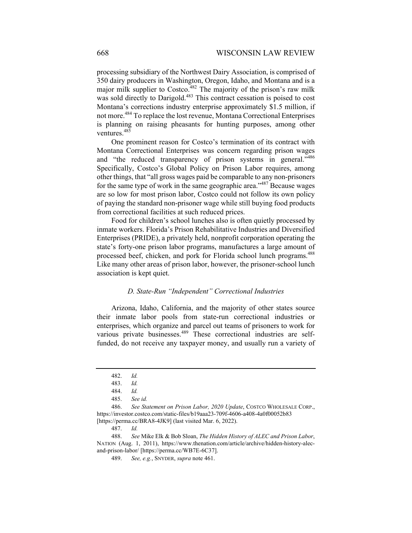processing subsidiary of the Northwest Dairy Association, is comprised of 350 dairy producers in Washington, Oregon, Idaho, and Montana and is a major milk supplier to Costco.<sup>482</sup> The majority of the prison's raw milk was sold directly to Darigold.<sup>483</sup> This contract cessation is poised to cost Montana's corrections industry enterprise approximately \$1.5 million, if not more.484 To replace the lost revenue, Montana Correctional Enterprises is planning on raising pheasants for hunting purposes, among other ventures.<sup>485</sup>

One prominent reason for Costco's termination of its contract with Montana Correctional Enterprises was concern regarding prison wages and "the reduced transparency of prison systems in general."<sup>486</sup> Specifically, Costco's Global Policy on Prison Labor requires, among other things, that "all gross wages paid be comparable to any non-prisoners for the same type of work in the same geographic area."487 Because wages are so low for most prison labor, Costco could not follow its own policy of paying the standard non-prisoner wage while still buying food products from correctional facilities at such reduced prices.

Food for children's school lunches also is often quietly processed by inmate workers. Florida's Prison Rehabilitative Industries and Diversified Enterprises (PRIDE), a privately held, nonprofit corporation operating the state's forty-one prison labor programs, manufactures a large amount of processed beef, chicken, and pork for Florida school lunch programs.<sup>488</sup> Like many other areas of prison labor, however, the prisoner-school lunch association is kept quiet.

## *D. State-Run "Independent" Correctional Industries*

Arizona, Idaho, California, and the majority of other states source their inmate labor pools from state-run correctional industries or enterprises, which organize and parcel out teams of prisoners to work for various private businesses.489 These correctional industries are selffunded, do not receive any taxpayer money, and usually run a variety of

487. *Id.*

488. *See* Mike Elk & Bob Sloan, *The Hidden History of ALEC and Prison Labor*, NATION (Aug. 1, 2011), https://www.thenation.com/article/archive/hidden-history-alecand-prison-labor/ [https://perma.cc/WB7E-6C37].

489. *See, e.g.*, SNYDER, *supra* note 461.

<sup>482.</sup> *Id.*

<sup>483.</sup> *Id.*

<sup>484.</sup> *Id.* 

<sup>485.</sup> *See id.*

<sup>486.</sup> *See Statement on Prison Labor, 2020 Update*, COSTCO WHOLESALE CORP., https://investor.costco.com/static-files/b19aaa23-709f-4606-a408-4a0f00052b83 [https://perma.cc/BRA8-4JK9] (last visited Mar. 6, 2022).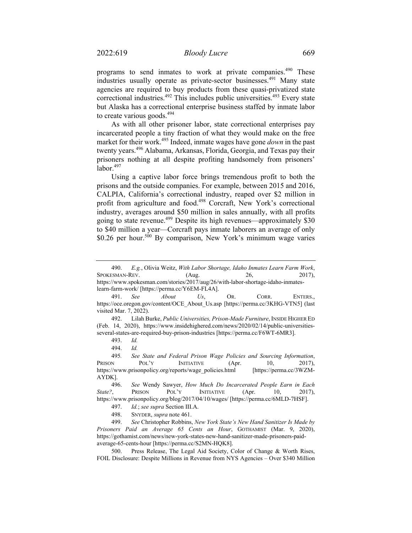programs to send inmates to work at private companies.<sup>490</sup> These industries usually operate as private-sector businesses.<sup>491</sup> Many state agencies are required to buy products from these quasi-privatized state correctional industries.<sup>492</sup> This includes public universities.<sup>493</sup> Every state but Alaska has a correctional enterprise business staffed by inmate labor to create various goods. $494$ 

As with all other prisoner labor, state correctional enterprises pay incarcerated people a tiny fraction of what they would make on the free market for their work.495 Indeed, inmate wages have gone *down* in the past twenty years.<sup>496</sup> Alabama, Arkansas, Florida, Georgia, and Texas pay their prisoners nothing at all despite profiting handsomely from prisoners'  $labor.<sup>497</sup>$ 

Using a captive labor force brings tremendous profit to both the prisons and the outside companies. For example, between 2015 and 2016, CALPIA, California's correctional industry, reaped over \$2 million in profit from agriculture and food.<sup>498</sup> Corcraft, New York's correctional industry, averages around \$50 million in sales annually, with all profits going to state revenue.<sup>499</sup> Despite its high revenues—approximately \$30 to \$40 million a year—Corcraft pays inmate laborers an average of only \$0.26 per hour.<sup>500</sup> By comparison, New York's minimum wage varies

<sup>490.</sup> *E.g.*, Olivia Weitz, *With Labor Shortage, Idaho Inmates Learn Farm Work*, SPOKESMAN-REV. (Aug. 26, 2017), https://www.spokesman.com/stories/2017/aug/26/with-labor-shortage-idaho-inmates-

learn-farm-work/ [https://perma.cc/Y6EM-FL4A].

<sup>491.</sup> *See About Us*, OR. CORR. ENTERS., https://oce.oregon.gov/content/OCE\_About\_Us.asp [https://perma.cc/3KHG-VTN5] (last visited Mar. 7, 2022).

<sup>492.</sup> Lilah Burke, *Public Universities, Prison-Made Furniture*,INSIDE HIGHER ED (Feb. 14, 2020), https://www.insidehighered.com/news/2020/02/14/public-universitiesseveral-states-are-required-buy-prison-industries [https://perma.cc/F6WT-6MR3].

<sup>493.</sup> *Id.* 

<sup>494.</sup> *Id.* 

<sup>495</sup>*. See State and Federal Prison Wage Policies and Sourcing Information*, PRISON POL'Y INITIATIVE (Apr. 10, 2017), https://www.prisonpolicy.org/reports/wage\_policies.html [https://perma.cc/3WZM-AYDK].

<sup>496.</sup> *See* Wendy Sawyer, *How Much Do Incarcerated People Earn in Each State?*, PRISON POL'Y INITIATIVE (Apr. 10, 2017), https://www.prisonpolicy.org/blog/2017/04/10/wages/ [https://perma.cc/6MLD-7HSF].

<sup>497.</sup> *Id.*; *see supra* Section III.A.

<sup>498.</sup> SNYDER, *supra* note 461.

<sup>499.</sup> *See* Christopher Robbins, *New York State's New Hand Sanitizer Is Made by Prisoners Paid an Average 65 Cents an Hour*, GOTHAMIST (Mar. 9, 2020), https://gothamist.com/news/new-york-states-new-hand-sanitizer-made-prisoners-paidaverage-65-cents-hour [https://perma.cc/S2MN-HQK8].

<sup>500.</sup> Press Release, The Legal Aid Society, Color of Change & Worth Rises, FOIL Disclosure: Despite Millions in Revenue from NYS Agencies – Over \$340 Million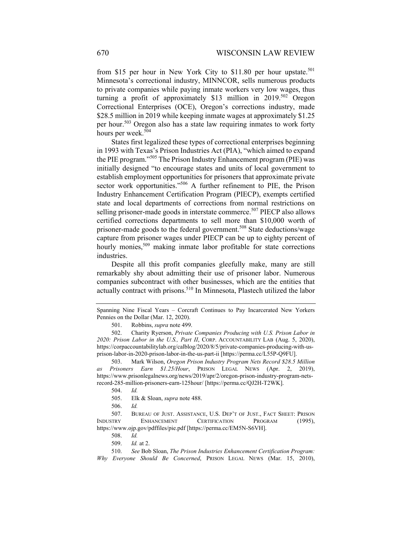from \$15 per hour in New York City to \$11.80 per hour upstate.<sup>501</sup> Minnesota's correctional industry, MINNCOR, sells numerous products to private companies while paying inmate workers very low wages, thus turning a profit of approximately \$13 million in 2019.<sup>502</sup> Oregon Correctional Enterprises (OCE), Oregon's corrections industry, made \$28.5 million in 2019 while keeping inmate wages at approximately \$1.25 per hour.<sup>503</sup> Oregon also has a state law requiring inmates to work forty hours per week.<sup>504</sup>

States first legalized these types of correctional enterprises beginning in 1993 with Texas's Prison Industries Act (PIA), "which aimed to expand the PIE program."505 The Prison Industry Enhancement program (PIE) was initially designed "to encourage states and units of local government to establish employment opportunities for prisoners that approximate private sector work opportunities."<sup>506</sup> A further refinement to PIE, the Prison Industry Enhancement Certification Program (PIECP), exempts certified state and local departments of corrections from normal restrictions on selling prisoner-made goods in interstate commerce.<sup>507</sup> PIECP also allows certified corrections departments to sell more than \$10,000 worth of prisoner-made goods to the federal government.<sup>508</sup> State deductions/wage capture from prisoner wages under PIECP can be up to eighty percent of hourly monies,<sup>509</sup> making inmate labor profitable for state corrections industries.

Despite all this profit companies gleefully make, many are still remarkably shy about admitting their use of prisoner labor. Numerous companies subcontract with other businesses, which are the entities that actually contract with prisons.<sup>510</sup> In Minnesota, Plastech utilized the labor

Spanning Nine Fiscal Years – Corcraft Continues to Pay Incarcerated New Yorkers Pennies on the Dollar (Mar. 12, 2020).

<sup>501.</sup> Robbins, *supra* note 499.

<sup>502.</sup> Charity Ryerson, *Private Companies Producing with U.S. Prison Labor in 2020: Prison Labor in the U.S., Part II*, CORP. ACCOUNTABILITY LAB (Aug. 5, 2020), https://corpaccountabilitylab.org/calblog/2020/8/5/private-companies-producing-with-usprison-labor-in-2020-prison-labor-in-the-us-part-ii [https://perma.cc/L55P-Q9FU].

<sup>503.</sup> Mark Wilson, *Oregon Prison Industry Program Nets Record \$28.5 Million as Prisoners Earn \$1.25/Hour*, PRISON LEGAL NEWS (Apr. 2, 2019), https://www.prisonlegalnews.org/news/2019/apr/2/oregon-prison-industry-program-netsrecord-285-million-prisoners-earn-125hour/ [https://perma.cc/QJ2H-T2WK].

<sup>504.</sup> *Id.* 

<sup>505.</sup> Elk & Sloan, *supra* note 488.

<sup>506.</sup> *Id.*

<sup>507.</sup> BUREAU OF JUST. ASSISTANCE, U.S. DEP'T OF JUST., FACT SHEET: PRISON INDUSTRY ENHANCEMENT CERTIFICATION PROGRAM (1995), https://www.ojp.gov/pdffiles/pie.pdf [https://perma.cc/EM5N-S6VH].

<sup>508.</sup> *Id.*

<sup>509.</sup> *Id.* at 2.

<sup>510.</sup> *See* Bob Sloan, *The Prison Industries Enhancement Certification Program: Why Everyone Should Be Concerned*, PRISON LEGAL NEWS (Mar. 15, 2010),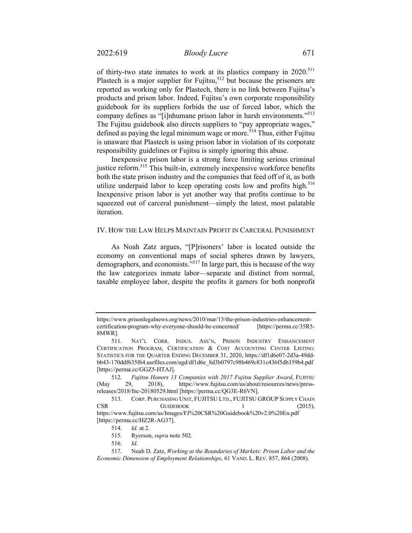of thirty-two state inmates to work at its plastics company in 2020.<sup>511</sup> Plastech is a major supplier for Fujitsu,<sup>512</sup> but because the prisoners are reported as working only for Plastech, there is no link between Fujitsu's products and prison labor. Indeed, Fujitsu's own corporate responsibility guidebook for its suppliers forbids the use of forced labor, which the company defines as "[i]nhumane prison labor in harsh environments."<sup>513</sup> The Fujitsu guidebook also directs suppliers to "pay appropriate wages," defined as paying the legal minimum wage or more.<sup>514</sup> Thus, either Fujitsu is unaware that Plastech is using prison labor in violation of its corporate responsibility guidelines or Fujitsu is simply ignoring this abuse.

Inexpensive prison labor is a strong force limiting serious criminal justice reform.<sup>515</sup> This built-in, extremely inexpensive workforce benefits both the state prison industry and the companies that feed off of it, as both utilize underpaid labor to keep operating costs low and profits high.<sup>516</sup> Inexpensive prison labor is yet another way that profits continue to be squeezed out of carceral punishment—simply the latest, most palatable iteration.

## IV. HOW THE LAW HELPS MAINTAIN PROFIT IN CARCERAL PUNISHMENT

As Noah Zatz argues, "[P]risoners' labor is located outside the economy on conventional maps of social spheres drawn by lawyers, demographers, and economists.<sup>"517</sup> In large part, this is because of the way the law categorizes inmate labor—separate and distinct from normal, taxable employee labor, despite the profits it garners for both nonprofit

https://www.prisonlegalnews.org/news/2010/mar/15/the-prison-industries-enhancementcertification-program-why-everyone-should-be-concerned/ [https://perma.cc/35R5- 8MWR].

<sup>511.</sup> NAT'L CORR. INDUS. ASS'N, PRISON INDUSTRY ENHANCEMENT CERTIFICATION PROGRAM, CERTIFICATION & COST ACCOUNTING CENTER LISTING: STATISTICS FOR THE QUARTER ENDING DECEMBER 31, 2020, https://df1d6e07-2d3a-49ddbb43-170ddf635f64.usrfiles.com/ugd/df1d6e\_8d3b0797c98b469c831c436f5db359b4.pdf [https://perma.cc/GGZ5-HTAJ].

<sup>512.</sup> *Fujitsu Honors 13 Companies with 2017 Fujitsu Supplier Award*, FUJITSU (May 29, 2018), https://www.fujitsu.com/us/about/resources/news/pressreleases/2018/fnc-20180529.html [https://perma.cc/QG3E-R6VN].

<sup>513.</sup> CORP. PURCHASING UNIT, FUJITSU LTD., FUJITSU GROUP SUPPLY CHAIN CSR GUIDEBOOK 1 (2015), https://www.fujitsu.com/us/Images/FJ%20CSR%20Guidebook%20v2.0%20En.pdf [https://perma.cc/HZ2R-AG37].

<sup>514.</sup> *Id.* at 2.

<sup>515.</sup> Ryerson, *supra* note 502.

<sup>516.</sup> *Id.* 

<sup>517.</sup> Noah D. Zatz, *Working at the Boundaries of Markets: Prison Labor and the Economic Dimension of Employment Relationships*, 61 VAND. L. REV. 857, 864 (2008).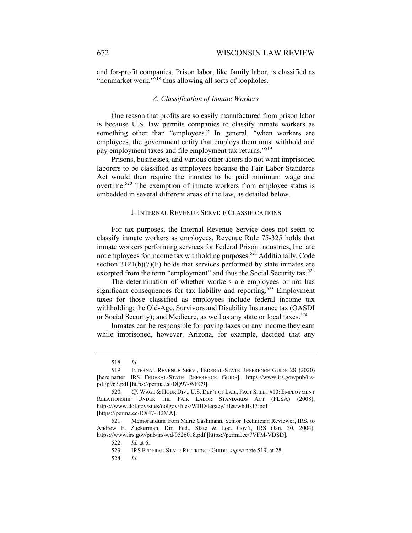and for-profit companies. Prison labor, like family labor, is classified as "nonmarket work,"<sup>518</sup> thus allowing all sorts of loopholes.

## *A. Classification of Inmate Workers*

One reason that profits are so easily manufactured from prison labor is because U.S. law permits companies to classify inmate workers as something other than "employees." In general, "when workers are employees, the government entity that employs them must withhold and pay employment taxes and file employment tax returns."<sup>519</sup>

Prisons, businesses, and various other actors do not want imprisoned laborers to be classified as employees because the Fair Labor Standards Act would then require the inmates to be paid minimum wage and overtime.<sup>520</sup> The exemption of inmate workers from employee status is embedded in several different areas of the law, as detailed below.

#### 1. INTERNAL REVENUE SERVICE CLASSIFICATIONS

For tax purposes, the Internal Revenue Service does not seem to classify inmate workers as employees. Revenue Rule 75-325 holds that inmate workers performing services for Federal Prison Industries, Inc. are not employees for income tax withholding purposes.<sup>521</sup> Additionally, Code section  $3121(b)(7)(F)$  holds that services performed by state inmates are excepted from the term "employment" and thus the Social Security tax.<sup>522</sup>

The determination of whether workers are employees or not has significant consequences for tax liability and reporting.<sup>523</sup> Employment taxes for those classified as employees include federal income tax withholding; the Old-Age, Survivors and Disability Insurance tax (OASDI or Social Security); and Medicare, as well as any state or local taxes.<sup>524</sup>

Inmates can be responsible for paying taxes on any income they earn while imprisoned, however. Arizona, for example, decided that any

524. *Id.*

<sup>518.</sup> *Id.*

<sup>519.</sup> INTERNAL REVENUE SERV., FEDERAL-STATE REFERENCE GUIDE 28 (2020) [hereinafter IRS FEDERAL-STATE REFERENCE GUIDE], https://www.irs.gov/pub/irspdf/p963.pdf [https://perma.cc/DQ97-WFC9].

<sup>520.</sup> *Cf.* WAGE & HOUR DIV., U.S. DEP'T OF LAB., FACT SHEET #13: EMPLOYMENT RELATIONSHIP UNDER THE FAIR LABOR STANDARDS ACT (FLSA) (2008), https://www.dol.gov/sites/dolgov/files/WHD/legacy/files/whdfs13.pdf [https://perma.cc/DX47-H2MA].

<sup>521.</sup> Memorandum from Marie Cashmann, Senior Technician Reviewer, IRS, to Andrew E. Zuckerman, Dir. Fed., State & Loc. Gov't, IRS (Jan. 30, 2004), https://www.irs.gov/pub/irs-wd/0526018.pdf [https://perma.cc/7VFM-VDSD].

<sup>522.</sup> *Id.* at 6.

<sup>523.</sup> IRS FEDERAL-STATE REFERENCE GUIDE, *supra* note 519, at 28.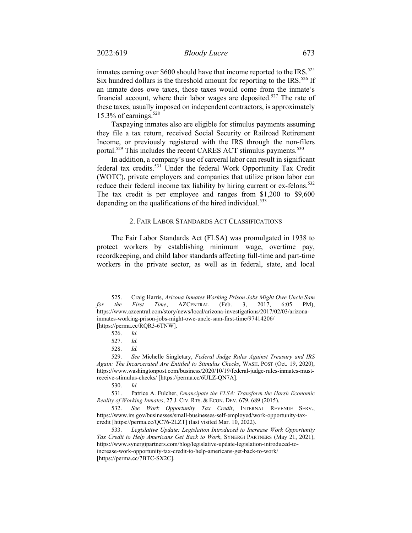inmates earning over  $$600$  should have that income reported to the IRS.<sup>525</sup> Six hundred dollars is the threshold amount for reporting to the IRS.<sup>526</sup> If an inmate does owe taxes, those taxes would come from the inmate's financial account, where their labor wages are deposited.<sup>527</sup> The rate of these taxes, usually imposed on independent contractors, is approximately 15.3% of earnings. $528$ 

Taxpaying inmates also are eligible for stimulus payments assuming they file a tax return, received Social Security or Railroad Retirement Income, or previously registered with the IRS through the non-filers portal.<sup>529</sup> This includes the recent CARES ACT stimulus payments.<sup>530</sup>

In addition, a company's use of carceral labor can result in significant federal tax credits.<sup>531</sup> Under the federal Work Opportunity Tax Credit (WOTC), private employers and companies that utilize prison labor can reduce their federal income tax liability by hiring current or ex-felons.<sup>532</sup> The tax credit is per employee and ranges from \$1,200 to \$9,600 depending on the qualifications of the hired individual.<sup>533</sup>

## 2. FAIR LABOR STANDARDS ACT CLASSIFICATIONS

The Fair Labor Standards Act (FLSA) was promulgated in 1938 to protect workers by establishing minimum wage, overtime pay, recordkeeping, and child labor standards affecting full-time and part-time workers in the private sector, as well as in federal, state, and local

<sup>525.</sup> Craig Harris, *Arizona Inmates Working Prison Jobs Might Owe Uncle Sam for the First Time*, AZCENTRAL (Feb. 3, 2017, 6:05 PM), https://www.azcentral.com/story/news/local/arizona-investigations/2017/02/03/arizonainmates-working-prison-jobs-might-owe-uncle-sam-first-time/97414206/ [https://perma.cc/RQR3-6TNW].

<sup>526.</sup> *Id.* 

<sup>527.</sup> *Id.*

<sup>528.</sup> *Id.*

<sup>529.</sup> *See* Michelle Singletary, *Federal Judge Rules Against Treasury and IRS Again: The Incarcerated Are Entitled to Stimulus Checks*, WASH. POST (Oct. 19, 2020), https://www.washingtonpost.com/business/2020/10/19/federal-judge-rules-inmates-mustreceive-stimulus-checks/ [https://perma.cc/6ULZ-QN7A].

<sup>530.</sup> *Id.* 

<sup>531.</sup> Patrice A. Fulcher, *Emancipate the FLSA: Transform the Harsh Economic Reality of Working Inmates*, 27 J. CIV. RTS. & ECON. DEV. 679, 689 (2015).

<sup>532.</sup> *See Work Opportunity Tax Credit*, INTERNAL REVENUE SERV., https://www.irs.gov/businesses/small-businesses-self-employed/work-opportunity-taxcredit [https://perma.cc/QC76-2LZT] (last visited Mar. 10, 2022).

<sup>533.</sup> *Legislative Update: Legislation Introduced to Increase Work Opportunity Tax Credit to Help Americans Get Back to Work*, SYNERGI PARTNERS (May 21, 2021), https://www.synergipartners.com/blog/legislative-update-legislation-introduced-toincrease-work-opportunity-tax-credit-to-help-americans-get-back-to-work/ [https://perma.cc/7BTC-SX2C].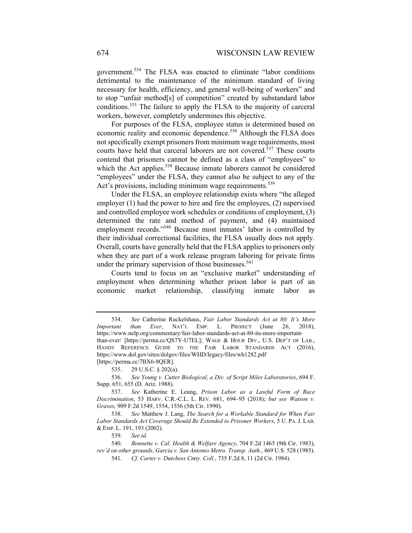government.534 The FLSA was enacted to eliminate "labor conditions detrimental to the maintenance of the minimum standard of living necessary for health, efficiency, and general well-being of workers" and to stop "unfair method[s] of competition" created by substandard labor conditions.535 The failure to apply the FLSA to the majority of carceral workers, however, completely undermines this objective.

For purposes of the FLSA, employee status is determined based on economic reality and economic dependence.<sup>536</sup> Although the FLSA does not specifically exempt prisoners from minimum wage requirements, most courts have held that carceral laborers are not covered.<sup>537</sup> These courts contend that prisoners cannot be defined as a class of "employees" to which the Act applies.<sup>538</sup> Because inmate laborers cannot be considered "employees" under the FLSA, they cannot also be subject to any of the Act's provisions, including minimum wage requirements.<sup>539</sup>

Under the FLSA, an employee relationship exists where "the alleged employer (1) had the power to hire and fire the employees, (2) supervised and controlled employee work schedules or conditions of employment, (3) determined the rate and method of payment, and (4) maintained employment records."<sup>540</sup> Because most inmates' labor is controlled by their individual correctional facilities, the FLSA usually does not apply. Overall, courts have generally held that the FLSA applies to prisoners only when they are part of a work release program laboring for private firms under the primary supervision of those businesses.<sup>541</sup>

Courts tend to focus on an "exclusive market" understanding of employment when determining whether prison labor is part of an economic market relationship, classifying inmate labor

<sup>534.</sup> *See* Catherine Ruckelshaus, *Fair Labor Standards Act at 80: It's More Important than Ever*, NAT'L EMP. L. PROJECT (June 26, 2018), https://www.nelp.org/commentary/fair-labor-standards-act-at-80-its-more-importantthan-ever/ [https://perma.cc/QS7Y-U7EL]; WAGE & HOUR DIV., U.S. DEP'T OF LAB., HANDY REFERENCE GUIDE TO THE FAIR LABOR STANDARDS ACT (2016), https://www.dol.gov/sites/dolgov/files/WHD/legacy/files/wh1282.pdf [https://perma.cc/7BX6-8QER].

<sup>535. 29</sup> U.S.C. § 202(a).

<sup>536.</sup> *See Young v. Cutter Biological, a Div. of Script Miles Laboratories*, 694 F. Supp. 651, 655 (D. Ariz. 1988).

<sup>537.</sup> *See* Katherine E. Leung, *Prison Labor as a Lawful Form of Race Discrimination*, 53 HARV. C.R.-C.L. L. REV. 681, 694–95 (2018); *but see Watson v. Graves*, 909 F.2d 1549, 1554, 1556 (5th Cir. 1990).

<sup>538.</sup> *See* Matthew J. Lang, *The Search for a Workable Standard for When Fair Labor Standards Act Coverage Should Be Extended to Prisoner Workers*, 5 U. PA.J. LAB. & EMP. L. 191, 193 (2002).

<sup>539.</sup> *See id.*

<sup>540.</sup> *Bonnette v. Cal. Health & Welfare Agency*, 704 F.2d 1465 (9th Cir. 1983), *rev'd on other grounds*, *Garcia v. San Antonio Metro. Transp. Auth.*, 469 U.S. 528 (1985). 541. *Cf. Carter v. Dutchess Cmty. Coll.*, 735 F.2d 8, 11 (2d Cir. 1984).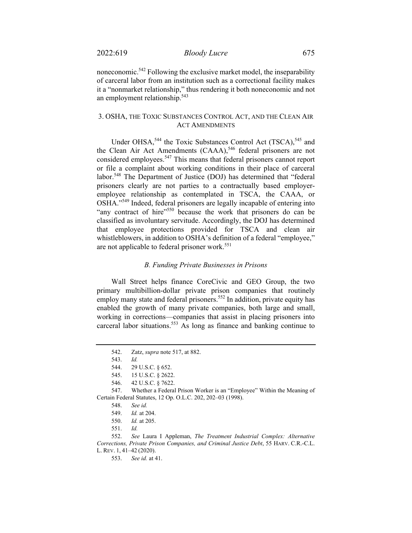noneconomic.542 Following the exclusive market model, the inseparability of carceral labor from an institution such as a correctional facility makes it a "nonmarket relationship," thus rendering it both noneconomic and not an employment relationship.<sup>543</sup>

# 3. OSHA, THE TOXIC SUBSTANCES CONTROL ACT, AND THE CLEAN AIR ACT AMENDMENTS

Under OHSA,<sup>544</sup> the Toxic Substances Control Act (TSCA),<sup>545</sup> and the Clean Air Act Amendments (CAAA),<sup>546</sup> federal prisoners are not considered employees.<sup>547</sup> This means that federal prisoners cannot report or file a complaint about working conditions in their place of carceral labor.<sup>548</sup> The Department of Justice (DOJ) has determined that "federal prisoners clearly are not parties to a contractually based employeremployee relationship as contemplated in TSCA, the CAAA, or OSHA."549 Indeed, federal prisoners are legally incapable of entering into "any contract of hire"<sup>550</sup> because the work that prisoners do can be classified as involuntary servitude. Accordingly, the DOJ has determined that employee protections provided for TSCA and clean air whistleblowers, in addition to OSHA's definition of a federal "employee," are not applicable to federal prisoner work.<sup>551</sup>

## *B. Funding Private Businesses in Prisons*

Wall Street helps finance CoreCivic and GEO Group, the two primary multibillion-dollar private prison companies that routinely employ many state and federal prisoners.<sup>552</sup> In addition, private equity has enabled the growth of many private companies, both large and small, working in corrections—companies that assist in placing prisoners into carceral labor situations.<sup>553</sup> As long as finance and banking continue to

<sup>542.</sup> Zatz, *supra* note 517, at 882.

<sup>543.</sup> *Id.* 

<sup>544. 29</sup> U.S.C. § 652.

<sup>545. 15</sup> U.S.C. § 2622.

<sup>546. 42</sup> U.S.C. § 7622.

 <sup>547.</sup> Whether a Federal Prison Worker is an "Employee" Within the Meaning of Certain Federal Statutes, 12 Op. O.L.C. 202, 202–03 (1998).

<sup>548.</sup> *See id.*

<sup>549.</sup> *Id.* at 204.

<sup>550.</sup> *Id.* at 205.

<sup>551.</sup> *Id.*

<sup>552.</sup> *See* Laura I Appleman, *The Treatment Industrial Complex: Alternative Corrections, Private Prison Companies, and Criminal Justice Debt*, 55 HARV. C.R.-C.L.

L. REV. 1, 41–42 (2020).

<sup>553.</sup> *See id.* at 41.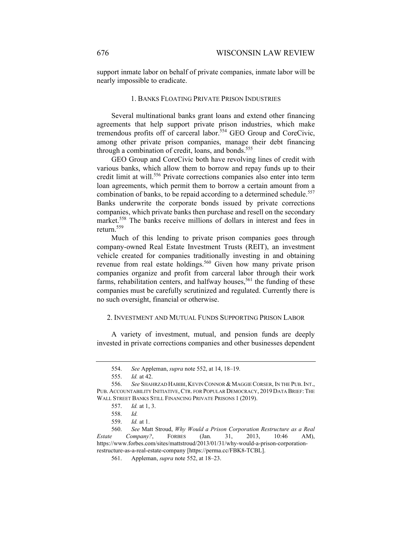support inmate labor on behalf of private companies, inmate labor will be nearly impossible to eradicate.

## 1. BANKS FLOATING PRIVATE PRISON INDUSTRIES

Several multinational banks grant loans and extend other financing agreements that help support private prison industries, which make tremendous profits off of carceral labor.<sup>554</sup> GEO Group and CoreCivic, among other private prison companies, manage their debt financing through a combination of credit, loans, and bonds.<sup>555</sup>

GEO Group and CoreCivic both have revolving lines of credit with various banks, which allow them to borrow and repay funds up to their credit limit at will.<sup>556</sup> Private corrections companies also enter into term loan agreements, which permit them to borrow a certain amount from a combination of banks, to be repaid according to a determined schedule.<sup>557</sup> Banks underwrite the corporate bonds issued by private corrections companies, which private banks then purchase and resell on the secondary market.<sup>558</sup> The banks receive millions of dollars in interest and fees in return.<sup>559</sup>

Much of this lending to private prison companies goes through company-owned Real Estate Investment Trusts (REIT), an investment vehicle created for companies traditionally investing in and obtaining revenue from real estate holdings.<sup>560</sup> Given how many private prison companies organize and profit from carceral labor through their work farms, rehabilitation centers, and halfway houses,<sup>561</sup> the funding of these companies must be carefully scrutinized and regulated. Currently there is no such oversight, financial or otherwise.

#### 2. INVESTMENT AND MUTUAL FUNDS SUPPORTING PRISON LABOR

A variety of investment, mutual, and pension funds are deeply invested in private corrections companies and other businesses dependent

<sup>554.</sup> *See* Appleman, *supra* note 552, at 14, 18–19.

<sup>555.</sup> *Id.* at 42.

<sup>556.</sup> *See* SHAHRZAD HABIBI, KEVIN CONNOR & MAGGIE CORSER, IN THE PUB.INT., PUB. ACCOUNTABILITY INITIATIVE, CTR. FOR POPULAR DEMOCRACY, 2019 DATA BRIEF: THE WALL STREET BANKS STILL FINANCING PRIVATE PRISONS 1 (2019).

<sup>557.</sup> *Id.* at 1, 3.

<sup>558.</sup> *Id.* 

<sup>559.</sup> *Id.* at 1.

<sup>560.</sup> *See* Matt Stroud, *Why Would a Prison Corporation Restructure as a Real Estate Company?*, FORBES (Jan. 31, 2013, 10:46 AM), https://www.forbes.com/sites/mattstroud/2013/01/31/why-would-a-prison-corporationrestructure-as-a-real-estate-company [https://perma.cc/FBK8-TCBL].

<sup>561.</sup> Appleman, *supra* note 552, at 18–23.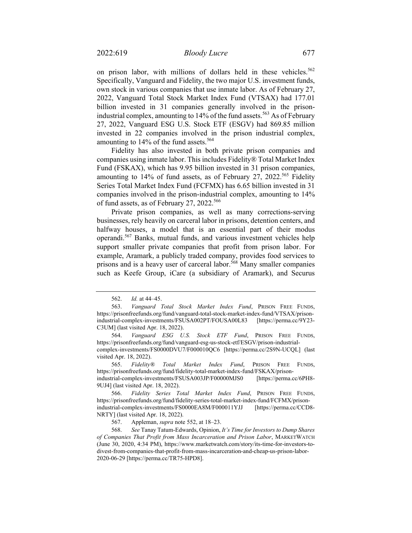on prison labor, with millions of dollars held in these vehicles.<sup>562</sup> Specifically, Vanguard and Fidelity, the two major U.S. investment funds, own stock in various companies that use inmate labor. As of February 27, 2022, Vanguard Total Stock Market Index Fund (VTSAX) had 177.01 billion invested in 31 companies generally involved in the prisonindustrial complex, amounting to 14% of the fund assets.<sup>563</sup> As of February 27, 2022, Vanguard ESG U.S. Stock ETF (ESGV) had 869.85 million invested in 22 companies involved in the prison industrial complex, amounting to 14% of the fund assets.<sup>564</sup>

Fidelity has also invested in both private prison companies and companies using inmate labor. This includes Fidelity® Total Market Index Fund (FSKAX), which has 9.95 billion invested in 31 prison companies, amounting to 14% of fund assets, as of February 27, 2022.<sup>565</sup> Fidelity Series Total Market Index Fund (FCFMX) has 6.65 billion invested in 31 companies involved in the prison-industrial complex, amounting to 14% of fund assets, as of February 27, 2022.<sup>566</sup>

Private prison companies, as well as many corrections-serving businesses, rely heavily on carceral labor in prisons, detention centers, and halfway houses, a model that is an essential part of their modus operandi.567 Banks, mutual funds, and various investment vehicles help support smaller private companies that profit from prison labor. For example, Aramark, a publicly traded company, provides food services to prisons and is a heavy user of carceral labor.<sup>568</sup> Many smaller companies such as Keefe Group, iCare (a subsidiary of Aramark), and Securus

565. *Fidelity® Total Market Index Fund*, PRISON FREE FUNDS, https://prisonfreefunds.org/fund/fidelity-total-market-index-fund/FSKAX/prisonindustrial-complex-investments/FSUSA003JP/F00000MJS0 [https://perma.cc/6PH8- 9UJ4] (last visited Apr. 18, 2022).

567. Appleman, *supra* note 552, at 18–23.

<sup>562.</sup> *Id.* at 44–45.

<sup>563.</sup> *Vanguard Total Stock Market Index Fund*, PRISON FREE FUNDS, https://prisonfreefunds.org/fund/vanguard-total-stock-market-index-fund/VTSAX/prisonindustrial-complex-investments/FSUSA002PT/FOUSA00L83 [https://perma.cc/9Y23- C3UM] (last visited Apr. 18, 2022).

<sup>564.</sup> *Vanguard ESG U.S. Stock ETF Fund*, PRISON FREE FUNDS, https://prisonfreefunds.org/fund/vanguard-esg-us-stock-etf/ESGV/prison-industrialcomplex-investments/FS0000DVU7/F000010QC6 [https://perma.cc/2S9N-UCQL] (last visited Apr. 18, 2022).

<sup>566.</sup> *Fidelity Series Total Market Index Fund*, PRISON FREE FUNDS, https://prisonfreefunds.org/fund/fidelity-series-total-market-index-fund/FCFMX/prisonindustrial-complex-investments/FS0000EA8M/F000011YJJ [https://perma.cc/CCD8- NRTY] (last visited Apr. 18, 2022).

<sup>568.</sup> *See* Tanay Tatum-Edwards, Opinion, *It's Time for Investors to Dump Shares of Companies That Profit from Mass Incarceration and Prison Labor*, MARKETWATCH (June 30, 2020, 4:34 PM), https://www.marketwatch.com/story/its-time-for-investors-todivest-from-companies-that-profit-from-mass-incarceration-and-cheap-us-prison-labor-2020-06-29 [https://perma.cc/TR75-HPD8].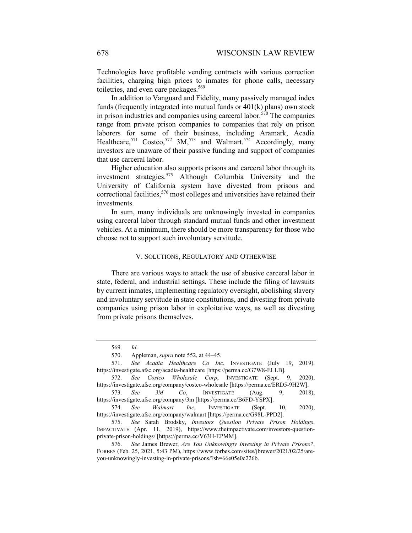Technologies have profitable vending contracts with various correction facilities, charging high prices to inmates for phone calls, necessary toiletries, and even care packages.<sup>569</sup>

In addition to Vanguard and Fidelity, many passively managed index funds (frequently integrated into mutual funds or 401(k) plans) own stock in prison industries and companies using carceral labor*.* <sup>570</sup> The companies range from private prison companies to companies that rely on prison laborers for some of their business, including Aramark, Acadia Healthcare,<sup>571</sup> Costco,<sup>572</sup> 3M,<sup>573</sup> and Walmart.<sup>574</sup> Accordingly, many investors are unaware of their passive funding and support of companies that use carceral labor.

Higher education also supports prisons and carceral labor through its investment strategies.<sup>575</sup> Although Columbia University and the University of California system have divested from prisons and correctional facilities,<sup>576</sup> most colleges and universities have retained their investments.

In sum, many individuals are unknowingly invested in companies using carceral labor through standard mutual funds and other investment vehicles. At a minimum, there should be more transparency for those who choose not to support such involuntary servitude.

#### V. SOLUTIONS, REGULATORY AND OTHERWISE

There are various ways to attack the use of abusive carceral labor in state, federal, and industrial settings. These include the filing of lawsuits by current inmates, implementing regulatory oversight, abolishing slavery and involuntary servitude in state constitutions, and divesting from private companies using prison labor in exploitative ways, as well as divesting from private prisons themselves.

<sup>569.</sup> *Id.* 

<sup>570.</sup> Appleman, *supra* note 552, at 44–45.

<sup>571.</sup> *See Acadia Healthcare Co Inc*, INVESTIGATE (July 19, 2019), https://investigate.afsc.org/acadia-healthcare [https://perma.cc/G7W8-ELLB].

<sup>572.</sup> *See Costco Wholesale Corp*, INVESTIGATE (Sept. 9, 2020), https://investigate.afsc.org/company/costco-wholesale [https://perma.cc/ERD5-9H2W].

<sup>573.</sup> *See 3M Co*, INVESTIGATE (Aug. 9, 2018), https://investigate.afsc.org/company/3m [https://perma.cc/B6FD-YSPX].

<sup>574.</sup> *See Walmart Inc*, INVESTIGATE (Sept. 10, 2020), https://investigate.afsc.org/company/walmart [https://perma.cc/G98L-PPD2].

<sup>575.</sup> *See* Sarah Brodsky, *Investors Question Private Prison Holdings*, IMPACTIVATE (Apr. 11, 2019), https://www.theimpactivate.com/investors-questionprivate-prison-holdings/ [https://perma.cc/V63H-EPMM].

<sup>576.</sup> *See* James Brewer, *Are You Unknowingly Investing in Private Prisons?*, FORBES (Feb. 25, 2021, 5:43 PM), https://www.forbes.com/sites/jbrewer/2021/02/25/areyou-unknowingly-investing-in-private-prisons/?sh=66e05e0c226b.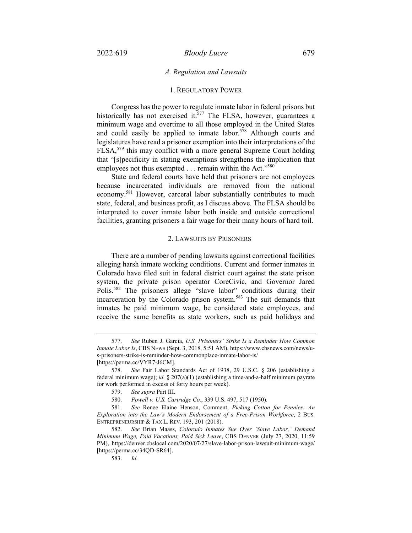## *A. Regulation and Lawsuits*

#### 1. REGULATORY POWER

Congress has the power to regulate inmate labor in federal prisons but historically has not exercised it.<sup>577</sup> The FLSA, however, guarantees a minimum wage and overtime to all those employed in the United States and could easily be applied to inmate labor.<sup>578</sup> Although courts and legislatures have read a prisoner exemption into their interpretations of the FLSA,<sup>579</sup> this may conflict with a more general Supreme Court holding that "[s]pecificity in stating exemptions strengthens the implication that employees not thus exempted . . . remain within the Act."<sup>580</sup>

State and federal courts have held that prisoners are not employees because incarcerated individuals are removed from the national economy.<sup>581</sup> However, carceral labor substantially contributes to much state, federal, and business profit, as I discuss above. The FLSA should be interpreted to cover inmate labor both inside and outside correctional facilities, granting prisoners a fair wage for their many hours of hard toil.

#### 2. LAWSUITS BY PRISONERS

There are a number of pending lawsuits against correctional facilities alleging harsh inmate working conditions. Current and former inmates in Colorado have filed suit in federal district court against the state prison system, the private prison operator CoreCivic, and Governor Jared Polis.582 The prisoners allege "slave labor" conditions during their incarceration by the Colorado prison system.<sup>583</sup> The suit demands that inmates be paid minimum wage, be considered state employees, and receive the same benefits as state workers, such as paid holidays and

<sup>577.</sup> *See* Ruben J. Garcia, *U.S. Prisoners' Strike Is a Reminder How Common Inmate Labor Is*, CBS NEWS (Sept. 3, 2018, 5:51 AM), https://www.cbsnews.com/news/us-prisoners-strike-is-reminder-how-commonplace-inmate-labor-is/ [https://perma.cc/VYR7-J6CM].

<sup>578.</sup> *See* Fair Labor Standards Act of 1938, 29 U.S.C. § 206 (establishing a federal minimum wage); *id.* § 207(a)(1) (establishing a time-and-a-half minimum payrate for work performed in excess of forty hours per week).

<sup>579.</sup> *See supra* Part III.

<sup>580.</sup> *Powell v. U.S. Cartridge Co.*, 339 U.S. 497, 517 (1950).

<sup>581.</sup> *See* Renee Elaine Henson, Comment, *Picking Cotton for Pennies: An Exploration into the Law's Modern Endorsement of a Free-Prison Workforce*, 2 BUS. ENTREPRENEURSHIP & TAX L. REV. 193, 201 (2018).

<sup>582.</sup> *See* Brian Maass, *Colorado Inmates Sue Over 'Slave Labor,' Demand Minimum Wage, Paid Vacations, Paid Sick Leave*, CBS DENVER (July 27, 2020, 11:59 PM), https://denver.cbslocal.com/2020/07/27/slave-labor-prison-lawsuit-minimum-wage/ [https://perma.cc/34QD-SR64].

<sup>583.</sup> *Id.*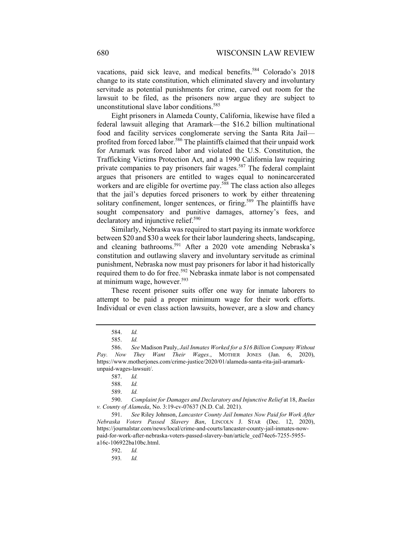vacations, paid sick leave, and medical benefits.<sup>584</sup> Colorado's 2018 change to its state constitution, which eliminated slavery and involuntary servitude as potential punishments for crime, carved out room for the lawsuit to be filed, as the prisoners now argue they are subject to unconstitutional slave labor conditions.<sup>585</sup>

Eight prisoners in Alameda County, California, likewise have filed a federal lawsuit alleging that Aramark—the \$16.2 billion multinational food and facility services conglomerate serving the Santa Rita Jail profited from forced labor.<sup>586</sup> The plaintiffs claimed that their unpaid work for Aramark was forced labor and violated the U.S. Constitution, the Trafficking Victims Protection Act, and a 1990 California law requiring private companies to pay prisoners fair wages.<sup>587</sup> The federal complaint argues that prisoners are entitled to wages equal to nonincarcerated workers and are eligible for overtime pay.<sup>588</sup> The class action also alleges that the jail's deputies forced prisoners to work by either threatening solitary confinement, longer sentences, or firing.<sup>589</sup> The plaintiffs have sought compensatory and punitive damages, attorney's fees, and declaratory and injunctive relief.<sup>590</sup>

Similarly, Nebraska was required to start paying its inmate workforce between \$20 and \$30 a week for their labor laundering sheets, landscaping, and cleaning bathrooms.<sup>591</sup> After a 2020 vote amending Nebraska's constitution and outlawing slavery and involuntary servitude as criminal punishment, Nebraska now must pay prisoners for labor it had historically required them to do for free.<sup>592</sup> Nebraska inmate labor is not compensated at minimum wage, however.<sup>593</sup>

These recent prisoner suits offer one way for inmate laborers to attempt to be paid a proper minimum wage for their work efforts. Individual or even class action lawsuits, however, are a slow and chancy

592. *Id.* 

593*. Id.*

<sup>584.</sup> *Id.*

<sup>585.</sup> *Id.*

<sup>586.</sup> *See* Madison Pauly, *Jail Inmates Worked for a \$16 Billion Company Without Pay. Now They Want Their Wages.*, MOTHER JONES (Jan. 6, 2020), https://www.motherjones.com/crime-justice/2020/01/alameda-santa-rita-jail-aramarkunpaid-wages-lawsuit/.

<sup>587.</sup> *Id.*

<sup>588.</sup> *Id.*

<sup>589.</sup> *Id.* 

<sup>590.</sup> *Complaint for Damages and Declaratory and Injunctive Relief* at 18, *Ruelas v. County of Alameda*, No. 3:19-cv-07637 (N.D. Cal. 2021).

<sup>591.</sup> *See* Riley Johnson, *Lancaster County Jail Inmates Now Paid for Work After Nebraska Voters Passed Slavery Ban*, LINCOLN J. STAR (Dec. 12, 2020), https://journalstar.com/news/local/crime-and-courts/lancaster-county-jail-inmates-nowpaid-for-work-after-nebraska-voters-passed-slavery-ban/article\_ced74ec6-7255-5955 a16c-106922ba10bc.html.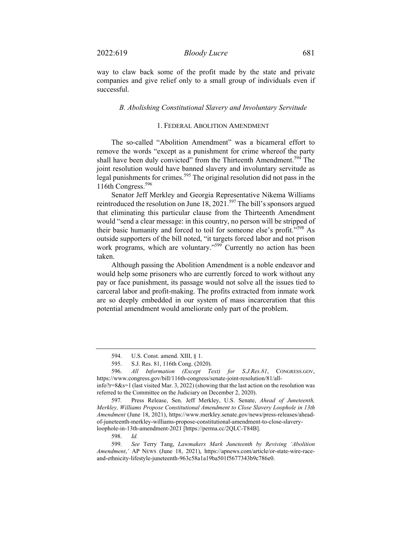way to claw back some of the profit made by the state and private companies and give relief only to a small group of individuals even if successful.

#### *B. Abolishing Constitutional Slavery and Involuntary Servitude*

# 1. FEDERAL ABOLITION AMENDMENT

The so-called "Abolition Amendment" was a bicameral effort to remove the words "except as a punishment for crime whereof the party shall have been duly convicted" from the Thirteenth Amendment.<sup>594</sup> The joint resolution would have banned slavery and involuntary servitude as legal punishments for crimes.<sup>595</sup> The original resolution did not pass in the 116th Congress.<sup>596</sup>

Senator Jeff Merkley and Georgia Representative Nikema Williams reintroduced the resolution on June  $18, 2021$ .<sup>597</sup> The bill's sponsors argued that eliminating this particular clause from the Thirteenth Amendment would "send a clear message: in this country, no person will be stripped of their basic humanity and forced to toil for someone else's profit."598 As outside supporters of the bill noted, "it targets forced labor and not prison work programs, which are voluntary."<sup>599</sup> Currently no action has been taken.

Although passing the Abolition Amendment is a noble endeavor and would help some prisoners who are currently forced to work without any pay or face punishment, its passage would not solve all the issues tied to carceral labor and profit-making. The profits extracted from inmate work are so deeply embedded in our system of mass incarceration that this potential amendment would ameliorate only part of the problem.

<sup>594.</sup> U.S. Const. amend. XIII, § 1.

<sup>595.</sup> S.J. Res. 81, 116th Cong. (2020).

<sup>596.</sup> *All Information (Except Text) for S.J.Res.81*, CONGRESS.GOV, https://www.congress.gov/bill/116th-congress/senate-joint-resolution/81/all-

info?r=8&s=1 (last visited Mar. 3, 2022) (showing that the last action on the resolution was referred to the Committee on the Judiciary on December 2, 2020).

<sup>597</sup>*.* Press Release, Sen. Jeff Merkley, U.S. Senate, *Ahead of Juneteenth, Merkley, Williams Propose Constitutional Amendment to Close Slavery Loophole in 13th Amendment* (June 18, 2021), https://www.merkley.senate.gov/news/press-releases/aheadof-juneteenth-merkley-williams-propose-constitutional-amendment-to-close-slaveryloophole-in-13th-amendment-2021 [https://perma.cc/2QLC-T84B].

<sup>598.</sup> *Id.*

<sup>599.</sup> *See* Terry Tang, *Lawmakers Mark Juneteenth by Reviving 'Abolition Amendment*,*'* AP NEWS (June 18, 2021), https://apnews.com/article/or-state-wire-raceand-ethnicity-lifestyle-juneteenth-963c58a1a19ba501f5677343b9c786e0.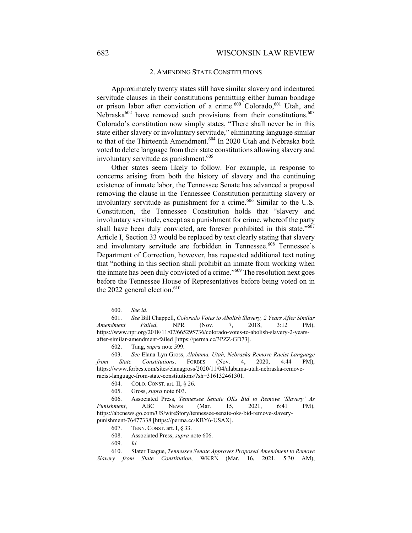## 2. AMENDING STATE CONSTITUTIONS

Approximately twenty states still have similar slavery and indentured servitude clauses in their constitutions permitting either human bondage or prison labor after conviction of a crime.<sup>600</sup> Colorado,<sup>601</sup> Utah, and Nebraska $602$  have removed such provisions from their constitutions. $603$ Colorado's constitution now simply states, "There shall never be in this state either slavery or involuntary servitude," eliminating language similar to that of the Thirteenth Amendment.<sup>604</sup> In 2020 Utah and Nebraska both voted to delete language from their state constitutions allowing slavery and involuntary servitude as punishment.<sup>605</sup>

Other states seem likely to follow. For example, in response to concerns arising from both the history of slavery and the continuing existence of inmate labor, the Tennessee Senate has advanced a proposal removing the clause in the Tennessee Constitution permitting slavery or involuntary servitude as punishment for a crime.<sup>606</sup> Similar to the U.S. Constitution, the Tennessee Constitution holds that "slavery and involuntary servitude, except as a punishment for crime, whereof the party shall have been duly convicted, are forever prohibited in this state."<sup>607</sup> Article I, Section 33 would be replaced by text clearly stating that slavery and involuntary servitude are forbidden in Tennessee.<sup>608</sup> Tennessee's Department of Correction, however, has requested additional text noting that "nothing in this section shall prohibit an inmate from working when the inmate has been duly convicted of a crime."<sup>609</sup> The resolution next goes before the Tennessee House of Representatives before being voted on in the 2022 general election.<sup>610</sup>

605. Gross, *supra* note 603.

<sup>600.</sup> *See id.* 

<sup>601.</sup> *See* Bill Chappell, *Colorado Votes to Abolish Slavery, 2 Years After Similar Amendment Failed*, NPR (Nov. 7, 2018, 3:12 PM), https://www.npr.org/2018/11/07/665295736/colorado-votes-to-abolish-slavery-2-yearsafter-similar-amendment-failed [https://perma.cc/3PZZ-GD73].

<sup>602.</sup> Tang, *supra* note 599.

<sup>603.</sup> *See* Elana Lyn Gross, *Alabama, Utah, Nebraska Remove Racist Language from State Constitutions*, FORBES (Nov. 4, 2020, 4:44 PM), https://www.forbes.com/sites/elanagross/2020/11/04/alabama-utah-nebraska-removeracist-language-from-state-constitutions/?sh=316132461301.

<sup>604.</sup> COLO. CONST. art. II, § 26.

<sup>606.</sup> Associated Press, *Tennessee Senate OKs Bid to Remove 'Slavery' As Punishment*, ABC NEWS (Mar. 15, 2021, 6:41 PM), https://abcnews.go.com/US/wireStory/tennessee-senate-oks-bid-remove-slaverypunishment-76477338 [https://perma.cc/KBY6-USAX].

<sup>607.</sup> TENN. CONST. art. I, § 33.

<sup>608.</sup> Associated Press, *supra* note 606.

<sup>609.</sup> *Id.* 

<sup>610.</sup> Slater Teague, *Tennessee Senate Approves Proposed Amendment to Remove Slavery from State Constitution*, WKRN (Mar. 16, 2021, 5:30 AM),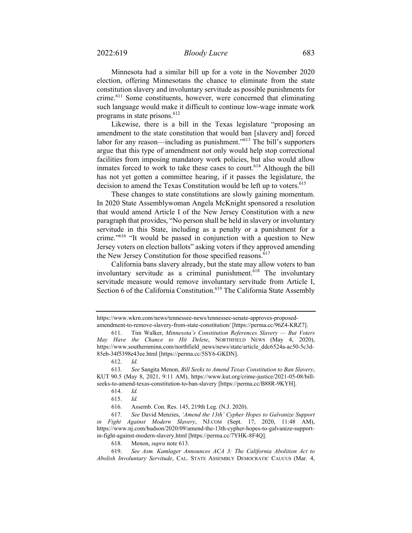Minnesota had a similar bill up for a vote in the November 2020 election, offering Minnesotans the chance to eliminate from the state constitution slavery and involuntary servitude as possible punishments for crime.<sup>611</sup> Some constituents, however, were concerned that eliminating such language would make it difficult to continue low-wage inmate work programs in state prisons.<sup>612</sup>

Likewise, there is a bill in the Texas legislature "proposing an amendment to the state constitution that would ban [slavery and] forced labor for any reason—including as punishment."<sup>613</sup> The bill's supporters argue that this type of amendment not only would help stop correctional facilities from imposing mandatory work policies, but also would allow inmates forced to work to take these cases to court.<sup>614</sup> Although the bill has not yet gotten a committee hearing, if it passes the legislature, the decision to amend the Texas Constitution would be left up to voters.<sup>615</sup>

These changes to state constitutions are slowly gaining momentum. In 2020 State Assemblywoman Angela McKnight sponsored a resolution that would amend Article I of the New Jersey Constitution with a new paragraph that provides, "No person shall be held in slavery or involuntary servitude in this State, including as a penalty or a punishment for a crime."616 "It would be passed in conjunction with a question to New Jersey voters on election ballots" asking voters if they approved amending the New Jersey Constitution for those specified reasons.<sup>617</sup>

California bans slavery already, but the state may allow voters to ban involuntary servitude as a criminal punishment.<sup>618</sup> The involuntary servitude measure would remove involuntary servitude from Article I, Section 6 of the California Constitution.<sup>619</sup> The California State Assembly

https://www.wkrn.com/news/tennessee-news/tennessee-senate-approves-proposedamendment-to-remove-slavery-from-state-constitution/ [https://perma.cc/96Z4-KRZ7].

<sup>611.</sup> Tim Walker, *Minnesota's Constitution References Slavery — But Voters May Have the Chance to Hit Delete*, NORTHFIELD NEWS (May 4, 2020), https://www.southernminn.com/northfield\_news/news/state/article\_ddc6524a-ac50-5c3d-85eb-34f5398e43ee.html [https://perma.cc/5SY6-GKDN].

<sup>612.</sup> *Id.* 

<sup>613.</sup> *See* Sangita Menon, *Bill Seeks to Amend Texas Constitution to Ban Slavery*, KUT 90.5 (May 8, 2021, 9:11 AM), https://www.kut.org/crime-justice/2021-05-08/billseeks-to-amend-texas-constitution-to-ban-slavery [https://perma.cc/B88R-9KYH].

<sup>614.</sup> *Id.*

<sup>615.</sup> *Id.*

<sup>616.</sup> Assemb. Con. Res. 145, 219th Leg. (N.J. 2020).

<sup>617.</sup> *See* David Menzies, *'Amend the 13th' Cypher Hopes to Galvanize Support in Fight Against Modern Slavery*, NJ.COM (Sept. 17, 2020, 11:48 AM), https://www.nj.com/hudson/2020/09/amend-the-13th-cypher-hopes-to-galvanize-supportin-fight-against-modern-slavery.html [https://perma.cc/7YHK-8F4Q].

<sup>618.</sup> Menon, *supra* note 613.

<sup>619.</sup> *See Asm. Kamlager Announces ACA 3: The California Abolition Act to Abolish Involuntary Servitude*, CAL. STATE ASSEMBLY DEMOCRATIC CAUCUS (Mar. 4,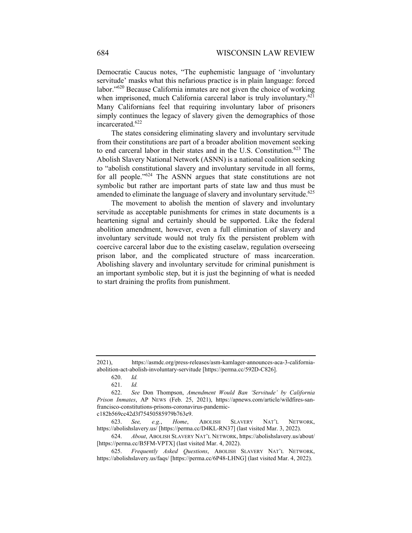Democratic Caucus notes, "The euphemistic language of 'involuntary servitude' masks what this nefarious practice is in plain language: forced labor."620 Because California inmates are not given the choice of working when imprisoned, much California carceral labor is truly involuntary. $621$ Many Californians feel that requiring involuntary labor of prisoners simply continues the legacy of slavery given the demographics of those incarcerated.<sup>622</sup>

The states considering eliminating slavery and involuntary servitude from their constitutions are part of a broader abolition movement seeking to end carceral labor in their states and in the U.S. Constitution.<sup>623</sup> The Abolish Slavery National Network (ASNN) is a national coalition seeking to "abolish constitutional slavery and involuntary servitude in all forms, for all people."<sup>624</sup> The ASNN argues that state constitutions are not symbolic but rather are important parts of state law and thus must be amended to eliminate the language of slavery and involuntary servitude.<sup> $625$ </sup>

The movement to abolish the mention of slavery and involuntary servitude as acceptable punishments for crimes in state documents is a heartening signal and certainly should be supported. Like the federal abolition amendment, however, even a full elimination of slavery and involuntary servitude would not truly fix the persistent problem with coercive carceral labor due to the existing caselaw, regulation overseeing prison labor, and the complicated structure of mass incarceration. Abolishing slavery and involuntary servitude for criminal punishment is an important symbolic step, but it is just the beginning of what is needed to start draining the profits from punishment.

623. *See, e.g.*, *Home*, ABOLISH SLAVERY NAT'L NETWORK, https://abolishslavery.us/ [https://perma.cc/D4KL-RN37] (last visited Mar. 3, 2022).

624. *About*, ABOLISH SLAVERY NAT'L NETWORK, https://abolishslavery.us/about/ [https://perma.cc/B5FM-VPTX] (last visited Mar. 4, 2022).

625. *Frequently Asked Questions*, ABOLISH SLAVERY NAT'L NETWORK, https://abolishslavery.us/faqs/ [https://perma.cc/6P48-LHNG] (last visited Mar. 4, 2022).

<sup>2021),</sup> https://asmdc.org/press-releases/asm-kamlager-announces-aca-3-californiaabolition-act-abolish-involuntary-servitude [https://perma.cc/592D-C826].

<sup>620.</sup> *Id.*

<sup>621.</sup> *Id.* 

<sup>622.</sup> *See* Don Thompson, *Amendment Would Ban 'Servitude' by California Prison Inmates*, AP NEWS (Feb. 25, 2021), https://apnews.com/article/wildfires-sanfrancisco-constitutions-prisons-coronavirus-pandemicc182b569cc42d3f75450585979b763e9.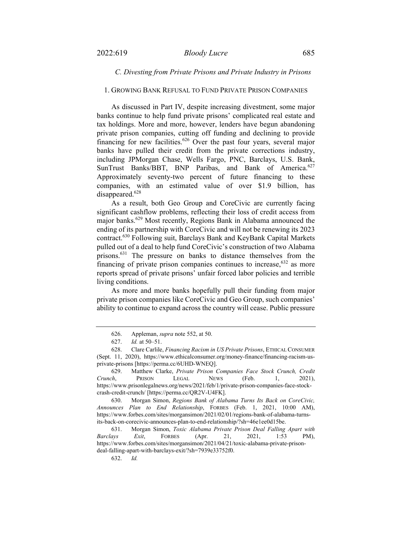#### 1. GROWING BANK REFUSAL TO FUND PRIVATE PRISON COMPANIES

As discussed in Part IV, despite increasing divestment, some major banks continue to help fund private prisons' complicated real estate and tax holdings. More and more, however, lenders have begun abandoning private prison companies, cutting off funding and declining to provide financing for new facilities.<sup>626</sup> Over the past four years, several major banks have pulled their credit from the private corrections industry, including JPMorgan Chase, Wells Fargo, PNC, Barclays, U.S. Bank, SunTrust Banks/BBT, BNP Paribas, and Bank of America.<sup>627</sup> Approximately seventy-two percent of future financing to these companies, with an estimated value of over \$1.9 billion, has disappeared.<sup>628</sup>

As a result, both Geo Group and CoreCivic are currently facing significant cashflow problems, reflecting their loss of credit access from major banks.<sup>629</sup> Most recently, Regions Bank in Alabama announced the ending of its partnership with CoreCivic and will not be renewing its 2023 contract.630 Following suit, Barclays Bank and KeyBank Capital Markets pulled out of a deal to help fund CoreCivic's construction of two Alabama prisons.631 The pressure on banks to distance themselves from the financing of private prison companies continues to increase,  $632$  as more reports spread of private prisons' unfair forced labor policies and terrible living conditions.

As more and more banks hopefully pull their funding from major private prison companies like CoreCivic and Geo Group, such companies' ability to continue to expand across the country will cease. Public pressure

630. Morgan Simon, *Regions Bank of Alabama Turns Its Back on CoreCivic, Announces Plan to End Relationship*, FORBES (Feb. 1, 2021, 10:00 AM), https://www.forbes.com/sites/morgansimon/2021/02/01/regions-bank-of-alabama-turnsits-back-on-corecivic-announces-plan-to-end-relationship/?sh=46e1ee0d15be.

631. Morgan Simon, *Toxic Alabama Private Prison Deal Falling Apart with Barclays Exit*, FORBES (Apr. 21, 2021, 1:53 PM), https://www.forbes.com/sites/morgansimon/2021/04/21/toxic-alabama-private-prisondeal-falling-apart-with-barclays-exit/?sh=7939e33752f0.

<sup>626.</sup> Appleman, *supra* note 552, at 50.

<sup>627.</sup> *Id.* at 50–51.

<sup>628.</sup> Clare Carlile, *Financing Racism in US Private Prisons*, ETHICAL CONSUMER (Sept. 11, 2020), https://www.ethicalconsumer.org/money-finance/financing-racism-usprivate-prisons [https://perma.cc/6UHD-WNEQ].

<sup>629.</sup> Matthew Clarke, *Private Prison Companies Face Stock Crunch, Credit Crunch*, PRISON LEGAL NEWS (Feb. 1, 2021), https://www.prisonlegalnews.org/news/2021/feb/1/private-prison-companies-face-stockcrash-credit-crunch/ [https://perma.cc/QR2V-U4FK].

<sup>632.</sup> *Id.*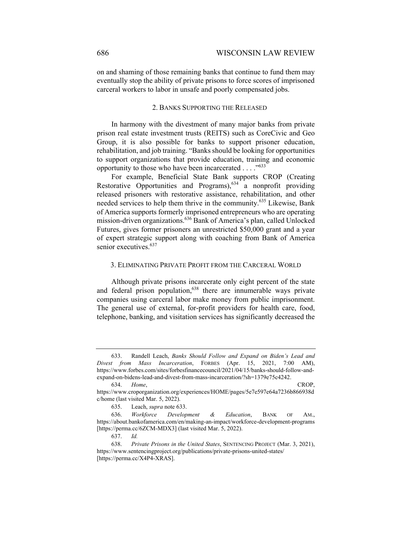on and shaming of those remaining banks that continue to fund them may eventually stop the ability of private prisons to force scores of imprisoned carceral workers to labor in unsafe and poorly compensated jobs.

# 2. BANKS SUPPORTING THE RELEASED

In harmony with the divestment of many major banks from private prison real estate investment trusts (REITS) such as CoreCivic and Geo Group, it is also possible for banks to support prisoner education, rehabilitation, and job training. "Banks should be looking for opportunities to support organizations that provide education, training and economic opportunity to those who have been incarcerated . . . . "<sup>633</sup>

For example, Beneficial State Bank supports CROP (Creating Restorative Opportunities and Programs),<sup>634</sup> a nonprofit providing released prisoners with restorative assistance, rehabilitation, and other needed services to help them thrive in the community.635 Likewise, Bank of America supports formerly imprisoned entrepreneurs who are operating mission-driven organizations.<sup>636</sup> Bank of America's plan, called Unlocked Futures, gives former prisoners an unrestricted \$50,000 grant and a year of expert strategic support along with coaching from Bank of America senior executives.<sup>637</sup>

#### 3. ELIMINATING PRIVATE PROFIT FROM THE CARCERAL WORLD

Although private prisons incarcerate only eight percent of the state and federal prison population,  $638$  there are innumerable ways private companies using carceral labor make money from public imprisonment. The general use of external, for-profit providers for health care, food, telephone, banking, and visitation services has significantly decreased the

<sup>633.</sup> Randell Leach, *Banks Should Follow and Expand on Biden's Lead and Divest from Mass Incarceration*, FORBES (Apr. 15, 2021, 7:00 AM), https://www.forbes.com/sites/forbesfinancecouncil/2021/04/15/banks-should-follow-andexpand-on-bidens-lead-and-divest-from-mass-incarceration/?sh=1379e75c4242.

<sup>634.</sup> *Home*, CROP, https://www.croporganization.org/experiences/HOME/pages/5e7e597e64a7236b866938d

c/home (last visited Mar. 5, 2022).

<sup>635.</sup> Leach, *supra* note 633.

<sup>636.</sup> *Workforce Development & Education*, BANK OF AM., https://about.bankofamerica.com/en/making-an-impact/workforce-development-programs [https://perma.cc/6ZCM-MDX3] (last visited Mar. 5, 2022).

<sup>637.</sup> *Id.* 

<sup>638.</sup> *Private Prisons in the United States*, SENTENCING PROJECT (Mar. 3, 2021), https://www.sentencingproject.org/publications/private-prisons-united-states/ [https://perma.cc/X4P4-XRAS].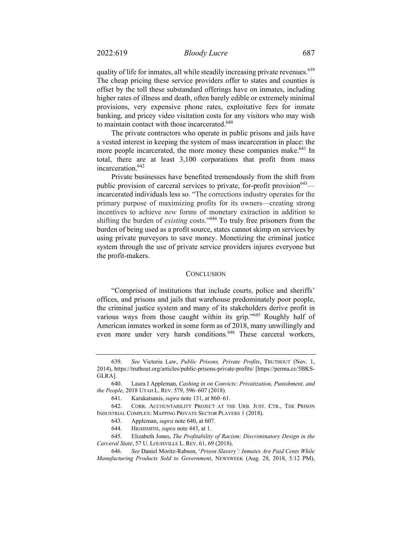quality of life for inmates, all while steadily increasing private revenues.<sup>639</sup> The cheap pricing these service providers offer to states and counties is offset by the toll these substandard offerings have on inmates, including higher rates of illness and death, often barely edible or extremely minimal provisions, very expensive phone rates, exploitative fees for inmate banking, and pricey video visitation costs for any visitors who may wish to maintain contact with those incarcerated.<sup>640</sup>

The private contractors who operate in public prisons and jails have a vested interest in keeping the system of mass incarceration in place: the more people incarcerated, the more money these companies make.<sup>641</sup> In total, there are at least 3,100 corporations that profit from mass incarceration.<sup>642</sup>

Private businesses have benefited tremendously from the shift from public provision of carceral services to private, for-profit provision<sup>643</sup> incarcerated individuals less so. "The corrections industry operates for the primary purpose of maximizing profits for its owners—creating strong incentives to achieve *new* forms of monetary extraction in addition to shifting the burden of *existing* costs."644 To truly free prisoners from the burden of being used as a profit source, states cannot skimp on services by using private purveyors to save money. Monetizing the criminal justice system through the use of private service providers injures everyone but the profit-makers.

## **CONCLUSION**

"Comprised of institutions that include courts, police and sheriffs' offices, and prisons and jails that warehouse predominately poor people, the criminal justice system and many of its stakeholders derive profit in various ways from those caught within its grip."<sup>645</sup> Roughly half of American inmates worked in some form as of 2018, many unwillingly and even more under very harsh conditions.<sup>646</sup> These carceral workers,

<sup>639.</sup> *See* Victoria Law, *Public Prisons, Private Profits*, TRUTHOUT (Nov. 1, 2014), https://truthout.org/articles/public-prisons-private-profits/ [https://perma.cc/5BKS-GLRA].

<sup>640.</sup> Laura I Appleman, *Cashing in on Convicts: Privatization, Punishment, and the People*, 2018 UTAH L. REV. 579, 596–607 (2018).

<sup>641.</sup> Karakatsanis, *supra* note 131, at 860–61.

<sup>642.</sup> CORR. ACCOUNTABILITY PROJECT AT THE URB. JUST. CTR., THE PRISON INDUSTRIAL COMPLEX: MAPPING PRIVATE SECTOR PLAYERS 1 (2018).

<sup>643.</sup> Appleman, *supra* note 640, at 607.

<sup>644.</sup> HIGHSMITH, *supra* note 443, at 1.

<sup>645.</sup> Elizabeth Jones, *The Profitability of Racism: Discriminatory Design in the Carceral State*, 57 U. LOUISVILLE L. REV. 61, 69 (2018).

<sup>646.</sup> *See* Daniel Moritz-Rabson, '*Prison Slavery': Inmates Are Paid Cents While Manufacturing Products Sold to Government*, NEWSWEEK (Aug. 28, 2018, 5:12 PM),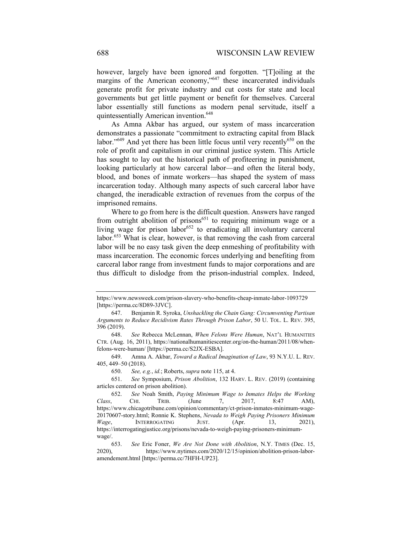however, largely have been ignored and forgotten. "[T]oiling at the margins of the American economy,"<sup>647</sup> these incarcerated individuals generate profit for private industry and cut costs for state and local governments but get little payment or benefit for themselves. Carceral labor essentially still functions as modern penal servitude, itself a quintessentially American invention.<sup>648</sup>

As Amna Akbar has argued, our system of mass incarceration demonstrates a passionate "commitment to extracting capital from Black labor."<sup>649</sup> And yet there has been little focus until very recently<sup>650</sup> on the role of profit and capitalism in our criminal justice system. This Article has sought to lay out the historical path of profiteering in punishment, looking particularly at how carceral labor—and often the literal body, blood, and bones of inmate workers—has shaped the system of mass incarceration today. Although many aspects of such carceral labor have changed, the ineradicable extraction of revenues from the corpus of the imprisoned remains.

Where to go from here is the difficult question. Answers have ranged from outright abolition of prisons $651$  to requiring minimum wage or a living wage for prison labor<sup>652</sup> to eradicating all involuntary carceral labor.<sup>653</sup> What is clear, however, is that removing the cash from carceral labor will be no easy task given the deep enmeshing of profitability with mass incarceration. The economic forces underlying and benefiting from carceral labor range from investment funds to major corporations and are thus difficult to dislodge from the prison-industrial complex. Indeed,

https://www.newsweek.com/prison-slavery-who-benefits-cheap-inmate-labor-1093729 [https://perma.cc/8D89-3JVC].

<sup>647.</sup> Benjamin R. Syroka, *Unshackling the Chain Gang: Circumventing Partisan Arguments to Reduce Recidivism Rates Through Prison Labor*, 50 U. TOL. L. REV. 395, 396 (2019).

<sup>648.</sup> *See* Rebecca McLennan, *When Felons Were Human*, NAT'L HUMANITIES CTR. (Aug. 16, 2011), https://nationalhumanitiescenter.org/on-the-human/2011/08/whenfelons-were-human/ [https://perma.cc/S2JX-ESBA].

<sup>649.</sup> Amna A. Akbar, *Toward a Radical Imagination of Law*, 93 N.Y.U. L. REV. 405, 449–50 (2018).

<sup>650.</sup> *See, e.g.*, *id.*; Roberts, *supra* note 115, at 4.

<sup>651.</sup> *See* Symposium, *Prison Abolition*, 132 HARV. L. REV. (2019) (containing articles centered on prison abolition).

<sup>652.</sup> *See* Noah Smith, *Paying Minimum Wage to Inmates Helps the Working Class*, CHI. TRIB. (June 7, 2017, 8:47 AM), https://www.chicagotribune.com/opinion/commentary/ct-prison-inmates-minimum-wage-20170607-story.html; Ronnie K. Stephens, *Nevada to Weigh Paying Prisoners Minimum Wage*, INTERROGATING JUST. (Apr. 13, 2021), https://interrogatingjustice.org/prisons/nevada-to-weigh-paying-prisoners-minimumwage/.

<sup>653.</sup> *See* Eric Foner, *We Are Not Done with Abolition*, N.Y. TIMES (Dec. 15, 2020), https://www.nytimes.com/2020/12/15/opinion/abolition-prison-laboramendement.html [https://perma.cc/7HFH-UP23].